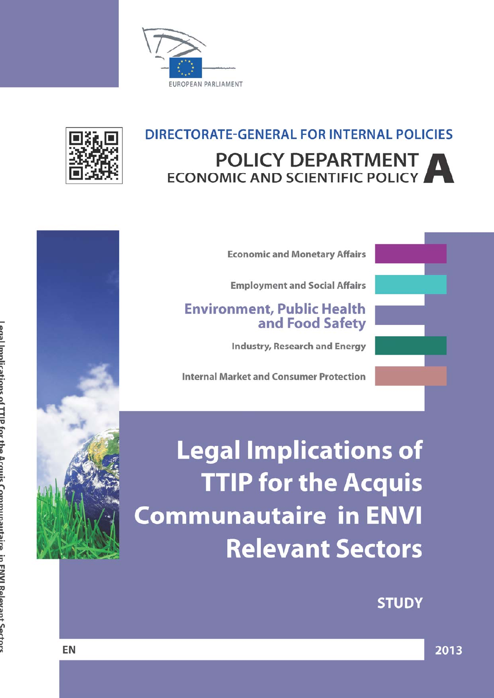



## DIRECTORATE-GENERAL FOR INTERNAL POLICIES **POLICY DEPARTMENT ECONOMIC AND SCIENTIFIC POLICY**

**Economic and Monetary Affairs** 

**Employment and Social Affairs** 

## **Environment, Public Health** and Food Safety

**Industry, Research and Energy** 

**Internal Market and Consumer Protection** 

**Legal Implications of TTIP for the Acquis Communautaire in ENVI Relevant Sectors** 

**STUDY** 

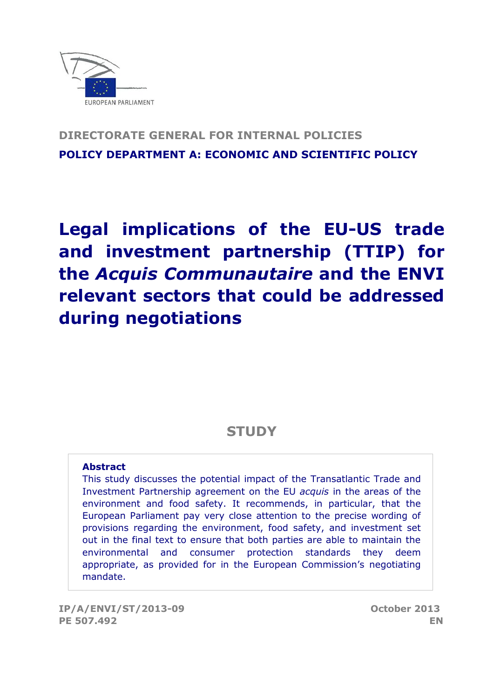

## **DIRECTORATE GENERAL FOR INTERNAL POLICIES POLICY DEPARTMENT A: ECONOMIC AND SCIENTIFIC POLICY**

# **Legal implications of the EU-US trade and investment partnership (TTIP) for the** *Acquis Communautaire* **and the ENVI relevant sectors that could be addressed during negotiations**

## **STUDY**

## **Abstract**

This study discusses the potential impact of the Transatlantic Trade and Investment Partnership agreement on the EU *acquis* in the areas of the environment and food safety. It recommends, in particular, that the European Parliament pay very close attention to the precise wording of provisions regarding the environment, food safety, and investment set out in the final text to ensure that both parties are able to maintain the environmental and consumer protection standards they deem appropriate, as provided for in the European Commission's negotiating mandate.

**IP/A/ENVI/ST/2013-09 October 2013 PE 507.492 EN**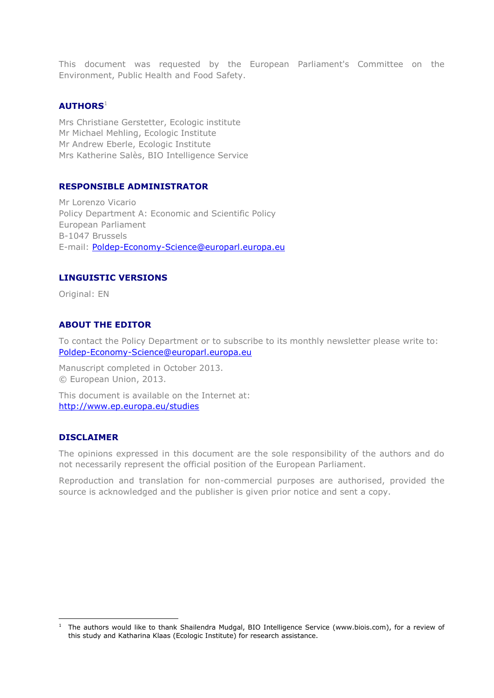This document was requested by the European Parliament's Committee on the Environment, Public Health and Food Safety.

#### **AUTHORS** 1

Mrs Christiane Gerstetter, Ecologic institute Mr Michael Mehling, Ecologic Institute Mr Andrew Eberle, Ecologic Institute Mrs Katherine Salès, BIO Intelligence Service

#### **RESPONSIBLE ADMINISTRATOR**

Mr Lorenzo Vicario Policy Department A: Economic and Scientific Policy European Parliament B-1047 Brussels E-mail: [Poldep-Economy-Science@europarl.europa.eu](mailto:Poldep-Economy-Science@europarl.europa.eu)

#### **LINGUISTIC VERSIONS**

Original: EN

#### **ABOUT THE EDITOR**

To contact the Policy Department or to subscribe to its monthly newsletter please write to: Poldep-Economy-Science@europarl.europa.eu

Manuscript completed in October 2013. © European Union, 2013.

This document is available on the Internet at: <http://www.ep.europa.eu/studies>

#### **DISCLAIMER**

 $\overline{a}$ 

The opinions expressed in this document are the sole responsibility of the authors and do not necessarily represent the official position of the European Parliament.

Reproduction and translation for non-commercial purposes are authorised, provided the source is acknowledged and the publisher is given prior notice and sent a copy.

<sup>1</sup> The authors would like to thank Shailendra Mudgal, BIO Intelligence Service [\(www.biois.com\)](http://www.biois.com/), for a review of this study and Katharina Klaas (Ecologic Institute) for research assistance.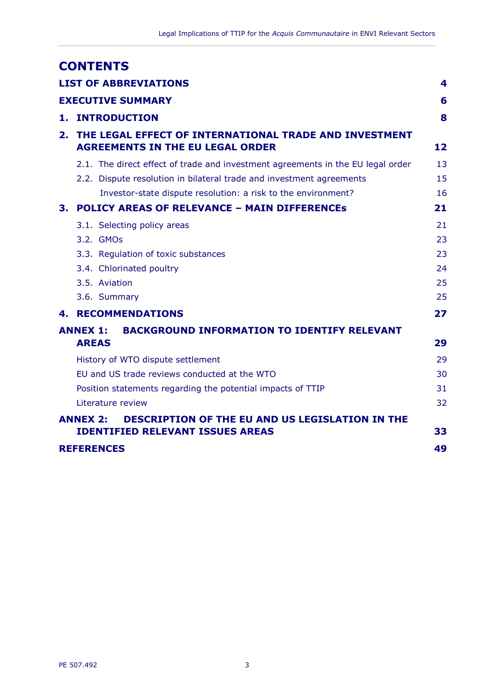| <b>CONTENTS</b>                                                                                                      |    |
|----------------------------------------------------------------------------------------------------------------------|----|
| <b>LIST OF ABBREVIATIONS</b>                                                                                         | 4  |
| <b>EXECUTIVE SUMMARY</b>                                                                                             | 6  |
| <b>1. INTRODUCTION</b>                                                                                               | 8  |
| THE LEGAL EFFECT OF INTERNATIONAL TRADE AND INVESTMENT<br>2.<br><b>AGREEMENTS IN THE EU LEGAL ORDER</b>              | 12 |
| 2.1. The direct effect of trade and investment agreements in the EU legal order                                      | 13 |
| 2.2. Dispute resolution in bilateral trade and investment agreements                                                 | 15 |
| Investor-state dispute resolution: a risk to the environment?                                                        | 16 |
| 3. POLICY AREAS OF RELEVANCE - MAIN DIFFERENCES                                                                      | 21 |
| 3.1. Selecting policy areas                                                                                          | 21 |
| 3.2. GMOs                                                                                                            | 23 |
| 3.3. Regulation of toxic substances                                                                                  | 23 |
| 3.4. Chlorinated poultry                                                                                             | 24 |
| 3.5. Aviation                                                                                                        | 25 |
| 3.6. Summary                                                                                                         | 25 |
| <b>4. RECOMMENDATIONS</b>                                                                                            | 27 |
| <b>BACKGROUND INFORMATION TO IDENTIFY RELEVANT</b><br><b>ANNEX 1:</b>                                                |    |
| <b>AREAS</b>                                                                                                         | 29 |
| History of WTO dispute settlement                                                                                    | 29 |
| EU and US trade reviews conducted at the WTO                                                                         | 30 |
| Position statements regarding the potential impacts of TTIP                                                          | 31 |
| Literature review                                                                                                    | 32 |
| <b>ANNEX 2:</b><br><b>DESCRIPTION OF THE EU AND US LEGISLATION IN THE</b><br><b>IDENTIFIED RELEVANT ISSUES AREAS</b> | 33 |
| <b>REFERENCES</b>                                                                                                    | 49 |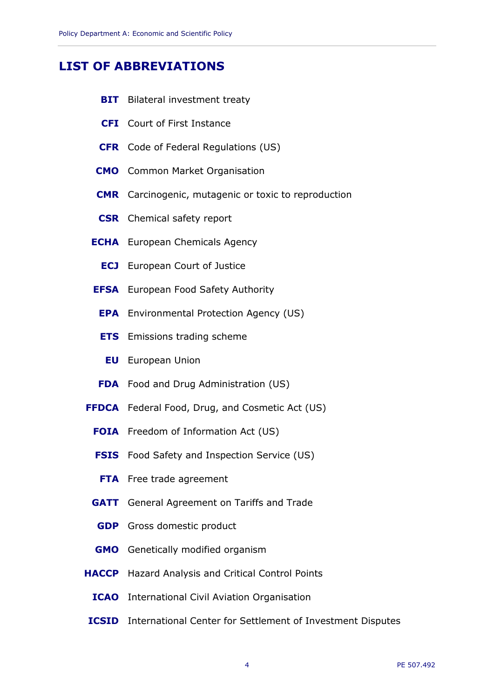## <span id="page-5-0"></span>**LIST OF ABBREVIATIONS**

- **BIT** Bilateral investment treaty
- **CFI** Court of First Instance
- **CFR** Code of Federal Regulations (US)
- **CMO** Common Market Organisation
- **CMR** Carcinogenic, mutagenic or toxic to reproduction
- **CSR** Chemical safety report
- **ECHA** European Chemicals Agency
	- **ECJ** European Court of Justice
- **EFSA** European Food Safety Authority
	- **EPA** Environmental Protection Agency (US)
	- **ETS** Emissions trading scheme
		- **EU** European Union
- **FDA** Food and Drug Administration (US)
- **FFDCA** Federal Food, Drug, and Cosmetic Act (US)
	- **FOIA** Freedom of Information Act (US)
	- **FSIS** Food Safety and Inspection Service (US)
	- **FTA** Free trade agreement
	- **GATT** General Agreement on Tariffs and Trade
	- **GDP** Gross domestic product
	- **GMO** Genetically modified organism
- **HACCP** Hazard Analysis and Critical Control Points
	- **ICAO** International Civil Aviation Organisation
- **ICSID** International Center for Settlement of Investment Disputes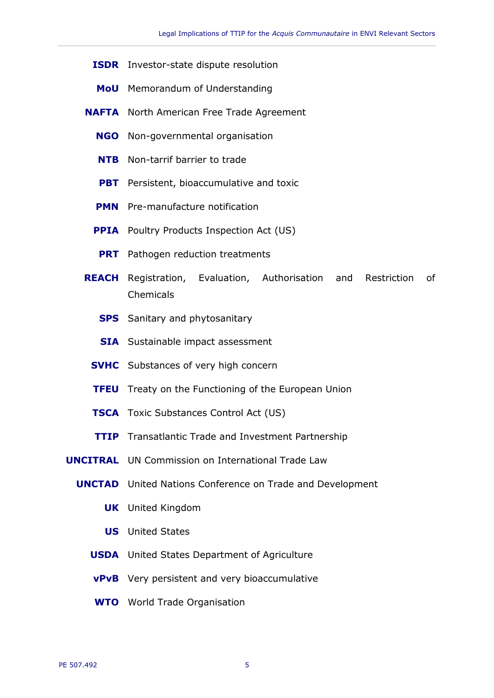- **ISDR** Investor-state dispute resolution
- **MoU** Memorandum of Understanding
- **NAFTA** North American Free Trade Agreement
	- **NGO** Non-governmental organisation
	- **NTB** Non-tarrif barrier to trade
	- **PBT** Persistent, bioaccumulative and toxic
	- **PMN** Pre-manufacture notification
	- **PPIA** Poultry Products Inspection Act (US)
		- **PRT** Pathogen reduction treatments
- **REACH** Registration, Evaluation, Authorisation and Restriction of Chemicals
	- **SPS** Sanitary and phytosanitary
	- **SIA** Sustainable impact assessment
	- **SVHC** Substances of very high concern
	- **TFEU** Treaty on the Functioning of the European Union
	- **TSCA** Toxic Substances Control Act (US)
	- **TTIP** Transatlantic Trade and Investment Partnership
- **UNCITRAL** UN Commission on International Trade Law
	- **UNCTAD** United Nations Conference on Trade and Development
		- **UK** United Kingdom
		- **US** United States
		- **USDA** United States Department of Agriculture
		- **vPvB** Very persistent and very bioaccumulative
		- **WTO** World Trade Organisation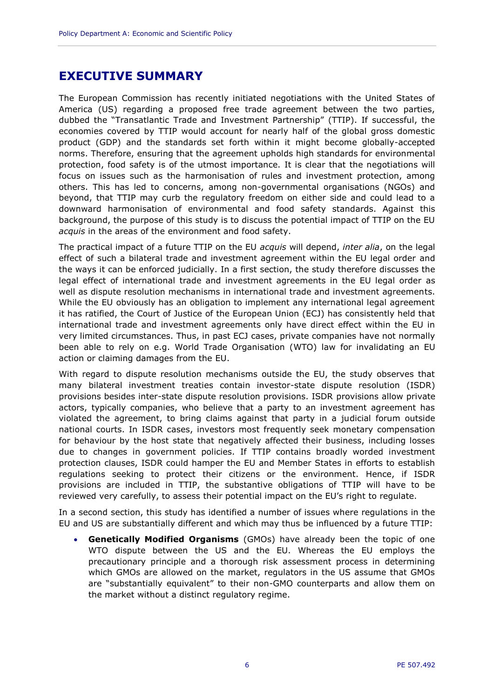## <span id="page-7-0"></span>**EXECUTIVE SUMMARY**

The European Commission has recently initiated negotiations with the United States of America (US) regarding a proposed free trade agreement between the two parties, dubbed the "Transatlantic Trade and Investment Partnership" (TTIP). If successful, the economies covered by TTIP would account for nearly half of the global gross domestic product (GDP) and the standards set forth within it might become globally-accepted norms. Therefore, ensuring that the agreement upholds high standards for environmental protection, food safety is of the utmost importance. It is clear that the negotiations will focus on issues such as the harmonisation of rules and investment protection, among others. This has led to concerns, among non-governmental organisations (NGOs) and beyond, that TTIP may curb the regulatory freedom on either side and could lead to a downward harmonisation of environmental and food safety standards. Against this background, the purpose of this study is to discuss the potential impact of TTIP on the EU *acquis* in the areas of the environment and food safety.

The practical impact of a future TTIP on the EU *acquis* will depend, *inter alia*, on the legal effect of such a bilateral trade and investment agreement within the EU legal order and the ways it can be enforced judicially. In a first section, the study therefore discusses the legal effect of international trade and investment agreements in the EU legal order as well as dispute resolution mechanisms in international trade and investment agreements. While the EU obviously has an obligation to implement any international legal agreement it has ratified, the Court of Justice of the European Union (ECJ) has consistently held that international trade and investment agreements only have direct effect within the EU in very limited circumstances. Thus, in past ECJ cases, private companies have not normally been able to rely on e.g. World Trade Organisation (WTO) law for invalidating an EU action or claiming damages from the EU.

With regard to dispute resolution mechanisms outside the EU, the study observes that many bilateral investment treaties contain investor-state dispute resolution (ISDR) provisions besides inter-state dispute resolution provisions. ISDR provisions allow private actors, typically companies, who believe that a party to an investment agreement has violated the agreement, to bring claims against that party in a judicial forum outside national courts. In ISDR cases, investors most frequently seek monetary compensation for behaviour by the host state that negatively affected their business, including losses due to changes in government policies. If TTIP contains broadly worded investment protection clauses, ISDR could hamper the EU and Member States in efforts to establish regulations seeking to protect their citizens or the environment. Hence, if ISDR provisions are included in TTIP, the substantive obligations of TTIP will have to be reviewed very carefully, to assess their potential impact on the EU's right to regulate.

In a second section, this study has identified a number of issues where regulations in the EU and US are substantially different and which may thus be influenced by a future TTIP:

 **Genetically Modified Organisms** (GMOs) have already been the topic of one WTO dispute between the US and the EU. Whereas the EU employs the precautionary principle and a thorough risk assessment process in determining which GMOs are allowed on the market, regulators in the US assume that GMOs are "substantially equivalent" to their non-GMO counterparts and allow them on the market without a distinct regulatory regime.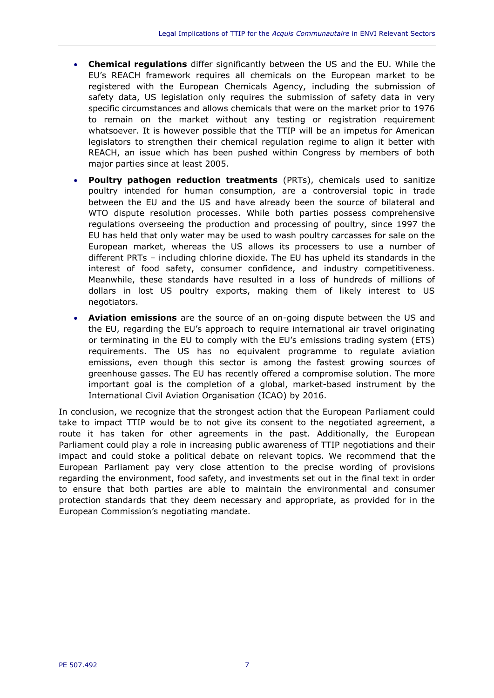- **Chemical regulations** differ significantly between the US and the EU. While the EU's REACH framework requires all chemicals on the European market to be registered with the European Chemicals Agency, including the submission of safety data, US legislation only requires the submission of safety data in very specific circumstances and allows chemicals that were on the market prior to 1976 to remain on the market without any testing or registration requirement whatsoever. It is however possible that the TTIP will be an impetus for American legislators to strengthen their chemical regulation regime to align it better with REACH, an issue which has been pushed within Congress by members of both major parties since at least 2005.
- **Poultry pathogen reduction treatments** (PRTs), chemicals used to sanitize poultry intended for human consumption, are a controversial topic in trade between the EU and the US and have already been the source of bilateral and WTO dispute resolution processes. While both parties possess comprehensive regulations overseeing the production and processing of poultry, since 1997 the EU has held that only water may be used to wash poultry carcasses for sale on the European market, whereas the US allows its processers to use a number of different PRTs – including chlorine dioxide. The EU has upheld its standards in the interest of food safety, consumer confidence, and industry competitiveness. Meanwhile, these standards have resulted in a loss of hundreds of millions of dollars in lost US poultry exports, making them of likely interest to US negotiators.
- **Aviation emissions** are the source of an on-going dispute between the US and the EU, regarding the EU's approach to require international air travel originating or terminating in the EU to comply with the EU's emissions trading system (ETS) requirements. The US has no equivalent programme to regulate aviation emissions, even though this sector is among the fastest growing sources of greenhouse gasses. The EU has recently offered a compromise solution. The more important goal is the completion of a global, market-based instrument by the International Civil Aviation Organisation (ICAO) by 2016.

In conclusion, we recognize that the strongest action that the European Parliament could take to impact TTIP would be to not give its consent to the negotiated agreement, a route it has taken for other agreements in the past. Additionally, the European Parliament could play a role in increasing public awareness of TTIP negotiations and their impact and could stoke a political debate on relevant topics. We recommend that the European Parliament pay very close attention to the precise wording of provisions regarding the environment, food safety, and investments set out in the final text in order to ensure that both parties are able to maintain the environmental and consumer protection standards that they deem necessary and appropriate, as provided for in the European Commission's negotiating mandate.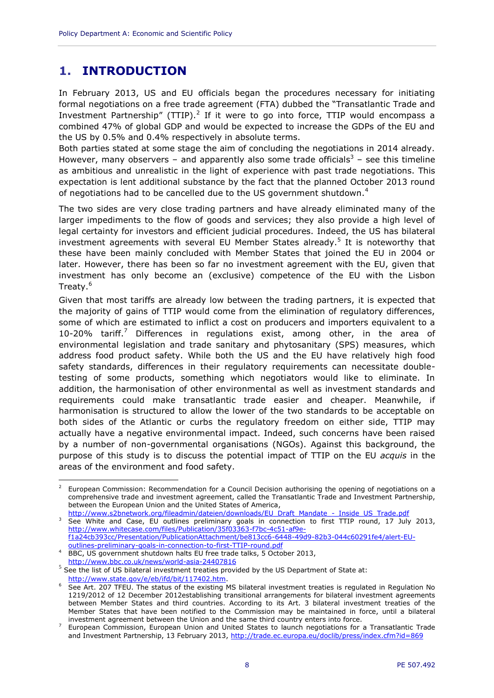## <span id="page-9-0"></span>**1. INTRODUCTION**

In February 2013, US and EU officials began the procedures necessary for initiating formal negotiations on a free trade agreement (FTA) dubbed the "Transatlantic Trade and Investment Partnership" (TTIP).<sup>2</sup> If it were to go into force, TTIP would encompass a combined 47% of global GDP and would be expected to increase the GDPs of the EU and the US by 0.5% and 0.4% respectively in absolute terms.

Both parties stated at some stage the aim of concluding the negotiations in 2014 already. However, many observers – and apparently also some trade officials<sup>3</sup> – see this timeline as ambitious and unrealistic in the light of experience with past trade negotiations. This expectation is lent additional substance by the fact that the planned October 2013 round of negotiations had to be cancelled due to the US government shutdown.<sup>4</sup>

The two sides are very close trading partners and have already eliminated many of the larger impediments to the flow of goods and services; they also provide a high level of legal certainty for investors and efficient judicial procedures. Indeed, the US has bilateral investment agreements with several EU Member States already.<sup>5</sup> It is noteworthy that these have been mainly concluded with Member States that joined the EU in 2004 or later. However, there has been so far no investment agreement with the EU, given that investment has only become an (exclusive) competence of the EU with the Lisbon Treaty.<sup>6</sup>

Given that most tariffs are already low between the trading partners, it is expected that the majority of gains of TTIP would come from the elimination of regulatory differences, some of which are estimated to inflict a cost on producers and importers equivalent to a 10-20% tariff.<sup>7</sup> Differences in regulations exist, among other, in the area of environmental legislation and trade sanitary and phytosanitary (SPS) measures, which address food product safety. While both the US and the EU have relatively high food safety standards, differences in their regulatory requirements can necessitate doubletesting of some products, something which negotiators would like to eliminate. In addition, the harmonisation of other environmental as well as investment standards and requirements could make transatlantic trade easier and cheaper. Meanwhile, if harmonisation is structured to allow the lower of the two standards to be acceptable on both sides of the Atlantic or curbs the regulatory freedom on either side, TTIP may actually have a negative environmental impact. Indeed, such concerns have been raised by a number of non-governmental organisations (NGOs). Against this background, the purpose of this study is to discuss the potential impact of TTIP on the EU *acquis* in the areas of the environment and food safety.

<sup>&</sup>lt;sup>2</sup> European Commission: Recommendation for a Council Decision authorising the opening of negotiations on a comprehensive trade and investment agreement, called the Transatlantic Trade and Investment Partnership, between the European Union and the United States of America,

[http://www.s2bnetwork.org/fileadmin/dateien/downloads/EU\\_Draft\\_Mandate\\_-\\_Inside\\_US\\_Trade.pdf](http://www.s2bnetwork.org/fileadmin/dateien/downloads/EU_Draft_Mandate_-_Inside_US_Trade.pdf)  $3$  See White and Case, EU outlines preliminary goals in connection to first TTIP round, 17 July 2013, [http://www.whitecase.com/files/Publication/35f03363-f7bc-4c51-af9e](http://www.whitecase.com/files/Publication/35f03363-f7bc-4c51-af9e-f1a24cb393cc/Presentation/PublicationAttachment/be813cc6-6448-49d9-82b3-044c60291fe4/alert-EU-outlines-preliminary-goals-in-connection-to-first-TTIP-round.pdf)[f1a24cb393cc/Presentation/PublicationAttachment/be813cc6-6448-49d9-82b3-044c60291fe4/alert-EU](http://www.whitecase.com/files/Publication/35f03363-f7bc-4c51-af9e-f1a24cb393cc/Presentation/PublicationAttachment/be813cc6-6448-49d9-82b3-044c60291fe4/alert-EU-outlines-preliminary-goals-in-connection-to-first-TTIP-round.pdf)[outlines-preliminary-goals-in-connection-to-first-TTIP-round.pdf](http://www.whitecase.com/files/Publication/35f03363-f7bc-4c51-af9e-f1a24cb393cc/Presentation/PublicationAttachment/be813cc6-6448-49d9-82b3-044c60291fe4/alert-EU-outlines-preliminary-goals-in-connection-to-first-TTIP-round.pdf)

BBC, US government shutdown halts EU free trade talks, 5 October 2013, <http://www.bbc.co.uk/news/world-asia-24407816>

 $<sup>5</sup>$  See the list of US bilateral investment treaties provided by the US Department of State at:</sup> [http://www.state.gov/e/eb/ifd/bit/117402.htm.](http://www.state.gov/e/eb/ifd/bit/117402.htm)

<sup>6</sup> See Art. 207 TFEU. The status of the existing MS bilateral investment treaties is regulated in Regulation No 1219/2012 of 12 December 2012establishing transitional arrangements for bilateral investment agreements between Member States and third countries. According to its Art. 3 bilateral investment treaties of the Member States that have been notified to the Commission may be maintained in force, until a bilateral investment agreement between the Union and the same third country enters into force.

<sup>7</sup> European Commission, European Union and United States to launch negotiations for a Transatlantic Trade and Investment Partnership, 13 February 2013,<http://trade.ec.europa.eu/doclib/press/index.cfm?id=869>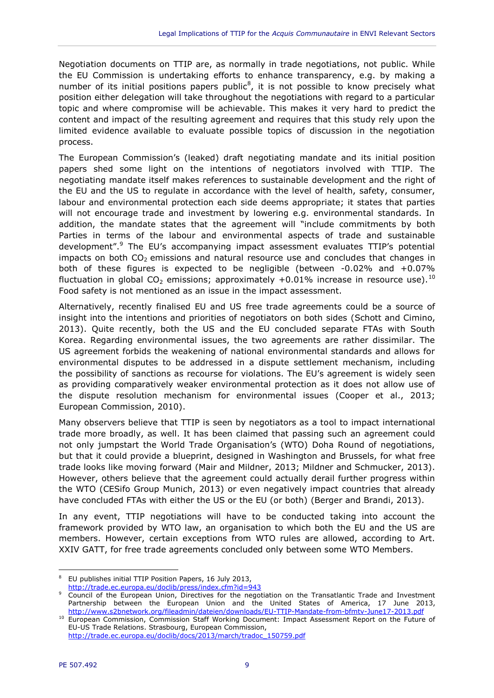Negotiation documents on TTIP are, as normally in trade negotiations, not public. While the EU Commission is undertaking efforts to enhance transparency, e.g. by making a number of its initial positions papers public<sup>8</sup>, it is not possible to know precisely what position either delegation will take throughout the negotiations with regard to a particular topic and where compromise will be achievable. This makes it very hard to predict the content and impact of the resulting agreement and requires that this study rely upon the limited evidence available to evaluate possible topics of discussion in the negotiation process.

The European Commission's (leaked) draft negotiating mandate and its initial position papers shed some light on the intentions of negotiators involved with TTIP. The negotiating mandate itself makes references to sustainable development and the right of the EU and the US to regulate in accordance with the level of health, safety, consumer, labour and environmental protection each side deems appropriate; it states that parties will not encourage trade and investment by lowering e.g. environmental standards. In addition, the mandate states that the agreement will "include commitments by both Parties in terms of the labour and environmental aspects of trade and sustainable development".<sup>9</sup> The EU's accompanying impact assessment evaluates TTIP's potential impacts on both  $CO<sub>2</sub>$  emissions and natural resource use and concludes that changes in both of these figures is expected to be negligible (between -0.02% and +0.07% fluctuation in global CO<sub>2</sub> emissions; approximately +0.01% increase in resource use).<sup>10</sup> Food safety is not mentioned as an issue in the impact assessment.

Alternatively, recently finalised EU and US free trade agreements could be a source of insight into the intentions and priorities of negotiators on both sides (Schott and Cimino, 2013). Quite recently, both the US and the EU concluded separate FTAs with South Korea. Regarding environmental issues, the two agreements are rather dissimilar. The US agreement forbids the weakening of national environmental standards and allows for environmental disputes to be addressed in a dispute settlement mechanism, including the possibility of sanctions as recourse for violations. The EU's agreement is widely seen as providing comparatively weaker environmental protection as it does not allow use of the dispute resolution mechanism for environmental issues (Cooper et al., 2013; European Commission, 2010).

Many observers believe that TTIP is seen by negotiators as a tool to impact international trade more broadly, as well. It has been claimed that passing such an agreement could not only jumpstart the World Trade Organisation's (WTO) Doha Round of negotiations, but that it could provide a blueprint, designed in Washington and Brussels, for what free trade looks like moving forward (Mair and Mildner, 2013; Mildner and Schmucker, 2013). However, others believe that the agreement could actually derail further progress within the WTO (CESifo Group Munich, 2013) or even negatively impact countries that already have concluded FTAs with either the US or the EU (or both) (Berger and Brandi, 2013).

In any event, TTIP negotiations will have to be conducted taking into account the framework provided by WTO law, an organisation to which both the EU and the US are members. However, certain exceptions from WTO rules are allowed, according to Art. XXIV GATT, for free trade agreements concluded only between some WTO Members.

<sup>8</sup> EU publishes initial TTIP Position Papers, 16 July 2013,

<http://trade.ec.europa.eu/doclib/press/index.cfm?id=943>

Council of the European Union, Directives for the negotiation on the Transatlantic Trade and Investment Partnership between the European Union and the United States of America, 17 June 2013, <http://www.s2bnetwork.org/fileadmin/dateien/downloads/EU-TTIP-Mandate-from-bfmtv-June17-2013.pdf>

<sup>&</sup>lt;sup>10</sup> European Commission, Commission Staff Working Document: Impact Assessment Report on the Future of EU-US Trade Relations. Strasbourg, European Commission, [http://trade.ec.europa.eu/doclib/docs/2013/march/tradoc\\_150759.pdf](http://trade.ec.europa.eu/doclib/docs/2013/march/tradoc_150759.pdf)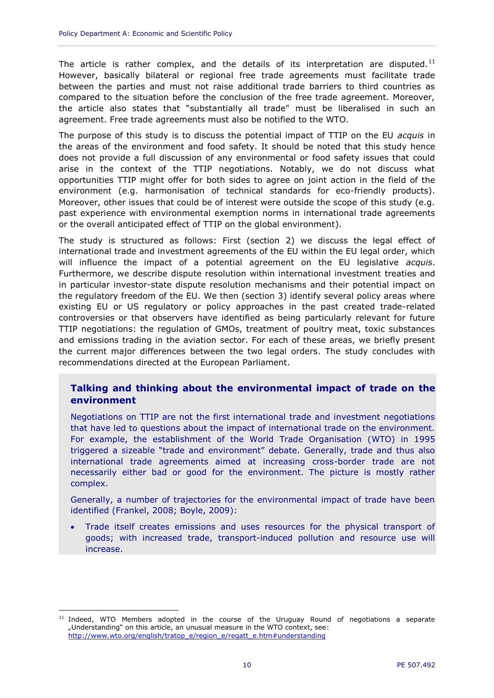The article is rather complex, and the details of its interpretation are disputed.<sup>11</sup> However, basically bilateral or regional free trade agreements must facilitate trade between the parties and must not raise additional trade barriers to third countries as compared to the situation before the conclusion of the free trade agreement. Moreover, the article also states that "substantially all trade" must be liberalised in such an agreement. Free trade agreements must also be notified to the WTO.

The purpose of this study is to discuss the potential impact of TTIP on the EU *acquis* in the areas of the environment and food safety. It should be noted that this study hence does not provide a full discussion of any environmental or food safety issues that could arise in the context of the TTIP negotiations. Notably, we do not discuss what opportunities TTIP might offer for both sides to agree on joint action in the field of the environment (e.g. harmonisation of technical standards for eco-friendly products). Moreover, other issues that could be of interest were outside the scope of this study (e.g. past experience with environmental exemption norms in international trade agreements or the overall anticipated effect of TTIP on the global environment).

The study is structured as follows: First (section [2\)](#page-13-0) we discuss the legal effect of international trade and investment agreements of the EU within the EU legal order, which will influence the impact of a potential agreement on the EU legislative *acquis*. Furthermore, we describe dispute resolution within international investment treaties and in particular investor-state dispute resolution mechanisms and their potential impact on the regulatory freedom of the EU. We then (section [3\)](#page-22-0) identify several policy areas where existing EU or US regulatory or policy approaches in the past created trade-related controversies or that observers have identified as being particularly relevant for future TTIP negotiations: the regulation of GMOs, treatment of poultry meat, toxic substances and emissions trading in the aviation sector. For each of these areas, we briefly present the current major differences between the two legal orders. The study concludes with recommendations directed at the European Parliament.

#### **Talking and thinking about the environmental impact of trade on the environment**

Negotiations on TTIP are not the first international trade and investment negotiations that have led to questions about the impact of international trade on the environment. For example, the establishment of the World Trade Organisation (WTO) in 1995 triggered a sizeable "trade and environment" debate. Generally, trade and thus also international trade agreements aimed at increasing cross-border trade are not necessarily either bad or good for the environment. The picture is mostly rather complex.

Generally, a number of trajectories for the environmental impact of trade have been identified (Frankel, 2008; Boyle, 2009):

 Trade itself creates emissions and uses resources for the physical transport of goods; with increased trade, transport-induced pollution and resource use will increase.

<sup>&</sup>lt;sup>11</sup> Indeed, WTO Members adopted in the course of the Uruguay Round of negotiations a separate "Understanding" on this article, an unusual measure in the WTO context, see: [http://www.wto.org/english/tratop\\_e/region\\_e/regatt\\_e.htm#understanding](http://www.wto.org/english/tratop_e/region_e/regatt_e.htm%23understanding)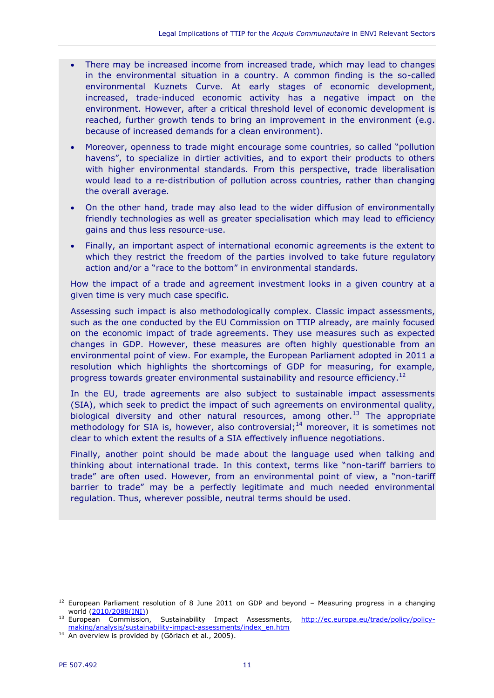- There may be increased income from increased trade, which may lead to changes in the environmental situation in a country. A common finding is the so-called environmental Kuznets Curve. At early stages of economic development, increased, trade-induced economic activity has a negative impact on the environment. However, after a critical threshold level of economic development is reached, further growth tends to bring an improvement in the environment (e.g. because of increased demands for a clean environment).
- Moreover, openness to trade might encourage some countries, so called "pollution havens", to specialize in dirtier activities, and to export their products to others with higher environmental standards. From this perspective, trade liberalisation would lead to a re-distribution of pollution across countries, rather than changing the overall average.
- On the other hand, trade may also lead to the wider diffusion of environmentally friendly technologies as well as greater specialisation which may lead to efficiency gains and thus less resource-use.
- Finally, an important aspect of international economic agreements is the extent to which they restrict the freedom of the parties involved to take future regulatory action and/or a "race to the bottom" in environmental standards.

How the impact of a trade and agreement investment looks in a given country at a given time is very much case specific.

Assessing such impact is also methodologically complex. Classic impact assessments, such as the one conducted by the EU Commission on TTIP already, are mainly focused on the economic impact of trade agreements. They use measures such as expected changes in GDP. However, these measures are often highly questionable from an environmental point of view. For example, the European Parliament adopted in 2011 a resolution which highlights the shortcomings of GDP for measuring, for example, progress towards greater environmental sustainability and resource efficiency.<sup>12</sup>

In the EU, trade agreements are also subject to sustainable impact assessments (SIA), which seek to predict the impact of such agreements on environmental quality, biological diversity and other natural resources, among other.<sup>13</sup> The appropriate methodology for SIA is, however, also controversial; $14$  moreover, it is sometimes not clear to which extent the results of a SIA effectively influence negotiations.

Finally, another point should be made about the language used when talking and thinking about international trade. In this context, terms like "non-tariff barriers to trade" are often used. However, from an environmental point of view, a "non-tariff barrier to trade" may be a perfectly legitimate and much needed environmental regulation. Thus, wherever possible, neutral terms should be used.

<sup>&</sup>lt;sup>12</sup> European Parliament resolution of 8 June 2011 on GDP and beyond - Measuring progress in a changing world [\(2010/2088\(INI\)\)](http://www.europarl.europa.eu/oeil/popups/ficheprocedure.do?lang=en&reference=2010/2088%28INI%29)

<sup>&</sup>lt;sup>13</sup> European Commission, Sustainability Impact Assessments, [http://ec.europa.eu/trade/policy/policy](http://ec.europa.eu/trade/policy/policy-making/analysis/sustainability-impact-assessments/index_en.htm)[making/analysis/sustainability-impact-assessments/index\\_en.htm](http://ec.europa.eu/trade/policy/policy-making/analysis/sustainability-impact-assessments/index_en.htm)

 $14$  An overview is provided by (Görlach et al., 2005).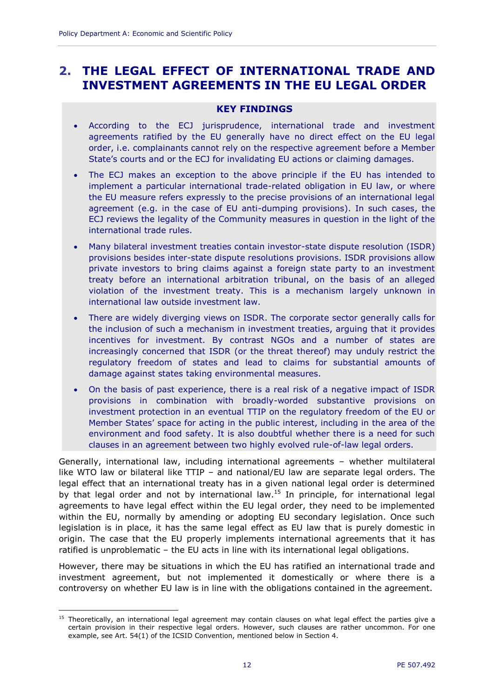## <span id="page-13-0"></span>**2. THE LEGAL EFFECT OF INTERNATIONAL TRADE AND INVESTMENT AGREEMENTS IN THE EU LEGAL ORDER**

#### **KEY FINDINGS**

- According to the ECJ jurisprudence, international trade and investment agreements ratified by the EU generally have no direct effect on the EU legal order, i.e. complainants cannot rely on the respective agreement before a Member State's courts and or the ECJ for invalidating EU actions or claiming damages.
- The ECJ makes an exception to the above principle if the EU has intended to implement a particular international trade-related obligation in EU law, or where the EU measure refers expressly to the precise provisions of an international legal agreement (e.g. in the case of EU anti-dumping provisions). In such cases, the ECJ reviews the legality of the Community measures in question in the light of the international trade rules.
- Many bilateral investment treaties contain investor-state dispute resolution (ISDR) provisions besides inter-state dispute resolutions provisions. ISDR provisions allow private investors to bring claims against a foreign state party to an investment treaty before an international arbitration tribunal, on the basis of an alleged violation of the investment treaty. This is a mechanism largely unknown in international law outside investment law.
- There are widely diverging views on ISDR. The corporate sector generally calls for the inclusion of such a mechanism in investment treaties, arguing that it provides incentives for investment. By contrast NGOs and a number of states are increasingly concerned that ISDR (or the threat thereof) may unduly restrict the regulatory freedom of states and lead to claims for substantial amounts of damage against states taking environmental measures.
- On the basis of past experience, there is a real risk of a negative impact of ISDR provisions in combination with broadly-worded substantive provisions on investment protection in an eventual TTIP on the regulatory freedom of the EU or Member States' space for acting in the public interest, including in the area of the environment and food safety. It is also doubtful whether there is a need for such clauses in an agreement between two highly evolved rule-of-law legal orders.

Generally, international law, including international agreements – whether multilateral like WTO law or bilateral like TTIP – and national/EU law are separate legal orders. The legal effect that an international treaty has in a given national legal order is determined by that legal order and not by international law.<sup>15</sup> In principle, for international legal agreements to have legal effect within the EU legal order, they need to be implemented within the EU, normally by amending or adopting EU secondary legislation. Once such legislation is in place, it has the same legal effect as EU law that is purely domestic in origin. The case that the EU properly implements international agreements that it has ratified is unproblematic – the EU acts in line with its international legal obligations.

However, there may be situations in which the EU has ratified an international trade and investment agreement, but not implemented it domestically or where there is a controversy on whether EU law is in line with the obligations contained in the agreement.

<sup>&</sup>lt;sup>15</sup> Theoretically, an international legal agreement may contain clauses on what legal effect the parties give a certain provision in their respective legal orders. However, such clauses are rather uncommon. For one example, see Art. 54(1) of the ICSID Convention, mentioned below in Section 4.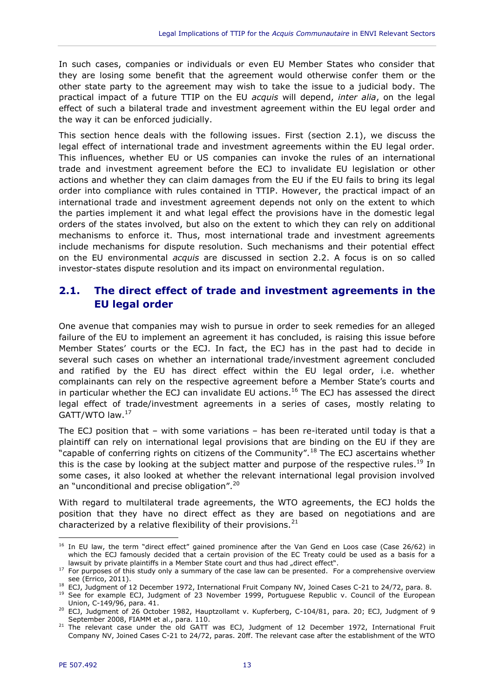In such cases, companies or individuals or even EU Member States who consider that they are losing some benefit that the agreement would otherwise confer them or the other state party to the agreement may wish to take the issue to a judicial body. The practical impact of a future TTIP on the EU *acquis* will depend, *inter alia*, on the legal effect of such a bilateral trade and investment agreement within the EU legal order and the way it can be enforced judicially.

This section hence deals with the following issues. First (section [2.1\)](#page-14-0), we discuss the legal effect of international trade and investment agreements within the EU legal order. This influences, whether EU or US companies can invoke the rules of an international trade and investment agreement before the ECJ to invalidate EU legislation or other actions and whether they can claim damages from the EU if the EU fails to bring its legal order into compliance with rules contained in TTIP. However, the practical impact of an international trade and investment agreement depends not only on the extent to which the parties implement it and what legal effect the provisions have in the domestic legal orders of the states involved, but also on the extent to which they can rely on additional mechanisms to enforce it. Thus, most international trade and investment agreements include mechanisms for dispute resolution. Such mechanisms and their potential effect on the EU environmental *acquis* are discussed in section [2.2.](#page-16-0) A focus is on so called investor-states dispute resolution and its impact on environmental regulation.

## <span id="page-14-0"></span>**2.1. The direct effect of trade and investment agreements in the EU legal order**

One avenue that companies may wish to pursue in order to seek remedies for an alleged failure of the EU to implement an agreement it has concluded, is raising this issue before Member States' courts or the ECJ. In fact, the ECJ has in the past had to decide in several such cases on whether an international trade/investment agreement concluded and ratified by the EU has direct effect within the EU legal order, i.e. whether complainants can rely on the respective agreement before a Member State's courts and in particular whether the ECJ can invalidate EU actions.<sup>16</sup> The ECJ has assessed the direct legal effect of trade/investment agreements in a series of cases, mostly relating to GATT/WTO law.<sup>17</sup>

The ECJ position that – with some variations – has been re-iterated until today is that a plaintiff can rely on international legal provisions that are binding on the EU if they are "capable of conferring rights on citizens of the Community".<sup>18</sup> The ECJ ascertains whether this is the case by looking at the subject matter and purpose of the respective rules.<sup>19</sup> In some cases, it also looked at whether the relevant international legal provision involved an "unconditional and precise obligation".<sup>20</sup>

With regard to multilateral trade agreements, the WTO agreements, the ECJ holds the position that they have no direct effect as they are based on negotiations and are characterized by a relative flexibility of their provisions. $^{21}$ 

<sup>&</sup>lt;sup>16</sup> In EU law, the term "direct effect" gained prominence after the Van Gend en Loos case (Case 26/62) in which the ECJ famously decided that a certain provision of the EC Treaty could be used as a basis for a lawsuit by private plaintiffs in a Member State court and thus had "direct effect".

 $17$  For purposes of this study only a summary of the case law can be presented. For a comprehensive overview see (Errico, 2011).

<sup>18</sup> ECJ, Judgment of 12 December 1972, International Fruit Company NV, Joined Cases C-21 to 24/72, para. 8.

<sup>&</sup>lt;sup>19</sup> See for example ECJ, Judgment of 23 November 1999, Portuguese Republic v. Council of the European Union, C-149/96, para. 41.

<sup>&</sup>lt;sup>20</sup> ECJ, Judgment of 26 October 1982, Hauptzollamt v. Kupferberg, C-104/81, para. 20; ECJ, Judgment of 9 September 2008, FIAMM et al., para. 110.

<sup>&</sup>lt;sup>21</sup> The relevant case under the old GATT was ECJ, Judgment of 12 December 1972, International Fruit Company NV, Joined Cases C-21 to 24/72, paras. 20ff. The relevant case after the establishment of the WTO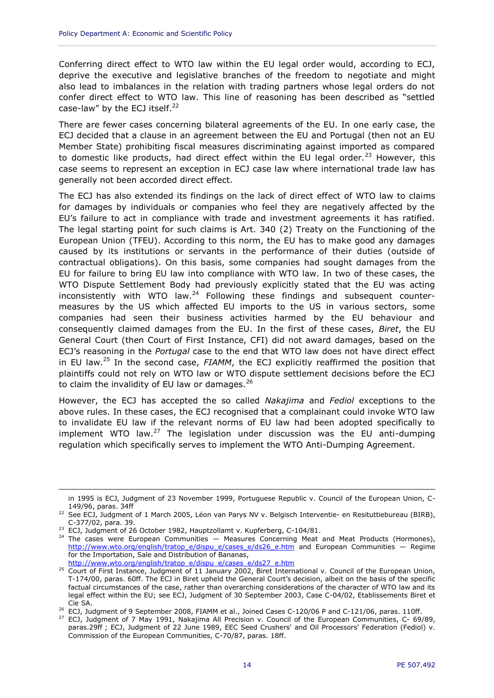Conferring direct effect to WTO law within the EU legal order would, according to ECJ, deprive the executive and legislative branches of the freedom to negotiate and might also lead to imbalances in the relation with trading partners whose legal orders do not confer direct effect to WTO law. This line of reasoning has been described as "settled case-law" by the ECJ itself.<sup>22</sup>

There are fewer cases concerning bilateral agreements of the EU. In one early case, the ECJ decided that a clause in an agreement between the EU and Portugal (then not an EU Member State) prohibiting fiscal measures discriminating against imported as compared to domestic like products, had direct effect within the EU legal order.<sup>23</sup> However, this case seems to represent an exception in ECJ case law where international trade law has generally not been accorded direct effect.

The ECJ has also extended its findings on the lack of direct effect of WTO law to claims for damages by individuals or companies who feel they are negatively affected by the EU's failure to act in compliance with trade and investment agreements it has ratified. The legal starting point for such claims is Art. 340 (2) Treaty on the Functioning of the European Union (TFEU). According to this norm, the EU has to make good any damages caused by its institutions or servants in the performance of their duties (outside of contractual obligations). On this basis, some companies had sought damages from the EU for failure to bring EU law into compliance with WTO law. In two of these cases, the WTO Dispute Settlement Body had previously explicitly stated that the EU was acting inconsistently with WTO law. $^{24}$  Following these findings and subsequent countermeasures by the US which affected EU imports to the US in various sectors, some companies had seen their business activities harmed by the EU behaviour and consequently claimed damages from the EU. In the first of these cases, *Biret*, the EU General Court (then Court of First Instance, CFI) did not award damages, based on the ECJ's reasoning in the *Portugal* case to the end that WTO law does not have direct effect in EU law.<sup>25</sup> In the second case, *FIAMM*, the ECJ explicitly reaffirmed the position that plaintiffs could not rely on WTO law or WTO dispute settlement decisions before the ECJ to claim the invalidity of EU law or damages. $^{26}$ 

However, the ECJ has accepted the so called *Nakajima* and *Fediol* exceptions to the above rules. In these cases, the ECJ recognised that a complainant could invoke WTO law to invalidate EU law if the relevant norms of EU law had been adopted specifically to implement WTO law. $27$  The legislation under discussion was the EU anti-dumping regulation which specifically serves to implement the WTO Anti-Dumping Agreement.

in 1995 is ECJ, Judgment of 23 November 1999, Portuguese Republic v. Council of the European Union, C-149/96, paras. 34ff

<sup>22</sup> See ECJ, Judgment of 1 March 2005, Léon van Parys NV v. Belgisch Interventie- en Resituttiebureau (BIRB), C-377/02, para. 39.

<sup>&</sup>lt;sup>23</sup> ECJ, Judgment of 26 October 1982, Hauptzollamt v. Kupferberg, C-104/81.

 $24$  The cases were European Communities  $-$  Measures Concerning Meat and Meat Products (Hormones), [http://www.wto.org/english/tratop\\_e/dispu\\_e/cases\\_e/ds26\\_e.htm](http://www.wto.org/english/tratop_e/dispu_e/cases_e/ds26_e.htm) and European Communities — Regime for the Importation, Sale and Distribution of Bananas, [http://www.wto.org/english/tratop\\_e/dispu\\_e/cases\\_e/ds27\\_e.htm](http://www.wto.org/english/tratop_e/dispu_e/cases_e/ds27_e.htm)

<sup>&</sup>lt;sup>25</sup> Court of First Instance, Judgment of 11 January 2002, Biret International v. Council of the European Union, T-174/00, paras. 60ff. The ECJ in Biret upheld the General Court's decision, albeit on the basis of the specific factual circumstances of the case, rather than overarching considerations of the character of WTO law and its legal effect within the EU; see ECJ, Judgment of 30 September 2003, Case C-04/02, Etablissements Biret et Cie SA.

<sup>&</sup>lt;sup>26</sup> ECJ, Judgment of 9 September 2008, FIAMM et al., Joined Cases C-120/06 P and C-121/06, paras. 110ff.

 $27$  ECJ, Judgment of 7 May 1991, Nakajima All Precision v. Council of the European Communities, C- 69/89, paras.29ff ; ECJ, Judgment of 22 June 1989, EEC Seed Crushers' and Oil Processors' Federation (Fediol) v. Commission of the European Communities, C-70/87, paras. 18ff.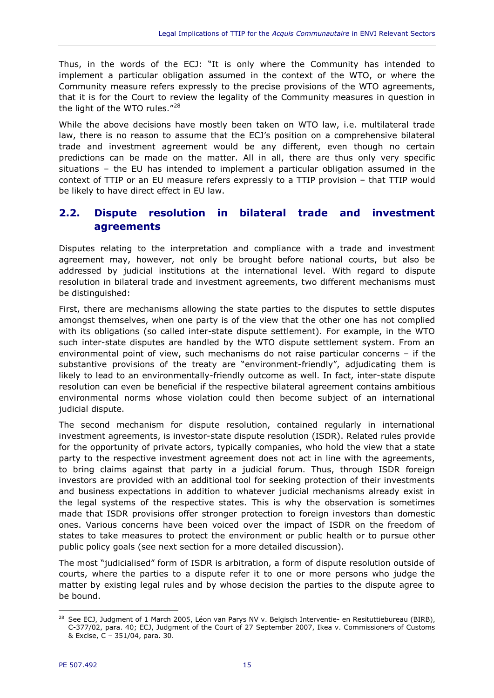Thus, in the words of the ECJ: "It is only where the Community has intended to implement a particular obligation assumed in the context of the WTO, or where the Community measure refers expressly to the precise provisions of the WTO agreements, that it is for the Court to review the legality of the Community measures in question in the light of the WTO rules."<sup>28</sup>

While the above decisions have mostly been taken on WTO law, i.e. multilateral trade law, there is no reason to assume that the ECJ's position on a comprehensive bilateral trade and investment agreement would be any different, even though no certain predictions can be made on the matter. All in all, there are thus only very specific situations – the EU has intended to implement a particular obligation assumed in the context of TTIP or an EU measure refers expressly to a TTIP provision – that TTIP would be likely to have direct effect in EU law.

## <span id="page-16-0"></span>**2.2. Dispute resolution in bilateral trade and investment agreements**

Disputes relating to the interpretation and compliance with a trade and investment agreement may, however, not only be brought before national courts, but also be addressed by judicial institutions at the international level. With regard to dispute resolution in bilateral trade and investment agreements, two different mechanisms must be distinguished:

First, there are mechanisms allowing the state parties to the disputes to settle disputes amongst themselves, when one party is of the view that the other one has not complied with its obligations (so called inter-state dispute settlement). For example, in the WTO such inter-state disputes are handled by the WTO dispute settlement system. From an environmental point of view, such mechanisms do not raise particular concerns – if the substantive provisions of the treaty are "environment-friendly", adjudicating them is likely to lead to an environmentally-friendly outcome as well. In fact, inter-state dispute resolution can even be beneficial if the respective bilateral agreement contains ambitious environmental norms whose violation could then become subject of an international judicial dispute.

The second mechanism for dispute resolution, contained regularly in international investment agreements, is investor-state dispute resolution (ISDR). Related rules provide for the opportunity of private actors, typically companies, who hold the view that a state party to the respective investment agreement does not act in line with the agreements, to bring claims against that party in a judicial forum. Thus, through ISDR foreign investors are provided with an additional tool for seeking protection of their investments and business expectations in addition to whatever judicial mechanisms already exist in the legal systems of the respective states. This is why the observation is sometimes made that ISDR provisions offer stronger protection to foreign investors than domestic ones. Various concerns have been voiced over the impact of ISDR on the freedom of states to take measures to protect the environment or public health or to pursue other public policy goals (see next section for a more detailed discussion).

The most "judicialised" form of ISDR is arbitration, a form of dispute resolution outside of courts, where the parties to a dispute refer it to one or more persons who judge the matter by existing legal rules and by whose decision the parties to the dispute agree to be bound.

 $\overline{a}$ <sup>28</sup> See ECJ, Judgment of 1 March 2005, Léon van Parys NV v. Belgisch Interventie- en Resituttiebureau (BIRB), C-377/02, para. 40; ECJ, Judgment of the Court of 27 September 2007, Ikea v. Commissioners of Customs & Excise, C – 351/04, para. 30.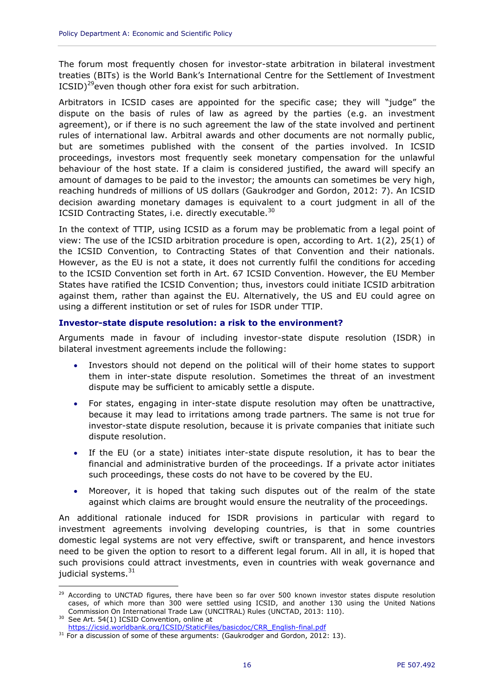The forum most frequently chosen for investor-state arbitration in bilateral investment treaties (BITs) is the World Bank's International Centre for the Settlement of Investment  $ICSID$ <sup>29</sup>even though other fora exist for such arbitration.

Arbitrators in ICSID cases are appointed for the specific case; they will "judge" the dispute on the basis of rules of law as agreed by the parties (e.g. an investment agreement), or if there is no such agreement the law of the state involved and pertinent rules of international law. Arbitral awards and other documents are not normally public, but are sometimes published with the consent of the parties involved. In ICSID proceedings, investors most frequently seek monetary compensation for the unlawful behaviour of the host state. If a claim is considered justified, the award will specify an amount of damages to be paid to the investor; the amounts can sometimes be very high, reaching hundreds of millions of US dollars (Gaukrodger and Gordon, 2012: 7). An ICSID decision awarding monetary damages is equivalent to a court judgment in all of the ICSID Contracting States, i.e. directly executable.<sup>30</sup>

In the context of TTIP, using ICSID as a forum may be problematic from a legal point of view: The use of the ICSID arbitration procedure is open, according to Art. 1(2), 25(1) of the ICSID Convention, to Contracting States of that Convention and their nationals. However, as the EU is not a state, it does not currently fulfil the conditions for acceding to the ICSID Convention set forth in Art. 67 ICSID Convention. However, the EU Member States have ratified the ICSID Convention; thus, investors could initiate ICSID arbitration against them, rather than against the EU. Alternatively, the US and EU could agree on using a different institution or set of rules for ISDR under TTIP.

#### <span id="page-17-0"></span>**Investor-state dispute resolution: a risk to the environment?**

Arguments made in favour of including investor-state dispute resolution (ISDR) in bilateral investment agreements include the following:

- Investors should not depend on the political will of their home states to support them in inter-state dispute resolution. Sometimes the threat of an investment dispute may be sufficient to amicably settle a dispute.
- For states, engaging in inter-state dispute resolution may often be unattractive, because it may lead to irritations among trade partners. The same is not true for investor-state dispute resolution, because it is private companies that initiate such dispute resolution.
- If the EU (or a state) initiates inter-state dispute resolution, it has to bear the financial and administrative burden of the proceedings. If a private actor initiates such proceedings, these costs do not have to be covered by the EU.
- Moreover, it is hoped that taking such disputes out of the realm of the state against which claims are brought would ensure the neutrality of the proceedings.

An additional rationale induced for ISDR provisions in particular with regard to investment agreements involving developing countries, is that in some countries domestic legal systems are not very effective, swift or transparent, and hence investors need to be given the option to resort to a different legal forum. All in all, it is hoped that such provisions could attract investments, even in countries with weak governance and judicial systems. $31$ 

<sup>&</sup>lt;sup>29</sup> According to UNCTAD figures, there have been so far over 500 known investor states dispute resolution cases, of which more than 300 were settled using ICSID, and another 130 using the United Nations Commission On International Trade Law (UNCITRAL) Rules (UNCTAD, 2013: 110).

<sup>&</sup>lt;sup>30</sup> See Art. 54(1) ICSID Convention, online at

[https://icsid.worldbank.org/ICSID/StaticFiles/basicdoc/CRR\\_English-final.pdf](https://icsid.worldbank.org/ICSID/StaticFiles/basicdoc/CRR_English-final.pdf)

 $31$  For a discussion of some of these arguments: (Gaukrodger and Gordon, 2012: 13).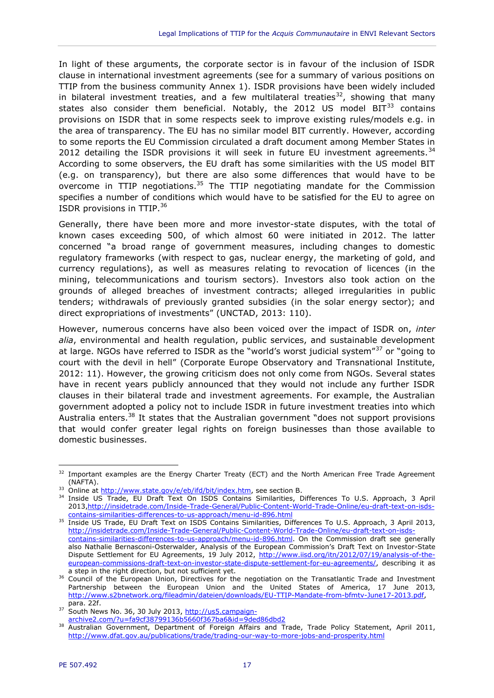In light of these arguments, the corporate sector is in favour of the inclusion of ISDR clause in international investment agreements (see for a summary of various positions on TTIP from the business community Annex 1). ISDR provisions have been widely included in bilateral investment treaties, and a few multilateral treaties<sup>32</sup>, showing that many states also consider them beneficial. Notably, the 2012 US model  $BIT^{33}$  contains provisions on ISDR that in some respects seek to improve existing rules/models e.g. in the area of transparency. The EU has no similar model BIT currently. However, according to some reports the EU Commission circulated a draft document among Member States in 2012 detailing the ISDR provisions it will seek in future EU investment agreements.<sup>34</sup> According to some observers, the EU draft has some similarities with the US model BIT (e.g. on transparency), but there are also some differences that would have to be overcome in TTIP negotiations. $35$  The TTIP negotiating mandate for the Commission specifies a number of conditions which would have to be satisfied for the EU to agree on ISDR provisions in TTIP.<sup>36</sup>

Generally, there have been more and more investor-state disputes, with the total of known cases exceeding 500, of which almost 60 were initiated in 2012. The latter concerned "a broad range of government measures, including changes to domestic regulatory frameworks (with respect to gas, nuclear energy, the marketing of gold, and currency regulations), as well as measures relating to revocation of licences (in the mining, telecommunications and tourism sectors). Investors also took action on the grounds of alleged breaches of investment contracts; alleged irregularities in public tenders; withdrawals of previously granted subsidies (in the solar energy sector); and direct expropriations of investments" (UNCTAD, 2013: 110).

However, numerous concerns have also been voiced over the impact of ISDR on, *inter alia*, environmental and health regulation, public services, and sustainable development at large. NGOs have referred to ISDR as the "world's worst judicial system"<sup>37</sup> or "going to court with the devil in hell" (Corporate Europe Observatory and Transnational Institute, 2012: 11). However, the growing criticism does not only come from NGOs. Several states have in recent years publicly announced that they would not include any further ISDR clauses in their bilateral trade and investment agreements. For example, the Australian government adopted a policy not to include ISDR in future investment treaties into which Australia enters.<sup>38</sup> It states that the Australian government "does not support provisions that would confer greater legal rights on foreign businesses than those available to domestic businesses.

<sup>&</sup>lt;sup>32</sup> Important examples are the Energy Charter Treaty (ECT) and the North American Free Trade Agreement (NAFTA).

<sup>33</sup> Online at [http://www.state.gov/e/eb/ifd/bit/index.htm,](http://www.state.gov/e/eb/ifd/bit/index.htm) see section B.

<sup>&</sup>lt;sup>34</sup> Inside US Trade, EU Draft Text On ISDS Contains Similarities, Differences To U.S. Approach, 3 April 2013[,http://insidetrade.com/Inside-Trade-General/Public-Content-World-Trade-Online/eu-draft-text-on-isds](http://insidetrade.com/Inside-Trade-General/Public-Content-World-Trade-Online/eu-draft-text-on-isds-contains-similarities-differences-to-us-approach/menu-id-896.html)[contains-similarities-differences-to-us-approach/menu-id-896.html](http://insidetrade.com/Inside-Trade-General/Public-Content-World-Trade-Online/eu-draft-text-on-isds-contains-similarities-differences-to-us-approach/menu-id-896.html)

<sup>&</sup>lt;sup>35</sup> Inside US Trade, EU Draft Text on ISDS Contains Similarities, Differences To U.S. Approach, 3 April 2013, [http://insidetrade.com/Inside-Trade-General/Public-Content-World-Trade-Online/eu-draft-text-on-isds](http://insidetrade.com/Inside-Trade-General/Public-Content-World-Trade-Online/eu-draft-text-on-isds-contains-similarities-differences-to-us-approach/menu-id-896.html)[contains-similarities-differences-to-us-approach/menu-id-896.html.](http://insidetrade.com/Inside-Trade-General/Public-Content-World-Trade-Online/eu-draft-text-on-isds-contains-similarities-differences-to-us-approach/menu-id-896.html) On the Commission draft see generally also Nathalie Bernasconi-Osterwalder, Analysis of the European Commission's Draft Text on Investor-State Dispute Settlement for EU Agreements, 19 July 2012, [http://www.iisd.org/itn/2012/07/19/analysis-of-the](http://www.iisd.org/itn/2012/07/19/analysis-of-the-european-commissions-draft-text-on-investor-state-dispute-settlement-for-eu-agreements/)[european-commissions-draft-text-on-investor-state-dispute-settlement-for-eu-agreements/,](http://www.iisd.org/itn/2012/07/19/analysis-of-the-european-commissions-draft-text-on-investor-state-dispute-settlement-for-eu-agreements/) describing it as a step in the right direction, but not sufficient yet.

<sup>&</sup>lt;sup>36</sup> Council of the European Union, Directives for the negotiation on the Transatlantic Trade and Investment Partnership between the European Union and the United States of America, 17 June 2013, [http://www.s2bnetwork.org/fileadmin/dateien/downloads/EU-TTIP-Mandate-from-bfmtv-June17-2013.pdf,](http://www.s2bnetwork.org/fileadmin/dateien/downloads/EU-TTIP-Mandate-from-bfmtv-June17-2013.pdf) para. 22f.

<sup>&</sup>lt;sup>37</sup> South News No. 36, 30 July 2013, [http://us5.campaign](http://us5.campaign-archive2.com/?u=fa9cf38799136b5660f367ba6&id=9ded86dbd2)[archive2.com/?u=fa9cf38799136b5660f367ba6&id=9ded86dbd2](http://us5.campaign-archive2.com/?u=fa9cf38799136b5660f367ba6&id=9ded86dbd2)

<sup>&</sup>lt;sup>38</sup> Australian Government, Department of Foreign Affairs and Trade, Trade Policy Statement, April 2011, <http://www.dfat.gov.au/publications/trade/trading-our-way-to-more-jobs-and-prosperity.html>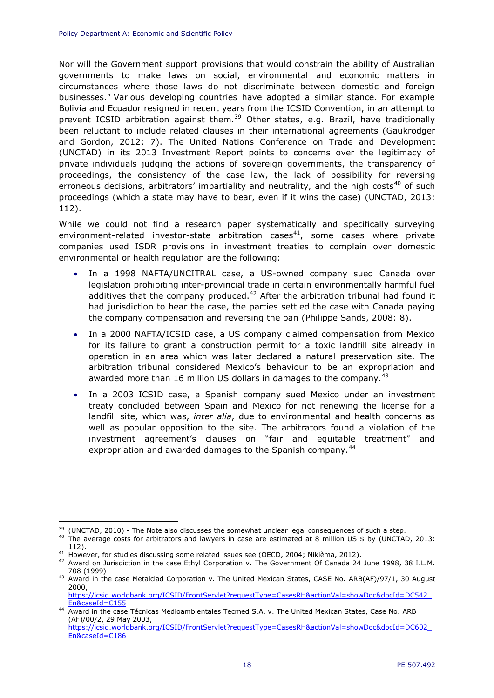Nor will the Government support provisions that would constrain the ability of Australian governments to make laws on social, environmental and economic matters in circumstances where those laws do not discriminate between domestic and foreign businesses." Various developing countries have adopted a similar stance. For example Bolivia and Ecuador resigned in recent years from the ICSID Convention, in an attempt to prevent ICSID arbitration against them.<sup>39</sup> Other states, e.g. Brazil, have traditionally been reluctant to include related clauses in their international agreements (Gaukrodger and Gordon, 2012: 7). The United Nations Conference on Trade and Development (UNCTAD) in its 2013 Investment Report points to concerns over the legitimacy of private individuals judging the actions of sovereign governments, the transparency of proceedings, the consistency of the case law, the lack of possibility for reversing erroneous decisions, arbitrators' impartiality and neutrality, and the high costs<sup>40</sup> of such proceedings (which a state may have to bear, even if it wins the case) (UNCTAD, 2013: 112).

While we could not find a research paper systematically and specifically surveying environment-related investor-state arbitration cases<sup>41</sup>, some cases where private companies used ISDR provisions in investment treaties to complain over domestic environmental or health regulation are the following:

- In a 1998 NAFTA/UNCITRAL case, a US-owned company sued Canada over legislation prohibiting inter-provincial trade in certain environmentally harmful fuel additives that the company produced.<sup>42</sup> After the arbitration tribunal had found it had jurisdiction to hear the case, the parties settled the case with Canada paying the company compensation and reversing the ban (Philippe Sands, 2008: 8).
- In a 2000 NAFTA/ICSID case, a US company claimed compensation from Mexico for its failure to grant a construction permit for a toxic landfill site already in operation in an area which was later declared a natural preservation site. The arbitration tribunal considered Mexico's behaviour to be an expropriation and awarded more than 16 million US dollars in damages to the company.  $43$
- In a 2003 ICSID case, a Spanish company sued Mexico under an investment treaty concluded between Spain and Mexico for not renewing the license for a landfill site, which was, *inter alia*, due to environmental and health concerns as well as popular opposition to the site. The arbitrators found a violation of the investment agreement's clauses on "fair and equitable treatment" and expropriation and awarded damages to the Spanish company.<sup>44</sup>

 $\overline{a}$ <sup>39</sup> (UNCTAD, 2010) - The Note also discusses the somewhat unclear legal consequences of such a step.

<sup>&</sup>lt;sup>40</sup> The average costs for arbitrators and lawyers in case are estimated at 8 million US \$ by (UNCTAD, 2013: 112).

<sup>&</sup>lt;sup>41</sup> However, for studies discussing some related issues see (OECD, 2004; Nikièma, 2012).

<sup>&</sup>lt;sup>42</sup> Award on Jurisdiction in the case Ethyl Corporation v. The Government Of Canada 24 June 1998, 38 I.L.M. 708 (1999)

<sup>43</sup> Award in the case Metalclad Corporation v. The United Mexican States, CASE No. ARB(AF)/97/1, 30 August 2000,

[https://icsid.worldbank.org/ICSID/FrontServlet?requestType=CasesRH&actionVal=showDoc&docId=DC542\\_](https://icsid.worldbank.org/ICSID/FrontServlet?requestType=CasesRH&actionVal=showDoc&docId=DC542_En&caseId=C155) [En&caseId=C155](https://icsid.worldbank.org/ICSID/FrontServlet?requestType=CasesRH&actionVal=showDoc&docId=DC542_En&caseId=C155)

<sup>44</sup> Award in the case Técnicas Medioambientales Tecmed S.A. v. The United Mexican States, Case No. ARB (AF)/00/2, 29 May 2003,

[https://icsid.worldbank.org/ICSID/FrontServlet?requestType=CasesRH&actionVal=showDoc&docId=DC602\\_](https://icsid.worldbank.org/ICSID/FrontServlet?requestType=CasesRH&actionVal=showDoc&docId=DC602_En&caseId=C186) [En&caseId=C186](https://icsid.worldbank.org/ICSID/FrontServlet?requestType=CasesRH&actionVal=showDoc&docId=DC602_En&caseId=C186)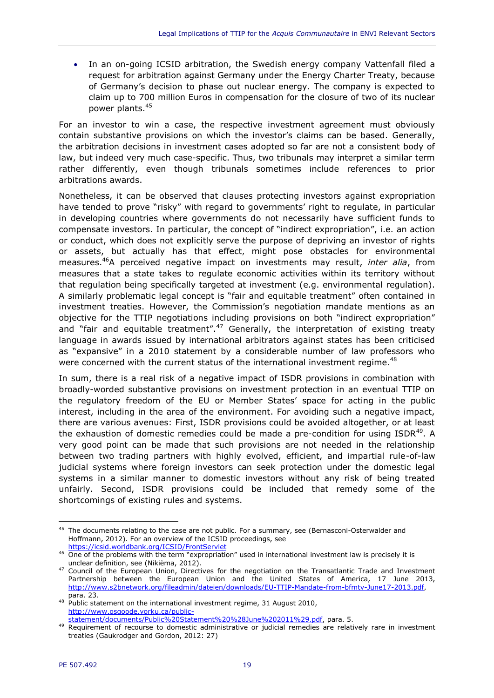In an on-going ICSID arbitration, the Swedish energy company Vattenfall filed a request for arbitration against Germany under the Energy Charter Treaty, because of Germany's decision to phase out nuclear energy. The company is expected to claim up to 700 million Euros in compensation for the closure of two of its nuclear power plants.<sup>45</sup>

For an investor to win a case, the respective investment agreement must obviously contain substantive provisions on which the investor's claims can be based. Generally, the arbitration decisions in investment cases adopted so far are not a consistent body of law, but indeed very much case-specific. Thus, two tribunals may interpret a similar term rather differently, even though tribunals sometimes include references to prior arbitrations awards.

Nonetheless, it can be observed that clauses protecting investors against expropriation have tended to prove "risky" with regard to governments' right to regulate, in particular in developing countries where governments do not necessarily have sufficient funds to compensate investors. In particular, the concept of "indirect expropriation", i.e. an action or conduct, which does not explicitly serve the purpose of depriving an investor of rights or assets, but actually has that effect, might pose obstacles for environmental measures.<sup>46</sup>A perceived negative impact on investments may result, *inter alia*, from measures that a state takes to regulate economic activities within its territory without that regulation being specifically targeted at investment (e.g. environmental regulation). A similarly problematic legal concept is "fair and equitable treatment" often contained in investment treaties. However, the Commission's negotiation mandate mentions as an objective for the TTIP negotiations including provisions on both "indirect expropriation" and "fair and equitable treatment".<sup>47</sup> Generally, the interpretation of existing treaty language in awards issued by international arbitrators against states has been criticised as "expansive" in a 2010 statement by a considerable number of law professors who were concerned with the current status of the international investment regime. $48$ 

In sum, there is a real risk of a negative impact of ISDR provisions in combination with broadly-worded substantive provisions on investment protection in an eventual TTIP on the regulatory freedom of the EU or Member States' space for acting in the public interest, including in the area of the environment. For avoiding such a negative impact, there are various avenues: First, ISDR provisions could be avoided altogether, or at least the exhaustion of domestic remedies could be made a pre-condition for using  $ISBN^{49}$ . A very good point can be made that such provisions are not needed in the relationship between two trading partners with highly evolved, efficient, and impartial rule-of-law judicial systems where foreign investors can seek protection under the domestic legal systems in a similar manner to domestic investors without any risk of being treated unfairly. Second, ISDR provisions could be included that remedy some of the shortcomings of existing rules and systems.

 $\overline{a}$  $45$  The documents relating to the case are not public. For a summary, see (Bernasconi-Osterwalder and Hoffmann, 2012). For an overview of the ICSID proceedings, see <https://icsid.worldbank.org/ICSID/FrontServlet>

<sup>&</sup>lt;sup>46</sup> One of the problems with the term "expropriation" used in international investment law is precisely it is unclear definition, see (Nikièma, 2012).

<sup>&</sup>lt;sup>47</sup> Council of the European Union, Directives for the negotiation on the Transatlantic Trade and Investment Partnership between the European Union and the United States of America, 17 June 2013, [http://www.s2bnetwork.org/fileadmin/dateien/downloads/EU-TTIP-Mandate-from-bfmtv-June17-2013.pdf,](http://www.s2bnetwork.org/fileadmin/dateien/downloads/EU-TTIP-Mandate-from-bfmtv-June17-2013.pdf) para. 23.

<sup>48</sup> Public statement on the international investment regime, 31 August 2010, [http://www.osgoode.yorku.ca/public-](http://www.osgoode.yorku.ca/public-statement/documents/Public%20Statement%20%28June%202011%29.pdf)

[statement/documents/Public%20Statement%20%28June%202011%29.pdf,](http://www.osgoode.yorku.ca/public-statement/documents/Public%20Statement%20%28June%202011%29.pdf) para. 5.

<sup>&</sup>lt;sup>49</sup> Requirement of recourse to domestic administrative or judicial remedies are relatively rare in investment treaties (Gaukrodger and Gordon, 2012: 27)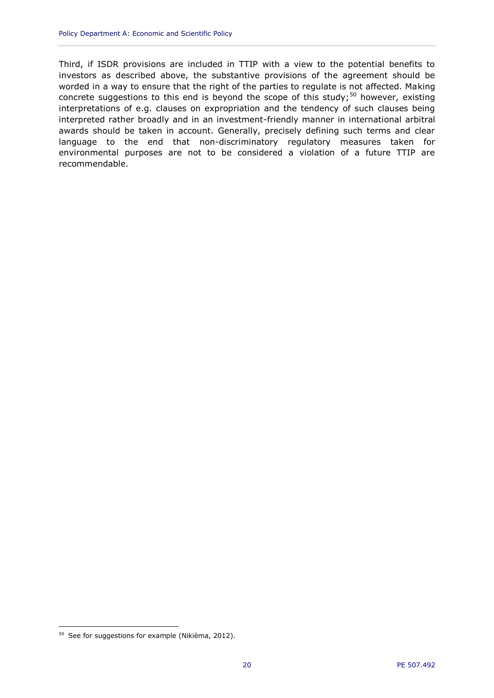Third, if ISDR provisions are included in TTIP with a view to the potential benefits to investors as described above, the substantive provisions of the agreement should be worded in a way to ensure that the right of the parties to regulate is not affected. Making concrete suggestions to this end is beyond the scope of this study; $50$  however, existing interpretations of e.g. clauses on expropriation and the tendency of such clauses being interpreted rather broadly and in an investment-friendly manner in international arbitral awards should be taken in account. Generally, precisely defining such terms and clear language to the end that non-discriminatory regulatory measures taken for environmental purposes are not to be considered a violation of a future TTIP are recommendable.

<sup>50</sup> See for suggestions for example (Nikièma, 2012).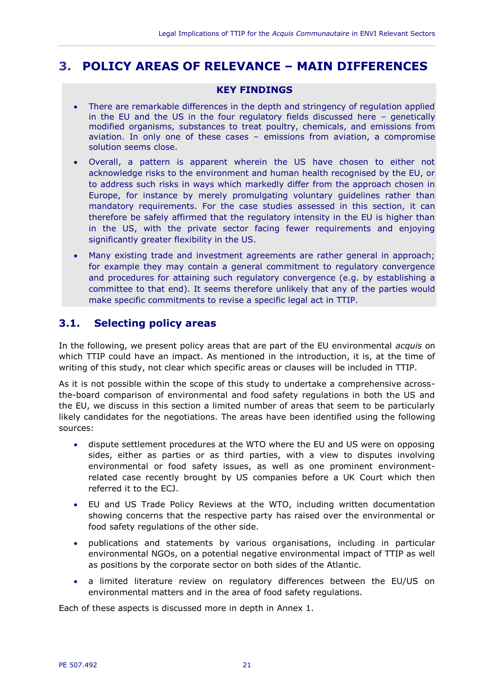## <span id="page-22-0"></span>**3. POLICY AREAS OF RELEVANCE – MAIN DIFFERENCES**

#### **KEY FINDINGS**

- There are remarkable differences in the depth and stringency of regulation applied in the EU and the US in the four regulatory fields discussed here – genetically modified organisms, substances to treat poultry, chemicals, and emissions from aviation. In only one of these cases – emissions from aviation, a compromise solution seems close.
- Overall, a pattern is apparent wherein the US have chosen to either not acknowledge risks to the environment and human health recognised by the EU, or to address such risks in ways which markedly differ from the approach chosen in Europe, for instance by merely promulgating voluntary guidelines rather than mandatory requirements. For the case studies assessed in this section, it can therefore be safely affirmed that the regulatory intensity in the EU is higher than in the US, with the private sector facing fewer requirements and enjoying significantly greater flexibility in the US.
- Many existing trade and investment agreements are rather general in approach; for example they may contain a general commitment to regulatory convergence and procedures for attaining such regulatory convergence (e.g. by establishing a committee to that end). It seems therefore unlikely that any of the parties would make specific commitments to revise a specific legal act in TTIP.

## <span id="page-22-1"></span>**3.1. Selecting policy areas**

In the following, we present policy areas that are part of the EU environmental *acquis* on which TTIP could have an impact. As mentioned in the introduction, it is, at the time of writing of this study, not clear which specific areas or clauses will be included in TTIP.

As it is not possible within the scope of this study to undertake a comprehensive acrossthe-board comparison of environmental and food safety regulations in both the US and the EU, we discuss in this section a limited number of areas that seem to be particularly likely candidates for the negotiations. The areas have been identified using the following sources:

- dispute settlement procedures at the WTO where the EU and US were on opposing sides, either as parties or as third parties, with a view to disputes involving environmental or food safety issues, as well as one prominent environmentrelated case recently brought by US companies before a UK Court which then referred it to the ECJ.
- EU and US Trade Policy Reviews at the WTO, including written documentation showing concerns that the respective party has raised over the environmental or food safety regulations of the other side.
- publications and statements by various organisations, including in particular environmental NGOs, on a potential negative environmental impact of TTIP as well as positions by the corporate sector on both sides of the Atlantic.
- a limited literature review on regulatory differences between the EU/US on environmental matters and in the area of food safety regulations.

Each of these aspects is discussed more in depth in Annex 1.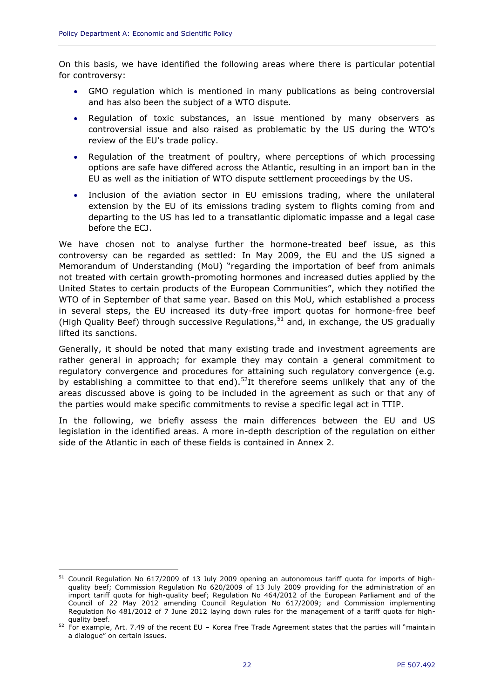$\overline{a}$ 

On this basis, we have identified the following areas where there is particular potential for controversy:

- GMO regulation which is mentioned in many publications as being controversial and has also been the subject of a WTO dispute.
- Regulation of toxic substances, an issue mentioned by many observers as controversial issue and also raised as problematic by the US during the WTO's review of the EU's trade policy.
- Regulation of the treatment of poultry, where perceptions of which processing options are safe have differed across the Atlantic, resulting in an import ban in the EU as well as the initiation of WTO dispute settlement proceedings by the US.
- Inclusion of the aviation sector in EU emissions trading, where the unilateral extension by the EU of its emissions trading system to flights coming from and departing to the US has led to a transatlantic diplomatic impasse and a legal case before the ECJ.

We have chosen not to analyse further the hormone-treated beef issue, as this controversy can be regarded as settled: In May 2009, the EU and the US signed a Memorandum of Understanding (MoU) "regarding the importation of beef from animals not treated with certain growth-promoting hormones and increased duties applied by the United States to certain products of the European Communities", which they notified the WTO of in September of that same year. Based on this MoU, which established a process in several steps, the EU increased its duty-free import quotas for hormone-free beef (High Quality Beef) through successive Regulations,  $51$  and, in exchange, the US gradually lifted its sanctions.

Generally, it should be noted that many existing trade and investment agreements are rather general in approach; for example they may contain a general commitment to regulatory convergence and procedures for attaining such regulatory convergence (e.g. by establishing a committee to that end).<sup>52</sup>It therefore seems unlikely that any of the areas discussed above is going to be included in the agreement as such or that any of the parties would make specific commitments to revise a specific legal act in TTIP.

In the following, we briefly assess the main differences between the EU and US legislation in the identified areas. A more in-depth description of the regulation on either side of the Atlantic in each of these fields is contained in Annex 2.

<sup>&</sup>lt;sup>51</sup> Council Regulation No 617/2009 of 13 July 2009 opening an autonomous tariff quota for imports of highquality beef; Commission Regulation No 620/2009 of 13 July 2009 providing for the administration of an import tariff quota for high-quality beef; Regulation No 464/2012 of the European Parliament and of the Council of 22 May 2012 amending Council Regulation No 617/2009; and Commission implementing Regulation No 481/2012 of 7 June 2012 laying down rules for the management of a tariff quota for highquality beef.

 $52$  For example, Art. 7.49 of the recent EU – Korea Free Trade Agreement states that the parties will "maintain a dialogue" on certain issues.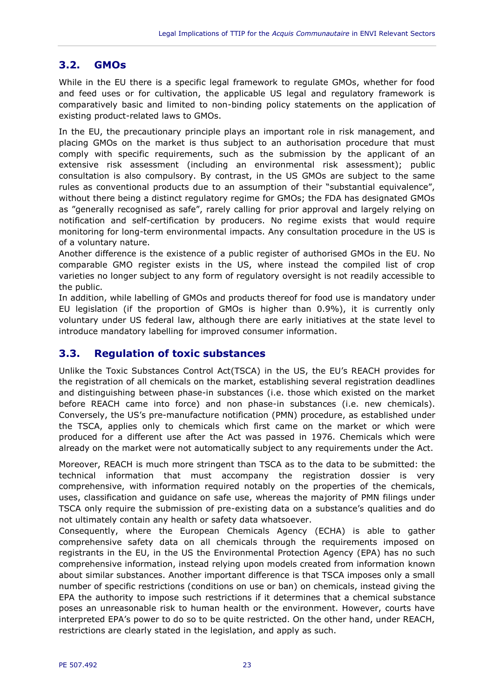## <span id="page-24-0"></span>**3.2. GMOs**

While in the EU there is a specific legal framework to regulate GMOs, whether for food and feed uses or for cultivation, the applicable US legal and regulatory framework is comparatively basic and limited to non-binding policy statements on the application of existing product-related laws to GMOs.

In the EU, the precautionary principle plays an important role in risk management, and placing GMOs on the market is thus subject to an authorisation procedure that must comply with specific requirements, such as the submission by the applicant of an extensive risk assessment (including an environmental risk assessment); public consultation is also compulsory. By contrast, in the US GMOs are subject to the same rules as conventional products due to an assumption of their "substantial equivalence", without there being a distinct regulatory regime for GMOs; the FDA has designated GMOs as "generally recognised as safe", rarely calling for prior approval and largely relying on notification and self-certification by producers. No regime exists that would require monitoring for long-term environmental impacts. Any consultation procedure in the US is of a voluntary nature.

Another difference is the existence of a public register of authorised GMOs in the EU. No comparable GMO register exists in the US, where instead the compiled list of crop varieties no longer subject to any form of regulatory oversight is not readily accessible to the public.

In addition, while labelling of GMOs and products thereof for food use is mandatory under EU legislation (if the proportion of GMOs is higher than 0.9%), it is currently only voluntary under US federal law, although there are early initiatives at the state level to introduce mandatory labelling for improved consumer information.

## <span id="page-24-1"></span>**3.3. Regulation of toxic substances**

Unlike the Toxic Substances Control Act(TSCA) in the US, the EU's REACH provides for the registration of all chemicals on the market, establishing several registration deadlines and distinguishing between phase-in substances (i.e. those which existed on the market before REACH came into force) and non phase-in substances (i.e. new chemicals). Conversely, the US's pre-manufacture notification (PMN) procedure, as established under the TSCA, applies only to chemicals which first came on the market or which were produced for a different use after the Act was passed in 1976. Chemicals which were already on the market were not automatically subject to any requirements under the Act.

Moreover, REACH is much more stringent than TSCA as to the data to be submitted: the technical information that must accompany the registration dossier is very comprehensive, with information required notably on the properties of the chemicals, uses, classification and guidance on safe use, whereas the majority of PMN filings under TSCA only require the submission of pre-existing data on a substance's qualities and do not ultimately contain any health or safety data whatsoever.

Consequently, where the European Chemicals Agency (ECHA) is able to gather comprehensive safety data on all chemicals through the requirements imposed on registrants in the EU, in the US the Environmental Protection Agency (EPA) has no such comprehensive information, instead relying upon models created from information known about similar substances. Another important difference is that TSCA imposes only a small number of specific restrictions (conditions on use or ban) on chemicals, instead giving the EPA the authority to impose such restrictions if it determines that a chemical substance poses an unreasonable risk to human health or the environment. However, courts have interpreted EPA's power to do so to be quite restricted. On the other hand, under REACH, restrictions are clearly stated in the legislation, and apply as such.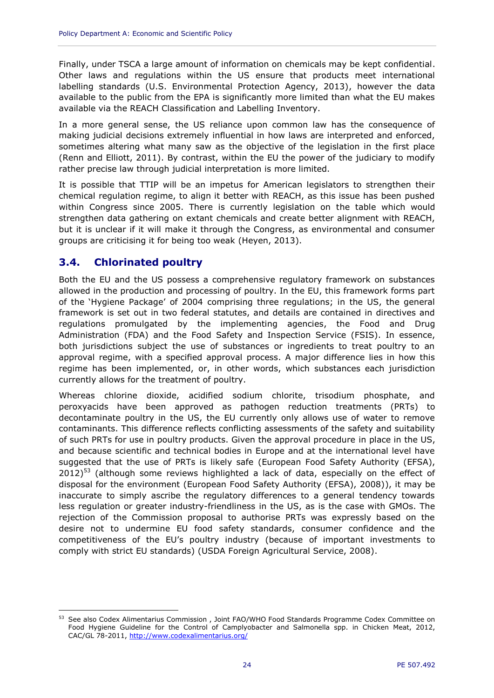Finally, under TSCA a large amount of information on chemicals may be kept confidential. Other laws and regulations within the US ensure that products meet international labelling standards (U.S. Environmental Protection Agency, 2013), however the data available to the public from the EPA is significantly more limited than what the EU makes available via the REACH Classification and Labelling Inventory.

In a more general sense, the US reliance upon common law has the consequence of making judicial decisions extremely influential in how laws are interpreted and enforced, sometimes altering what many saw as the objective of the legislation in the first place (Renn and Elliott, 2011). By contrast, within the EU the power of the judiciary to modify rather precise law through judicial interpretation is more limited.

It is possible that TTIP will be an impetus for American legislators to strengthen their chemical regulation regime, to align it better with REACH, as this issue has been pushed within Congress since 2005. There is currently legislation on the table which would strengthen data gathering on extant chemicals and create better alignment with REACH, but it is unclear if it will make it through the Congress, as environmental and consumer groups are criticising it for being too weak (Heyen, 2013).

## <span id="page-25-0"></span>**3.4. Chlorinated poultry**

 $\overline{a}$ 

Both the EU and the US possess a comprehensive regulatory framework on substances allowed in the production and processing of poultry. In the EU, this framework forms part of the 'Hygiene Package' of 2004 comprising three regulations; in the US, the general framework is set out in two federal statutes, and details are contained in directives and regulations promulgated by the implementing agencies, the Food and Drug Administration (FDA) and the Food Safety and Inspection Service (FSIS). In essence, both jurisdictions subject the use of substances or ingredients to treat poultry to an approval regime, with a specified approval process. A major difference lies in how this regime has been implemented, or, in other words, which substances each jurisdiction currently allows for the treatment of poultry.

Whereas chlorine dioxide, acidified sodium chlorite, trisodium phosphate, and peroxyacids have been approved as pathogen reduction treatments (PRTs) to decontaminate poultry in the US, the EU currently only allows use of water to remove contaminants. This difference reflects conflicting assessments of the safety and suitability of such PRTs for use in poultry products. Given the approval procedure in place in the US, and because scientific and technical bodies in Europe and at the international level have suggested that the use of PRTs is likely safe (European Food Safety Authority (EFSA),  $2012$ <sup>53</sup> (although some reviews highlighted a lack of data, especially on the effect of disposal for the environment (European Food Safety Authority (EFSA), 2008)), it may be inaccurate to simply ascribe the regulatory differences to a general tendency towards less regulation or greater industry-friendliness in the US, as is the case with GMOs. The rejection of the Commission proposal to authorise PRTs was expressly based on the desire not to undermine EU food safety standards, consumer confidence and the competitiveness of the EU's poultry industry (because of important investments to comply with strict EU standards) (USDA Foreign Agricultural Service, 2008).

<sup>53</sup> See also Codex Alimentarius Commission , Joint FAO/WHO Food Standards Programme Codex Committee on Food Hygiene Guideline for the Control of Camplyobacter and Salmonella spp. in Chicken Meat, 2012, CAC/GL 78-2011,<http://www.codexalimentarius.org/>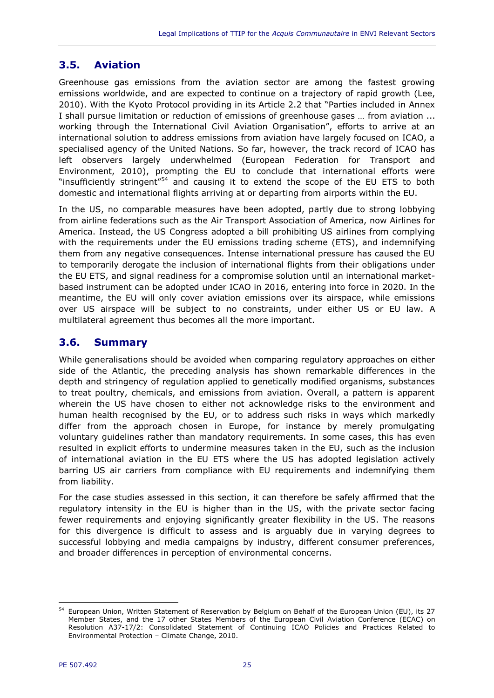## <span id="page-26-0"></span>**3.5. Aviation**

Greenhouse gas emissions from the aviation sector are among the fastest growing emissions worldwide, and are expected to continue on a trajectory of rapid growth (Lee, 2010). With the Kyoto Protocol providing in its Article 2.2 that "Parties included in Annex I shall pursue limitation or reduction of emissions of greenhouse gases … from aviation ... working through the International Civil Aviation Organisation", efforts to arrive at an international solution to address emissions from aviation have largely focused on ICAO, a specialised agency of the United Nations. So far, however, the track record of ICAO has left observers largely underwhelmed (European Federation for Transport and Environment, 2010), prompting the EU to conclude that international efforts were "insufficiently stringent" $54$  and causing it to extend the scope of the EU ETS to both domestic and international flights arriving at or departing from airports within the EU.

In the US, no comparable measures have been adopted, partly due to strong lobbying from airline federations such as the Air Transport Association of America, now Airlines for America. Instead, the US Congress adopted a bill prohibiting US airlines from complying with the requirements under the EU emissions trading scheme (ETS), and indemnifying them from any negative consequences. Intense international pressure has caused the EU to temporarily derogate the inclusion of international flights from their obligations under the EU ETS, and signal readiness for a compromise solution until an international marketbased instrument can be adopted under ICAO in 2016, entering into force in 2020. In the meantime, the EU will only cover aviation emissions over its airspace, while emissions over US airspace will be subject to no constraints, under either US or EU law. A multilateral agreement thus becomes all the more important.

#### <span id="page-26-1"></span>**3.6. Summary**

While generalisations should be avoided when comparing regulatory approaches on either side of the Atlantic, the preceding analysis has shown remarkable differences in the depth and stringency of regulation applied to genetically modified organisms, substances to treat poultry, chemicals, and emissions from aviation. Overall, a pattern is apparent wherein the US have chosen to either not acknowledge risks to the environment and human health recognised by the EU, or to address such risks in ways which markedly differ from the approach chosen in Europe, for instance by merely promulgating voluntary guidelines rather than mandatory requirements. In some cases, this has even resulted in explicit efforts to undermine measures taken in the EU, such as the inclusion of international aviation in the EU ETS where the US has adopted legislation actively barring US air carriers from compliance with EU requirements and indemnifying them from liability.

For the case studies assessed in this section, it can therefore be safely affirmed that the regulatory intensity in the EU is higher than in the US, with the private sector facing fewer requirements and enjoying significantly greater flexibility in the US. The reasons for this divergence is difficult to assess and is arguably due in varying degrees to successful lobbying and media campaigns by industry, different consumer preferences, and broader differences in perception of environmental concerns.

<sup>54</sup> European Union, Written Statement of Reservation by Belgium on Behalf of the European Union (EU), its 27 Member States, and the 17 other States Members of the European Civil Aviation Conference (ECAC) on Resolution A37-17/2: Consolidated Statement of Continuing ICAO Policies and Practices Related to Environmental Protection – Climate Change, 2010.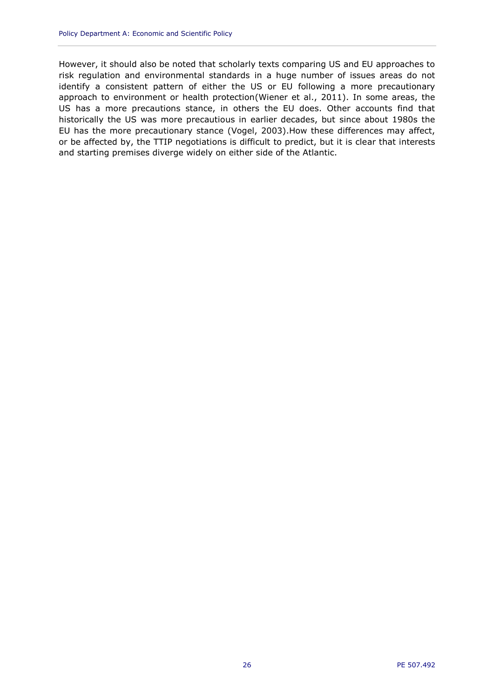However, it should also be noted that scholarly texts comparing US and EU approaches to risk regulation and environmental standards in a huge number of issues areas do not identify a consistent pattern of either the US or EU following a more precautionary approach to environment or health protection(Wiener et al., 2011). In some areas, the US has a more precautions stance, in others the EU does. Other accounts find that historically the US was more precautious in earlier decades, but since about 1980s the EU has the more precautionary stance (Vogel, 2003).How these differences may affect, or be affected by, the TTIP negotiations is difficult to predict, but it is clear that interests and starting premises diverge widely on either side of the Atlantic.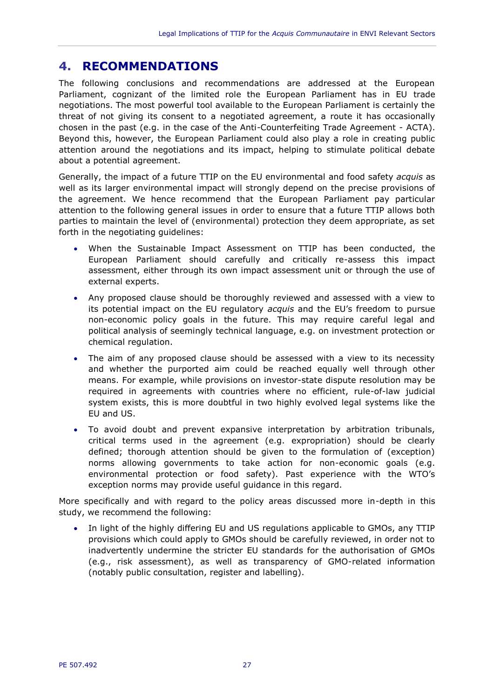## <span id="page-28-0"></span>**4. RECOMMENDATIONS**

The following conclusions and recommendations are addressed at the European Parliament, cognizant of the limited role the European Parliament has in EU trade negotiations. The most powerful tool available to the European Parliament is certainly the threat of not giving its consent to a negotiated agreement, a route it has occasionally chosen in the past (e.g. in the case of the Anti-Counterfeiting Trade Agreement - ACTA). Beyond this, however, the European Parliament could also play a role in creating public attention around the negotiations and its impact, helping to stimulate political debate about a potential agreement.

Generally, the impact of a future TTIP on the EU environmental and food safety *acquis* as well as its larger environmental impact will strongly depend on the precise provisions of the agreement. We hence recommend that the European Parliament pay particular attention to the following general issues in order to ensure that a future TTIP allows both parties to maintain the level of (environmental) protection they deem appropriate, as set forth in the negotiating guidelines:

- When the Sustainable Impact Assessment on TTIP has been conducted, the European Parliament should carefully and critically re-assess this impact assessment, either through its own impact assessment unit or through the use of external experts.
- Any proposed clause should be thoroughly reviewed and assessed with a view to its potential impact on the EU regulatory *acquis* and the EU's freedom to pursue non-economic policy goals in the future. This may require careful legal and political analysis of seemingly technical language, e.g. on investment protection or chemical regulation.
- The aim of any proposed clause should be assessed with a view to its necessity and whether the purported aim could be reached equally well through other means. For example, while provisions on investor-state dispute resolution may be required in agreements with countries where no efficient, rule-of-law judicial system exists, this is more doubtful in two highly evolved legal systems like the EU and US.
- To avoid doubt and prevent expansive interpretation by arbitration tribunals, critical terms used in the agreement (e.g. expropriation) should be clearly defined; thorough attention should be given to the formulation of (exception) norms allowing governments to take action for non-economic goals (e.g. environmental protection or food safety). Past experience with the WTO's exception norms may provide useful guidance in this regard.

More specifically and with regard to the policy areas discussed more in-depth in this study, we recommend the following:

 In light of the highly differing EU and US regulations applicable to GMOs, any TTIP provisions which could apply to GMOs should be carefully reviewed, in order not to inadvertently undermine the stricter EU standards for the authorisation of GMOs (e.g., risk assessment), as well as transparency of GMO-related information (notably public consultation, register and labelling).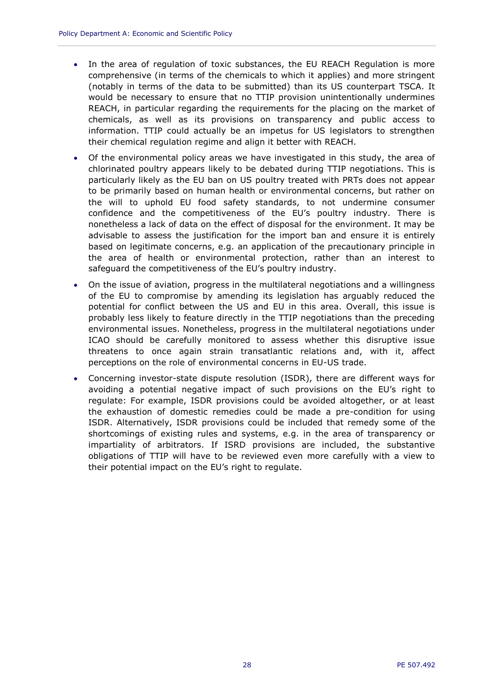- In the area of regulation of toxic substances, the EU REACH Regulation is more comprehensive (in terms of the chemicals to which it applies) and more stringent (notably in terms of the data to be submitted) than its US counterpart TSCA. It would be necessary to ensure that no TTIP provision unintentionally undermines REACH, in particular regarding the requirements for the placing on the market of chemicals, as well as its provisions on transparency and public access to information. TTIP could actually be an impetus for US legislators to strengthen their chemical regulation regime and align it better with REACH.
- Of the environmental policy areas we have investigated in this study, the area of chlorinated poultry appears likely to be debated during TTIP negotiations. This is particularly likely as the EU ban on US poultry treated with PRTs does not appear to be primarily based on human health or environmental concerns, but rather on the will to uphold EU food safety standards, to not undermine consumer confidence and the competitiveness of the EU's poultry industry. There is nonetheless a lack of data on the effect of disposal for the environment. It may be advisable to assess the justification for the import ban and ensure it is entirely based on legitimate concerns, e.g. an application of the precautionary principle in the area of health or environmental protection, rather than an interest to safeguard the competitiveness of the EU's poultry industry.
- On the issue of aviation, progress in the multilateral negotiations and a willingness of the EU to compromise by amending its legislation has arguably reduced the potential for conflict between the US and EU in this area. Overall, this issue is probably less likely to feature directly in the TTIP negotiations than the preceding environmental issues. Nonetheless, progress in the multilateral negotiations under ICAO should be carefully monitored to assess whether this disruptive issue threatens to once again strain transatlantic relations and, with it, affect perceptions on the role of environmental concerns in EU-US trade.
- Concerning investor-state dispute resolution (ISDR), there are different ways for avoiding a potential negative impact of such provisions on the EU's right to regulate: For example, ISDR provisions could be avoided altogether, or at least the exhaustion of domestic remedies could be made a pre-condition for using ISDR. Alternatively, ISDR provisions could be included that remedy some of the shortcomings of existing rules and systems, e.g. in the area of transparency or impartiality of arbitrators. If ISRD provisions are included, the substantive obligations of TTIP will have to be reviewed even more carefully with a view to their potential impact on the EU's right to regulate.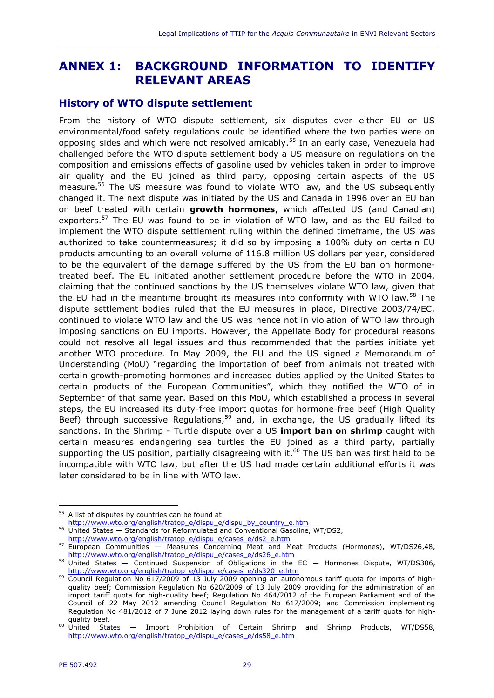## <span id="page-30-0"></span>**ANNEX 1: BACKGROUND INFORMATION TO IDENTIFY RELEVANT AREAS**

#### <span id="page-30-1"></span>**History of WTO dispute settlement**

From the history of WTO dispute settlement, six disputes over either EU or US environmental/food safety regulations could be identified where the two parties were on opposing sides and which were not resolved amicably.<sup>55</sup> In an early case, Venezuela had challenged before the WTO dispute settlement body a US measure on regulations on the composition and emissions effects of gasoline used by vehicles taken in order to improve air quality and the EU joined as third party, opposing certain aspects of the US measure.<sup>56</sup> The US measure was found to violate WTO law, and the US subsequently changed it. The next dispute was initiated by the US and Canada in 1996 over an EU ban on beef treated with certain **growth hormones**, which affected US (and Canadian) exporters.<sup>57</sup> The EU was found to be in violation of WTO law, and as the EU failed to implement the WTO dispute settlement ruling within the defined timeframe, the US was authorized to take countermeasures; it did so by imposing a 100% duty on certain EU products amounting to an overall volume of 116.8 million US dollars per year, considered to be the equivalent of the damage suffered by the US from the EU ban on hormonetreated beef. The EU initiated another settlement procedure before the WTO in 2004, claiming that the continued sanctions by the US themselves violate WTO law, given that the EU had in the meantime brought its measures into conformity with WTO law.<sup>58</sup> The dispute settlement bodies ruled that the EU measures in place, Directive 2003/74/EC, continued to violate WTO law and the US was hence not in violation of WTO law through imposing sanctions on EU imports. However, the Appellate Body for procedural reasons could not resolve all legal issues and thus recommended that the parties initiate yet another WTO procedure. In May 2009, the EU and the US signed a Memorandum of Understanding (MoU) "regarding the importation of beef from animals not treated with certain growth-promoting hormones and increased duties applied by the United States to certain products of the European Communities", which they notified the WTO of in September of that same year. Based on this MoU, which established a process in several steps, the EU increased its duty-free import quotas for hormone-free beef (High Quality Beef) through successive Regulations,<sup>59</sup> and, in exchange, the US gradually lifted its sanctions. In the Shrimp - Turtle dispute over a US **import ban on shrimp** caught with certain measures endangering sea turtles the EU joined as a third party, partially supporting the US position, partially disagreeing with it.<sup>60</sup> The US ban was first held to be incompatible with WTO law, but after the US had made certain additional efforts it was later considered to be in line with WTO law.

<sup>&</sup>lt;sup>55</sup> A list of disputes by countries can be found at

[http://www.wto.org/english/tratop\\_e/dispu\\_e/dispu\\_by\\_country\\_e.htm](http://www.wto.org/english/tratop_e/dispu_e/dispu_by_country_e.htm)

<sup>56</sup> United States — Standards for Reformulated and Conventional Gasoline, WT/DS2,

[http://www.wto.org/english/tratop\\_e/dispu\\_e/cases\\_e/ds2\\_e.htm](http://www.wto.org/english/tratop_e/dispu_e/cases_e/ds2_e.htm)

<sup>57</sup> European Communities — Measures Concerning Meat and Meat Products (Hormones), WT/DS26,48, [http://www.wto.org/english/tratop\\_e/dispu\\_e/cases\\_e/ds26\\_e.htm](http://www.wto.org/english/tratop_e/dispu_e/cases_e/ds26_e.htm)

<sup>58</sup> United States — Continued Suspension of Obligations in the EC — Hormones Dispute, WT/DS306, [http://www.wto.org/english/tratop\\_e/dispu\\_e/cases\\_e/ds320\\_e.htm](http://www.wto.org/english/tratop_e/dispu_e/cases_e/ds320_e.htm)

<sup>59</sup> Council Regulation No 617/2009 of 13 July 2009 opening an autonomous tariff quota for imports of highquality beef; Commission Regulation No 620/2009 of 13 July 2009 providing for the administration of an import tariff quota for high-quality beef; Regulation No 464/2012 of the European Parliament and of the Council of 22 May 2012 amending Council Regulation No 617/2009; and Commission implementing Regulation No 481/2012 of 7 June 2012 laying down rules for the management of a tariff quota for highquality beef.

<sup>60</sup> United States — Import Prohibition of Certain Shrimp and Shrimp Products, WT/DS58, [http://www.wto.org/english/tratop\\_e/dispu\\_e/cases\\_e/ds58\\_e.htm](http://www.wto.org/english/tratop_e/dispu_e/cases_e/ds58_e.htm)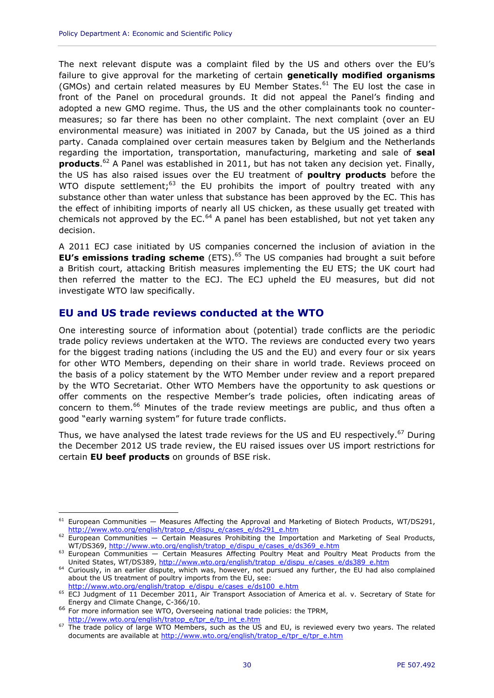The next relevant dispute was a complaint filed by the US and others over the EU's failure to give approval for the marketing of certain **genetically modified organisms**  (GMOs) and certain related measures by EU Member States. $61$  The EU lost the case in front of the Panel on procedural grounds. It did not appeal the Panel's finding and adopted a new GMO regime. Thus, the US and the other complainants took no countermeasures; so far there has been no other complaint. The next complaint (over an EU environmental measure) was initiated in 2007 by Canada, but the US joined as a third party. Canada complained over certain measures taken by Belgium and the Netherlands regarding the importation, transportation, manufacturing, marketing and sale of **seal products**. <sup>62</sup> A Panel was established in 2011, but has not taken any decision yet. Finally, the US has also raised issues over the EU treatment of **poultry products** before the WTO dispute settlement; $63$  the EU prohibits the import of poultry treated with any substance other than water unless that substance has been approved by the EC. This has the effect of inhibiting imports of nearly all US chicken, as these usually get treated with chemicals not approved by the EC. $64$  A panel has been established, but not yet taken any decision.

A 2011 ECJ case initiated by US companies concerned the inclusion of aviation in the **EU's emissions trading scheme** (ETS).<sup>65</sup> The US companies had brought a suit before a British court, attacking British measures implementing the EU ETS; the UK court had then referred the matter to the ECJ. The ECJ upheld the EU measures, but did not investigate WTO law specifically.

#### <span id="page-31-0"></span>**EU and US trade reviews conducted at the WTO**

One interesting source of information about (potential) trade conflicts are the periodic trade policy reviews undertaken at the WTO. The reviews are conducted every two years for the biggest trading nations (including the US and the EU) and every four or six years for other WTO Members, depending on their share in world trade. Reviews proceed on the basis of a policy statement by the WTO Member under review and a report prepared by the WTO Secretariat. Other WTO Members have the opportunity to ask questions or offer comments on the respective Member's trade policies, often indicating areas of concern to them.<sup>66</sup> Minutes of the trade review meetings are public, and thus often a good "early warning system" for future trade conflicts.

Thus, we have analysed the latest trade reviews for the US and EU respectively.<sup>67</sup> During the December 2012 US trade review, the EU raised issues over US import restrictions for certain **EU beef products** on grounds of BSE risk.

 $\overline{a}$  $61$  European Communities  $-$  Measures Affecting the Approval and Marketing of Biotech Products, WT/DS291, [http://www.wto.org/english/tratop\\_e/dispu\\_e/cases\\_e/ds291\\_e.htm](http://www.wto.org/english/tratop_e/dispu_e/cases_e/ds291_e.htm)

 $62$  European Communities  $-$  Certain Measures Prohibiting the Importation and Marketing of Seal Products, WT/DS369, [http://www.wto.org/english/tratop\\_e/dispu\\_e/cases\\_e/ds369\\_e.htm](http://www.wto.org/english/tratop_e/dispu_e/cases_e/ds369_e.htm)

 $63$  European Communities  $-$  Certain Measures Affecting Poultry Meat and Poultry Meat Products from the United States, WT/DS389, [http://www.wto.org/english/tratop\\_e/dispu\\_e/cases\\_e/ds389\\_e.htm](http://www.wto.org/english/tratop_e/dispu_e/cases_e/ds389_e.htm)

<sup>&</sup>lt;sup>64</sup> Curiously, in an earlier dispute, which was, however, not pursued any further, the EU had also complained about the US treatment of poultry imports from the EU, see:

[http://www.wto.org/english/tratop\\_e/dispu\\_e/cases\\_e/ds100\\_e.htm](http://www.wto.org/english/tratop_e/dispu_e/cases_e/ds100_e.htm)

<sup>&</sup>lt;sup>65</sup> ECJ Judgment of 11 December 2011, Air Transport Association of America et al. v. Secretary of State for Energy and Climate Change, C-366/10.

<sup>66</sup> For more information see WTO, Overseeing national trade policies: the TPRM,

[http://www.wto.org/english/tratop\\_e/tpr\\_e/tp\\_int\\_e.htm](http://www.wto.org/english/tratop_e/tpr_e/tp_int_e.htm)

<sup>&</sup>lt;sup>67</sup> The trade policy of large WTO Members, such as the US and EU, is reviewed every two years. The related documents are available at [http://www.wto.org/english/tratop\\_e/tpr\\_e/tpr\\_e.htm](http://www.wto.org/english/tratop_e/tpr_e/tpr_e.htm)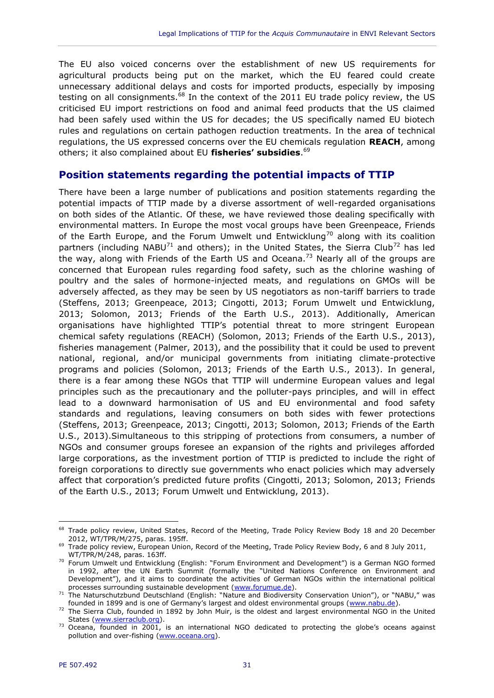The EU also voiced concerns over the establishment of new US requirements for agricultural products being put on the market, which the EU feared could create unnecessary additional delays and costs for imported products, especially by imposing testing on all consignments.<sup>68</sup> In the context of the 2011 EU trade policy review, the US criticised EU import restrictions on food and animal feed products that the US claimed had been safely used within the US for decades; the US specifically named EU biotech rules and regulations on certain pathogen reduction treatments. In the area of technical regulations, the US expressed concerns over the EU chemicals regulation **REACH**, among others; it also complained about EU **fisheries' subsidies**. 69

#### <span id="page-32-0"></span>**Position statements regarding the potential impacts of TTIP**

There have been a large number of publications and position statements regarding the potential impacts of TTIP made by a diverse assortment of well-regarded organisations on both sides of the Atlantic. Of these, we have reviewed those dealing specifically with environmental matters. In Europe the most vocal groups have been Greenpeace, Friends of the Earth Europe, and the Forum Umwelt und Entwicklung<sup>70</sup> along with its coalition partners (including NABU<sup>71</sup> and others); in the United States, the Sierra Club<sup>72</sup> has led the way, along with Friends of the Earth US and Oceana.<sup>73</sup> Nearly all of the groups are concerned that European rules regarding food safety, such as the chlorine washing of poultry and the sales of hormone-injected meats, and regulations on GMOs will be adversely affected, as they may be seen by US negotiators as non-tariff barriers to trade (Steffens, 2013; Greenpeace, 2013; Cingotti, 2013; Forum Umwelt und Entwicklung, 2013; Solomon, 2013; Friends of the Earth U.S., 2013). Additionally, American organisations have highlighted TTIP's potential threat to more stringent European chemical safety regulations (REACH) (Solomon, 2013; Friends of the Earth U.S., 2013), fisheries management (Palmer, 2013), and the possibility that it could be used to prevent national, regional, and/or municipal governments from initiating climate-protective programs and policies (Solomon, 2013; Friends of the Earth U.S., 2013). In general, there is a fear among these NGOs that TTIP will undermine European values and legal principles such as the precautionary and the polluter-pays principles, and will in effect lead to a downward harmonisation of US and EU environmental and food safety standards and regulations, leaving consumers on both sides with fewer protections (Steffens, 2013; Greenpeace, 2013; Cingotti, 2013; Solomon, 2013; Friends of the Earth U.S., 2013).Simultaneous to this stripping of protections from consumers, a number of NGOs and consumer groups foresee an expansion of the rights and privileges afforded large corporations, as the investment portion of TTIP is predicted to include the right of foreign corporations to directly sue governments who enact policies which may adversely affect that corporation's predicted future profits (Cingotti, 2013; Solomon, 2013; Friends of the Earth U.S., 2013; Forum Umwelt und Entwicklung, 2013).

<sup>68</sup> Trade policy review, United States, Record of the Meeting, Trade Policy Review Body 18 and 20 December 2012, WT/TPR/M/275, paras. 195ff.

<sup>&</sup>lt;sup>69</sup> Trade policy review, European Union, Record of the Meeting, Trade Policy Review Body, 6 and 8 July 2011, WT/TPR/M/248, paras. 163ff.

<sup>&</sup>lt;sup>70</sup> Forum Umwelt und Entwicklung (English: "Forum Environment and Development") is a German NGO formed in 1992, after the UN Earth Summit (formally the "United Nations Conference on Environment and Development"), and it aims to coordinate the activities of German NGOs within the international political processes surrounding sustainable development [\(www.forumue.de\)](file:///C:/Users/katharina.klaas/AppData/Local/Temp/www.forumue.de).

<sup>71</sup> The Naturschutzbund Deutschland (English: "Nature and Biodiversity Conservation Union"), or "NABU," was founded in 1899 and is one of Germany's largest and oldest environmental groups ([www.nabu.de\)](file:///C:/Users/katharina.klaas/AppData/Local/Temp/www.nabu.de).

<sup>72</sup> The Sierra Club, founded in 1892 by John Muir, is the oldest and largest environmental NGO in the United States [\(www.sierraclub.org\)](file:///C:/Users/katharina.klaas/AppData/Local/Temp/www.sierraclub.org).

<sup>&</sup>lt;sup>73</sup> Oceana, founded in 2001, is an international NGO dedicated to protecting the globe's oceans against pollution and over-fishing [\(www.oceana.org\)](file:///C:/Users/katharina.klaas/AppData/Local/Temp/www.oceana.org).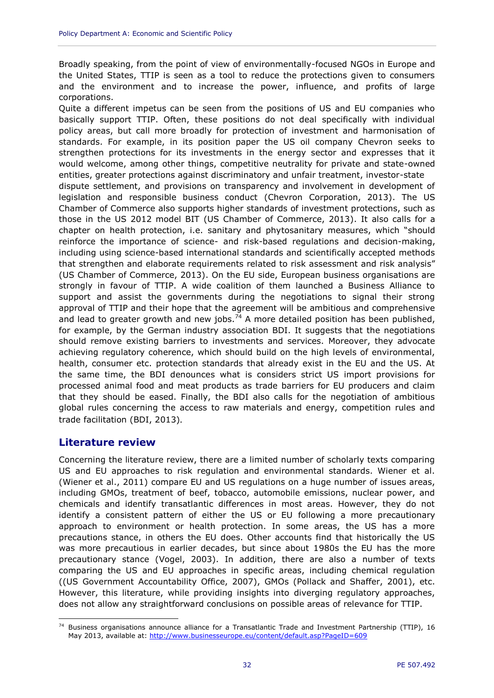Broadly speaking, from the point of view of environmentally-focused NGOs in Europe and the United States, TTIP is seen as a tool to reduce the protections given to consumers and the environment and to increase the power, influence, and profits of large corporations.

Quite a different impetus can be seen from the positions of US and EU companies who basically support TTIP. Often, these positions do not deal specifically with individual policy areas, but call more broadly for protection of investment and harmonisation of standards. For example, in its position paper the US oil company Chevron seeks to strengthen protections for its investments in the energy sector and expresses that it would welcome, among other things, competitive neutrality for private and state-owned entities, greater protections against discriminatory and unfair treatment, investor-state dispute settlement, and provisions on transparency and involvement in development of legislation and responsible business conduct (Chevron Corporation, 2013). The US Chamber of Commerce also supports higher standards of investment protections, such as those in the US 2012 model BIT (US Chamber of Commerce, 2013). It also calls for a chapter on health protection, i.e. sanitary and phytosanitary measures, which "should reinforce the importance of science- and risk-based regulations and decision-making, including using science-based international standards and scientifically accepted methods that strengthen and elaborate requirements related to risk assessment and risk analysis" (US Chamber of Commerce, 2013). On the EU side, European business organisations are strongly in favour of TTIP. A wide coalition of them launched a Business Alliance to support and assist the governments during the negotiations to signal their strong approval of TTIP and their hope that the agreement will be ambitious and comprehensive and lead to greater growth and new jobs.<sup>74</sup> A more detailed position has been published, for example, by the German industry association BDI. It suggests that the negotiations should remove existing barriers to investments and services. Moreover, they advocate achieving regulatory coherence, which should build on the high levels of environmental, health, consumer etc. protection standards that already exist in the EU and the US. At the same time, the BDI denounces what is considers strict US import provisions for processed animal food and meat products as trade barriers for EU producers and claim that they should be eased. Finally, the BDI also calls for the negotiation of ambitious global rules concerning the access to raw materials and energy, competition rules and trade facilitation (BDI, 2013).

#### <span id="page-33-0"></span>**Literature review**

Concerning the literature review, there are a limited number of scholarly texts comparing US and EU approaches to risk regulation and environmental standards. Wiener et al. (Wiener et al., 2011) compare EU and US regulations on a huge number of issues areas, including GMOs, treatment of beef, tobacco, automobile emissions, nuclear power, and chemicals and identify transatlantic differences in most areas. However, they do not identify a consistent pattern of either the US or EU following a more precautionary approach to environment or health protection. In some areas, the US has a more precautions stance, in others the EU does. Other accounts find that historically the US was more precautious in earlier decades, but since about 1980s the EU has the more precautionary stance (Vogel, 2003). In addition, there are also a number of texts comparing the US and EU approaches in specific areas, including chemical regulation ((US Government Accountability Office, 2007), GMOs (Pollack and Shaffer, 2001), etc. However, this literature, while providing insights into diverging regulatory approaches, does not allow any straightforward conclusions on possible areas of relevance for TTIP.

 $\overline{a}$ <sup>74</sup> Business organisations announce alliance for a Transatlantic Trade and Investment Partnership (TTIP), 16 May 2013, available at:<http://www.businesseurope.eu/content/default.asp?PageID=609>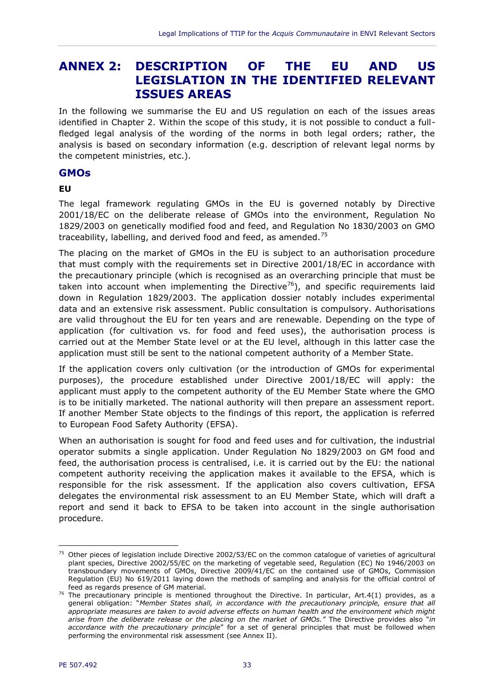## <span id="page-34-0"></span>**ANNEX 2: DESCRIPTION OF THE EU AND US LEGISLATION IN THE IDENTIFIED RELEVANT ISSUES AREAS**

In the following we summarise the EU and US regulation on each of the issues areas identified in Chapter 2. Within the scope of this study, it is not possible to conduct a fullfledged legal analysis of the wording of the norms in both legal orders; rather, the analysis is based on secondary information (e.g. description of relevant legal norms by the competent ministries, etc.).

#### **GMOs**

#### **EU**

The legal framework regulating GMOs in the EU is governed notably by Directive 2001/18/EC on the deliberate release of GMOs into the environment, Regulation No 1829/2003 on genetically modified food and feed, and Regulation No 1830/2003 on GMO traceability, labelling, and derived food and feed, as amended.<sup>75</sup>

The placing on the market of GMOs in the EU is subject to an authorisation procedure that must comply with the requirements set in Directive 2001/18/EC in accordance with the precautionary principle (which is recognised as an overarching principle that must be taken into account when implementing the Directive<sup>76</sup>), and specific requirements laid down in Regulation 1829/2003. The application dossier notably includes experimental data and an extensive risk assessment. Public consultation is compulsory. Authorisations are valid throughout the EU for ten years and are renewable. Depending on the type of application (for cultivation vs. for food and feed uses), the authorisation process is carried out at the Member State level or at the EU level, although in this latter case the application must still be sent to the national competent authority of a Member State.

If the application covers only cultivation (or the introduction of GMOs for experimental purposes), the procedure established under Directive 2001/18/EC will apply: the applicant must apply to the competent authority of the EU Member State where the GMO is to be initially marketed. The national authority will then prepare an assessment report. If another Member State objects to the findings of this report, the application is referred to European Food Safety Authority (EFSA).

When an authorisation is sought for food and feed uses and for cultivation, the industrial operator submits a single application. Under Regulation No 1829/2003 on GM food and feed, the authorisation process is centralised, i.e. it is carried out by the EU: the national competent authority receiving the application makes it available to the EFSA, which is responsible for the risk assessment. If the application also covers cultivation, EFSA delegates the environmental risk assessment to an EU Member State, which will draft a report and send it back to EFSA to be taken into account in the single authorisation procedure.

 $75$  Other pieces of legislation include Directive 2002/53/EC on the common catalogue of varieties of agricultural plant species, Directive 2002/55/EC on the marketing of vegetable seed, Regulation (EC) No 1946/2003 on transboundary movements of GMOs, Directive 2009/41/EC on the contained use of GMOs, Commission Regulation (EU) No 619/2011 laying down the methods of sampling and analysis for the official control of feed as regards presence of GM material.

<sup>&</sup>lt;sup>76</sup> The precautionary principle is mentioned throughout the Directive. In particular, Art.4(1) provides, as a general obligation: "*Member States shall, in accordance with the precautionary principle, ensure that all appropriate measures are taken to avoid adverse effects on human health and the environment which might arise from the deliberate release or the placing on the market of GMOs."* The Directive provides also "*in accordance with the precautionary principle*" for a set of general principles that must be followed when performing the environmental risk assessment (see Annex II).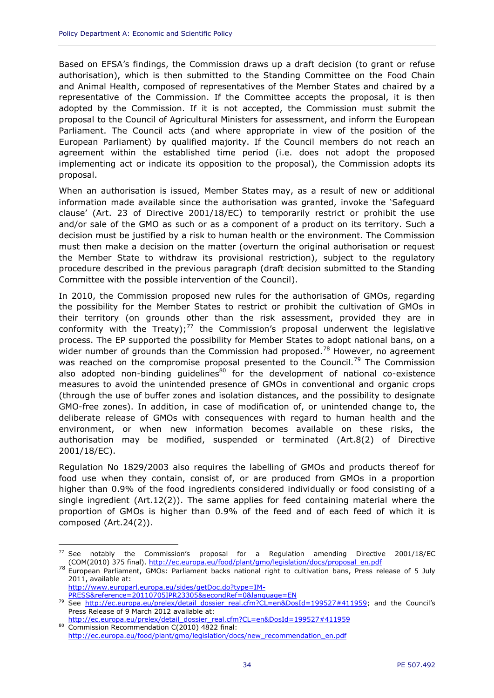Based on EFSA's findings, the Commission draws up a draft decision (to grant or refuse authorisation), which is then submitted to the Standing Committee on the Food Chain and Animal Health, composed of representatives of the Member States and chaired by a representative of the Commission. If the Committee accepts the proposal, it is then adopted by the Commission. If it is not accepted, the Commission must submit the proposal to the Council of Agricultural Ministers for assessment, and inform the European Parliament. The Council acts (and where appropriate in view of the position of the European Parliament) by qualified majority. If the Council members do not reach an agreement within the established time period (i.e. does not adopt the proposed implementing act or indicate its opposition to the proposal), the Commission adopts its proposal.

When an authorisation is issued, Member States may, as a result of new or additional information made available since the authorisation was granted, invoke the 'Safeguard clause' (Art. 23 of Directive 2001/18/EC) to temporarily restrict or prohibit the use and/or sale of the GMO as such or as a component of a product on its territory. Such a decision must be justified by a risk to human health or the environment. The Commission must then make a decision on the matter (overturn the original authorisation or request the Member State to withdraw its provisional restriction), subject to the regulatory procedure described in the previous paragraph (draft decision submitted to the Standing Committee with the possible intervention of the Council).

In 2010, the Commission proposed new rules for the authorisation of GMOs, regarding the possibility for the Member States to restrict or prohibit the cultivation of GMOs in their territory (on grounds other than the risk assessment, provided they are in conformity with the Treaty); $^{77}$  the Commission's proposal underwent the legislative process. The EP supported the possibility for Member States to adopt national bans, on a wider number of grounds than the Commission had proposed.<sup>78</sup> However, no agreement was reached on the compromise proposal presented to the Council.<sup>79</sup> The Commission also adopted non-binding guidelines $80$  for the development of national co-existence measures to avoid the unintended presence of GMOs in conventional and organic crops (through the use of buffer zones and isolation distances, and the possibility to designate GMO-free zones). In addition, in case of modification of, or unintended change to, the deliberate release of GMOs with consequences with regard to human health and the environment, or when new information becomes available on these risks, the authorisation may be modified, suspended or terminated (Art.8(2) of Directive 2001/18/EC).

Regulation No 1829/2003 also requires the labelling of GMOs and products thereof for food use when they contain, consist of, or are produced from GMOs in a proportion higher than 0.9% of the food ingredients considered individually or food consisting of a single ingredient (Art.12(2)). The same applies for feed containing material where the proportion of GMOs is higher than 0.9% of the feed and of each feed of which it is composed (Art.24(2)).

[http://www.europarl.europa.eu/sides/getDoc.do?type=IM-](http://www.europarl.europa.eu/sides/getDoc.do?type=IM-PRESS&reference=20110705IPR23305&secondRef=0&language=EN)[PRESS&reference=20110705IPR23305&secondRef=0&language=EN](http://www.europarl.europa.eu/sides/getDoc.do?type=IM-PRESS&reference=20110705IPR23305&secondRef=0&language=EN)

 $77$  See notably the Commission's proposal for a Regulation amending Directive 2001/18/EC (COM(2010) 375 final). [http://ec.europa.eu/food/plant/gmo/legislation/docs/proposal\\_en.pdf](http://ec.europa.eu/food/plant/gmo/legislation/docs/proposal_en.pdf)

<sup>78</sup> European Parliament, GMOs: Parliament backs national right to cultivation bans, Press release of 5 July 2011, available at:

<sup>&</sup>lt;sup>79</sup> See [http://ec.europa.eu/prelex/detail\\_dossier\\_real.cfm?CL=en&DosId=199527#411959](http://ec.europa.eu/prelex/detail_dossier_real.cfm?CL=en&DosId=199527#411959); and the Council's Press Release of 9 March 2012 available at:

[http://ec.europa.eu/prelex/detail\\_dossier\\_real.cfm?CL=en&DosId=199527#411959](http://ec.europa.eu/prelex/detail_dossier_real.cfm?CL=en&DosId=199527#411959) 80 Commission Recommendation C(2010) 4822 final:

[http://ec.europa.eu/food/plant/gmo/legislation/docs/new\\_recommendation\\_en.pdf](http://ec.europa.eu/food/plant/gmo/legislation/docs/new_recommendation_en.pdf)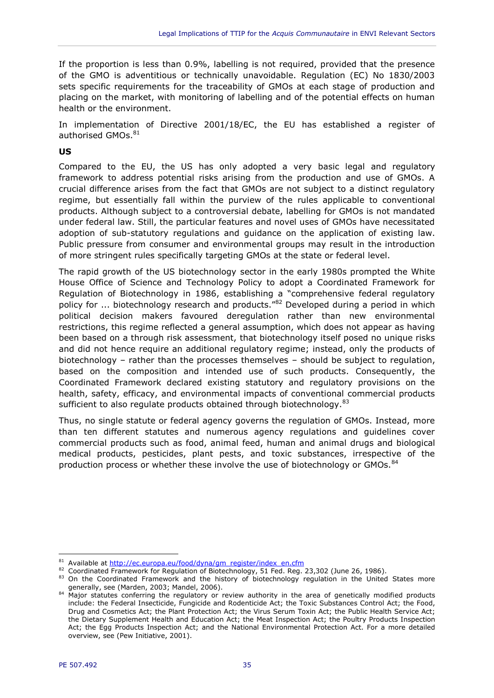If the proportion is less than 0.9%, labelling is not required, provided that the presence of the GMO is adventitious or technically unavoidable. Regulation (EC) No 1830/2003 sets specific requirements for the traceability of GMOs at each stage of production and placing on the market, with monitoring of labelling and of the potential effects on human health or the environment.

In implementation of Directive 2001/18/EC, the EU has established a register of authorised GMOs.<sup>81</sup>

#### **US**

Compared to the EU, the US has only adopted a very basic legal and regulatory framework to address potential risks arising from the production and use of GMOs. A crucial difference arises from the fact that GMOs are not subject to a distinct regulatory regime, but essentially fall within the purview of the rules applicable to conventional products. Although subject to a controversial debate, labelling for GMOs is not mandated under federal law. Still, the particular features and novel uses of GMOs have necessitated adoption of sub-statutory regulations and guidance on the application of existing law. Public pressure from consumer and environmental groups may result in the introduction of more stringent rules specifically targeting GMOs at the state or federal level.

The rapid growth of the US biotechnology sector in the early 1980s prompted the White House Office of Science and Technology Policy to adopt a Coordinated Framework for Regulation of Biotechnology in 1986, establishing a "comprehensive federal regulatory policy for ... biotechnology research and products.<sup>"82</sup> Developed during a period in which political decision makers favoured deregulation rather than new environmental restrictions, this regime reflected a general assumption, which does not appear as having been based on a through risk assessment, that biotechnology itself posed no unique risks and did not hence require an additional regulatory regime; instead, only the products of biotechnology – rather than the processes themselves – should be subject to regulation, based on the composition and intended use of such products. Consequently, the Coordinated Framework declared existing statutory and regulatory provisions on the health, safety, efficacy, and environmental impacts of conventional commercial products sufficient to also regulate products obtained through biotechnology. 83

Thus, no single statute or federal agency governs the regulation of GMOs. Instead, more than ten different statutes and numerous agency regulations and guidelines cover commercial products such as food, animal feed, human and animal drugs and biological medical products, pesticides, plant pests, and toxic substances, irrespective of the production process or whether these involve the use of biotechnology or GMOs.<sup>84</sup>

<sup>81</sup> Available at [http://ec.europa.eu/food/dyna/gm\\_register/index\\_en.cfm](http://ec.europa.eu/food/dyna/gm_register/index_en.cfm)

<sup>82</sup> Coordinated Framework for Regulation of Biotechnology, 51 Fed. Reg. 23,302 (June 26, 1986).

<sup>83</sup> On the Coordinated Framework and the history of biotechnology regulation in the United States more generally, see (Marden, 2003; Mandel, 2006).

<sup>84</sup> Major statutes conferring the regulatory or review authority in the area of genetically modified products include: the Federal Insecticide, Fungicide and Rodenticide Act; the Toxic Substances Control Act; the Food, Drug and Cosmetics Act; the Plant Protection Act; the Virus Serum Toxin Act; the Public Health Service Act; the Dietary Supplement Health and Education Act; the Meat Inspection Act; the Poultry Products Inspection Act; the Egg Products Inspection Act; and the National Environmental Protection Act. For a more detailed overview, see (Pew Initiative, 2001).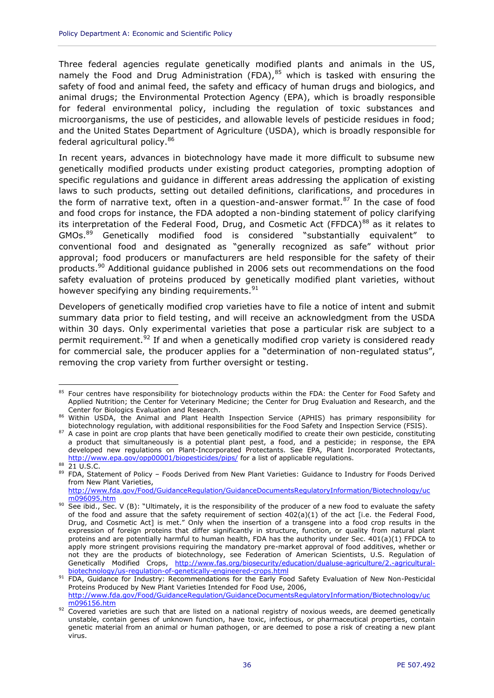Three federal agencies regulate genetically modified plants and animals in the US, namely the Food and Drug Administration (FDA), $85$  which is tasked with ensuring the safety of food and animal feed, the safety and efficacy of human drugs and biologics, and animal drugs; the Environmental Protection Agency (EPA), which is broadly responsible for federal environmental policy, including the regulation of toxic substances and microorganisms, the use of pesticides, and allowable levels of pesticide residues in food; and the United States Department of Agriculture (USDA), which is broadly responsible for federal agricultural policy.<sup>86</sup>

In recent years, advances in biotechnology have made it more difficult to subsume new genetically modified products under existing product categories, prompting adoption of specific regulations and guidance in different areas addressing the application of existing laws to such products, setting out detailed definitions, clarifications, and procedures in the form of narrative text, often in a question-and-answer format. $87$  In the case of food and food crops for instance, the FDA adopted a non-binding statement of policy clarifying its interpretation of the Federal Food, Drug, and Cosmetic Act (FFDCA) $88$  as it relates to GMOs.<sup>89</sup> Genetically modified food is considered "substantially equivalent" to conventional food and designated as "generally recognized as safe" without prior approval; food producers or manufacturers are held responsible for the safety of their products.<sup>90</sup> Additional guidance published in 2006 sets out recommendations on the food safety evaluation of proteins produced by genetically modified plant varieties, without however specifying any binding requirements.<sup>91</sup>

<span id="page-37-0"></span>Developers of genetically modified crop varieties have to file a notice of intent and submit summary data prior to field testing, and will receive an acknowledgment from the USDA within 30 days. Only experimental varieties that pose a particular risk are subject to a permit requirement.<sup>92</sup> If and when a genetically modified crop variety is considered ready for commercial sale, the producer applies for a "determination of non-regulated status", removing the crop variety from further oversight or testing.

 $\overline{a}$ <sup>85</sup> Four centres have responsibility for biotechnology products within the FDA: the Center for Food Safety and Applied Nutrition; the Center for Veterinary Medicine; the Center for Drug Evaluation and Research, and the Center for Biologics Evaluation and Research.

<sup>86</sup> Within USDA, the Animal and Plant Health Inspection Service (APHIS) has primary responsibility for biotechnology regulation, with additional responsibilities for the Food Safety and Inspection Service (FSIS).

<sup>87</sup> A case in point are crop plants that have been genetically modified to create their own pesticide, constituting a product that simultaneously is a potential plant pest, a food, and a pesticide; in response, the EPA developed new regulations on Plant-Incorporated Protectants. See EPA, Plant Incorporated Protectants, <http://www.epa.gov/opp00001/biopesticides/pips/> for a list of applicable regulations.

<sup>88 21</sup> U.S.C.

<sup>89</sup> FDA, Statement of Policy - Foods Derived from New Plant Varieties: Guidance to Industry for Foods Derived from New Plant Varieties,

[http://www.fda.gov/Food/GuidanceRegulation/GuidanceDocumentsRegulatoryInformation/Biotechnology/uc](http://www.fda.gov/Food/GuidanceRegulation/GuidanceDocumentsRegulatoryInformation/Biotechnology/ucm096095.htm) [m096095.htm](http://www.fda.gov/Food/GuidanceRegulation/GuidanceDocumentsRegulatoryInformation/Biotechnology/ucm096095.htm)

<sup>90</sup> See ibid., Sec. V (B): "Ultimately, it is the responsibility of the producer of a new food to evaluate the safety of the food and assure that the safety requirement of section 402(a)(1) of the act [i.e. the Federal Food, Drug, and Cosmetic Act] is met." Only when the insertion of a transgene into a food crop results in the expression of foreign proteins that differ significantly in structure, function, or quality from natural plant proteins and are potentially harmful to human health, FDA has the authority under Sec. 401(a)(1) FFDCA to apply more stringent provisions requiring the mandatory pre-market approval of food additives, whether or not they are the products of biotechnology, see Federation of American Scientists, U.S. Regulation of Genetically Modified Crops, [http://www.fas.org/biosecurity/education/dualuse-agriculture/2.-agricultural](http://www.fas.org/biosecurity/education/dualuse-agriculture/2.-agricultural-biotechnology/us-regulation-of-genetically-engineered-crops.html)[biotechnology/us-regulation-of-genetically-engineered-crops.html](http://www.fas.org/biosecurity/education/dualuse-agriculture/2.-agricultural-biotechnology/us-regulation-of-genetically-engineered-crops.html)

<sup>91</sup> FDA, Guidance for Industry: Recommendations for the Early Food Safety Evaluation of New Non-Pesticidal Proteins Produced by New Plant Varieties Intended for Food Use, 2006, [http://www.fda.gov/Food/GuidanceRegulation/GuidanceDocumentsRegulatoryInformation/Biotechnology/uc](http://www.fda.gov/Food/GuidanceRegulation/GuidanceDocumentsRegulatoryInformation/Biotechnology/ucm096156.htm)

[m096156.htm](http://www.fda.gov/Food/GuidanceRegulation/GuidanceDocumentsRegulatoryInformation/Biotechnology/ucm096156.htm)

 $92$  Covered varieties are such that are listed on a national registry of noxious weeds, are deemed genetically unstable, contain genes of unknown function, have toxic, infectious, or pharmaceutical properties, contain genetic material from an animal or human pathogen, or are deemed to pose a risk of creating a new plant virus.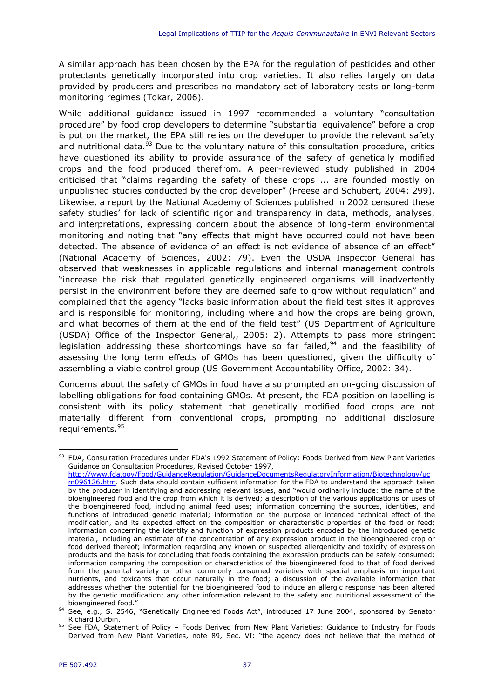A similar approach has been chosen by the EPA for the regulation of pesticides and other protectants genetically incorporated into crop varieties. It also relies largely on data provided by producers and prescribes no mandatory set of laboratory tests or long-term monitoring regimes (Tokar, 2006).

While additional guidance issued in 1997 recommended a voluntary "consultation procedure" by food crop developers to determine "substantial equivalence" before a crop is put on the market, the EPA still relies on the developer to provide the relevant safety and nutritional data.<sup>93</sup> Due to the voluntary nature of this consultation procedure, critics have questioned its ability to provide assurance of the safety of genetically modified crops and the food produced therefrom. A peer-reviewed study published in 2004 criticised that "claims regarding the safety of these crops ... are founded mostly on unpublished studies conducted by the crop developer" (Freese and Schubert, 2004: 299). Likewise, a report by the National Academy of Sciences published in 2002 censured these safety studies' for lack of scientific rigor and transparency in data, methods, analyses, and interpretations, expressing concern about the absence of long-term environmental monitoring and noting that "any effects that might have occurred could not have been detected. The absence of evidence of an effect is not evidence of absence of an effect" (National Academy of Sciences, 2002: 79). Even the USDA Inspector General has observed that weaknesses in applicable regulations and internal management controls "increase the risk that regulated genetically engineered organisms will inadvertently persist in the environment before they are deemed safe to grow without regulation" and complained that the agency "lacks basic information about the field test sites it approves and is responsible for monitoring, including where and how the crops are being grown, and what becomes of them at the end of the field test" (US Department of Agriculture (USDA) Office of the Inspector General,, 2005: 2). Attempts to pass more stringent legislation addressing these shortcomings have so far failed, $94$  and the feasibility of assessing the long term effects of GMOs has been questioned, given the difficulty of assembling a viable control group (US Government Accountability Office, 2002: 34).

Concerns about the safety of GMOs in food have also prompted an on-going discussion of labelling obligations for food containing GMOs. At present, the FDA position on labelling is consistent with its policy statement that genetically modified food crops are not materially different from conventional crops, prompting no additional disclosure requirements.<sup>95</sup>

<sup>93</sup> FDA, Consultation Procedures under FDA's 1992 Statement of Policy: Foods Derived from New Plant Varieties Guidance on Consultation Procedures, Revised October 1997, [http://www.fda.gov/Food/GuidanceRegulation/GuidanceDocumentsRegulatoryInformation/Biotechnology/uc](http://www.fda.gov/Food/GuidanceRegulation/GuidanceDocumentsRegulatoryInformation/Biotechnology/ucm096126.htm)

[m096126.htm.](http://www.fda.gov/Food/GuidanceRegulation/GuidanceDocumentsRegulatoryInformation/Biotechnology/ucm096126.htm) Such data should contain sufficient information for the FDA to understand the approach taken by the producer in identifying and addressing relevant issues, and "would ordinarily include: the name of the bioengineered food and the crop from which it is derived; a description of the various applications or uses of the bioengineered food, including animal feed uses; information concerning the sources, identities, and functions of introduced genetic material; information on the purpose or intended technical effect of the modification, and its expected effect on the composition or characteristic properties of the food or feed; information concerning the identity and function of expression products encoded by the introduced genetic material, including an estimate of the concentration of any expression product in the bioengineered crop or food derived thereof; information regarding any known or suspected allergenicity and toxicity of expression products and the basis for concluding that foods containing the expression products can be safely consumed; information comparing the composition or characteristics of the bioengineered food to that of food derived from the parental variety or other commonly consumed varieties with special emphasis on important nutrients, and toxicants that occur naturally in the food; a discussion of the available information that addresses whether the potential for the bioengineered food to induce an allergic response has been altered by the genetic modification; any other information relevant to the safety and nutritional assessment of the bioengineered food."

<sup>94</sup> See, e.g., S. 2546, "Genetically Engineered Foods Act", introduced 17 June 2004, sponsored by Senator Richard Durbin.

<sup>95</sup> See FDA, Statement of Policy - Foods Derived from New Plant Varieties: Guidance to Industry for Foods Derived from New Plant Varieties, note [89](#page-37-0), Sec. VI: "the agency does not believe that the method of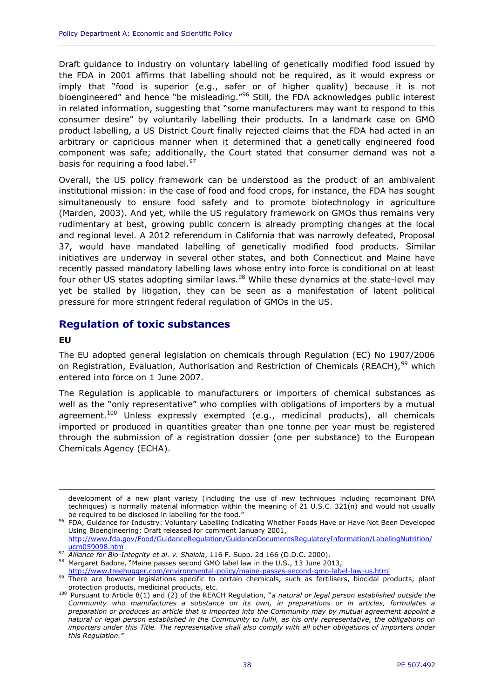Draft guidance to industry on voluntary labelling of genetically modified food issued by the FDA in 2001 affirms that labelling should not be required, as it would express or imply that "food is superior (e.g., safer or of higher quality) because it is not bioengineered" and hence "be misleading."<sup>96</sup> Still, the FDA acknowledges public interest in related information, suggesting that "some manufacturers may want to respond to this consumer desire" by voluntarily labelling their products. In a landmark case on GMO product labelling, a US District Court finally rejected claims that the FDA had acted in an arbitrary or capricious manner when it determined that a genetically engineered food component was safe; additionally, the Court stated that consumer demand was not a basis for requiring a food label.<sup>97</sup>

Overall, the US policy framework can be understood as the product of an ambivalent institutional mission: in the case of food and food crops, for instance, the FDA has sought simultaneously to ensure food safety and to promote biotechnology in agriculture (Marden, 2003). And yet, while the US regulatory framework on GMOs thus remains very rudimentary at best, growing public concern is already prompting changes at the local and regional level. A 2012 referendum in California that was narrowly defeated, Proposal 37, would have mandated labelling of genetically modified food products. Similar initiatives are underway in several other states, and both Connecticut and Maine have recently passed mandatory labelling laws whose entry into force is conditional on at least four other US states adopting similar laws. $98$  While these dynamics at the state-level may yet be stalled by litigation, they can be seen as a manifestation of latent political pressure for more stringent federal regulation of GMOs in the US.

#### **Regulation of toxic substances**

#### **EU**

 $\overline{a}$ 

The EU adopted general legislation on chemicals through Regulation (EC) No 1907/2006 on Registration, Evaluation, Authorisation and Restriction of Chemicals (REACH),  $99$  which entered into force on 1 June 2007.

The Regulation is applicable to manufacturers or importers of chemical substances as well as the "only representative" who complies with obligations of importers by a mutual agreement.<sup>100</sup> Unless expressly exempted (e.g., medicinal products), all chemicals imported or produced in quantities greater than one tonne per year must be registered through the submission of a registration dossier (one per substance) to the European Chemicals Agency (ECHA).

<http://www.treehugger.com/environmental-policy/maine-passes-second-gmo-label-law-us.html>

development of a new plant variety (including the use of new techniques including recombinant DNA techniques) is normally material information within the meaning of 21 U.S.C. 321(n) and would not usually be required to be disclosed in labelling for the food."

<sup>96</sup> FDA, Guidance for Industry: Voluntary Labelling Indicating Whether Foods Have or Have Not Been Developed Using Bioengineering; Draft released for comment January 2001, [http://www.fda.gov/Food/GuidanceRegulation/GuidanceDocumentsRegulatoryInformation/LabelingNutrition/](http://www.fda.gov/Food/GuidanceRegulation/GuidanceDocumentsRegulatoryInformation/LabelingNutrition/ucm059098.htm) [ucm059098.htm](http://www.fda.gov/Food/GuidanceRegulation/GuidanceDocumentsRegulatoryInformation/LabelingNutrition/ucm059098.htm)

<sup>97</sup> *Alliance for Bio-Integrity et al. v. Shalala*, 116 F. Supp. 2d 166 (D.D.C. 2000).

<sup>98</sup> Margaret Badore, "Maine passes second GMO label law in the U.S., 13 June 2013,

<sup>99</sup> There are however legislations specific to certain chemicals, such as fertilisers, biocidal products, plant protection products, medicinal products, etc.

<sup>100</sup> Pursuant to Article 8(1) and (2) of the REACH Regulation, "*a natural or legal person established outside the Community who manufactures a substance on its own, in preparations or in articles, formulates a preparation or produces an article that is imported into the Community may by mutual agreement appoint a natural or legal person established in the Community to fulfil, as his only representative, the obligations on importers under this Title. The representative shall also comply with all other obligations of importers under this Regulation."*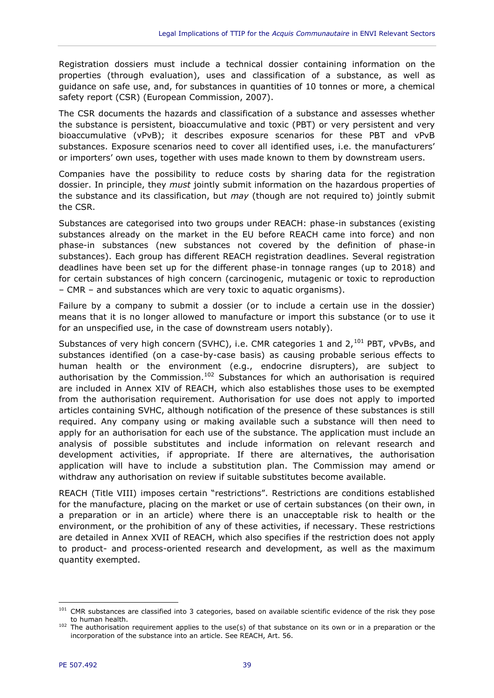Registration dossiers must include a technical dossier containing information on the properties (through evaluation), uses and classification of a substance, as well as guidance on safe use, and, for substances in quantities of 10 tonnes or more, a chemical safety report (CSR) (European Commission, 2007).

The CSR documents the hazards and classification of a substance and assesses whether the substance is persistent, bioaccumulative and toxic (PBT) or very persistent and very bioaccumulative (vPvB); it describes exposure scenarios for these PBT and vPvB substances. Exposure scenarios need to cover all identified uses, i.e. the manufacturers' or importers' own uses, together with uses made known to them by downstream users.

Companies have the possibility to reduce costs by sharing data for the registration dossier. In principle, they *must* jointly submit information on the hazardous properties of the substance and its classification, but *may* (though are not required to) jointly submit the CSR.

Substances are categorised into two groups under REACH: phase-in substances (existing substances already on the market in the EU before REACH came into force) and non phase-in substances (new substances not covered by the definition of phase-in substances). Each group has different REACH registration deadlines. Several registration deadlines have been set up for the different phase-in tonnage ranges (up to 2018) and for certain substances of high concern (carcinogenic, mutagenic or toxic to reproduction – CMR – and substances which are very toxic to aquatic organisms).

Failure by a company to submit a dossier (or to include a certain use in the dossier) means that it is no longer allowed to manufacture or import this substance (or to use it for an unspecified use, in the case of downstream users notably).

Substances of very high concern (SVHC), i.e. CMR categories 1 and  $2,^{101}$  PBT, vPvBs, and substances identified (on a case-by-case basis) as causing probable serious effects to human health or the environment (e.g., endocrine disrupters), are subject to authorisation by the Commission.<sup>102</sup> Substances for which an authorisation is required are included in Annex XIV of REACH, which also establishes those uses to be exempted from the authorisation requirement. Authorisation for use does not apply to imported articles containing SVHC, although notification of the presence of these substances is still required. Any company using or making available such a substance will then need to apply for an authorisation for each use of the substance. The application must include an analysis of possible substitutes and include information on relevant research and development activities, if appropriate. If there are alternatives, the authorisation application will have to include a substitution plan. The Commission may amend or withdraw any authorisation on review if suitable substitutes become available.

REACH (Title VIII) imposes certain "restrictions". Restrictions are conditions established for the manufacture, placing on the market or use of certain substances (on their own, in a preparation or in an article) where there is an unacceptable risk to health or the environment, or the prohibition of any of these activities, if necessary. These restrictions are detailed in Annex XVII of REACH, which also specifies if the restriction does not apply to product- and process-oriented research and development, as well as the maximum quantity exempted.

<sup>&</sup>lt;sup>101</sup> CMR substances are classified into 3 categories, based on available scientific evidence of the risk they pose to human health.

<sup>&</sup>lt;sup>102</sup> The authorisation requirement applies to the use(s) of that substance on its own or in a preparation or the incorporation of the substance into an article. See REACH, Art. 56.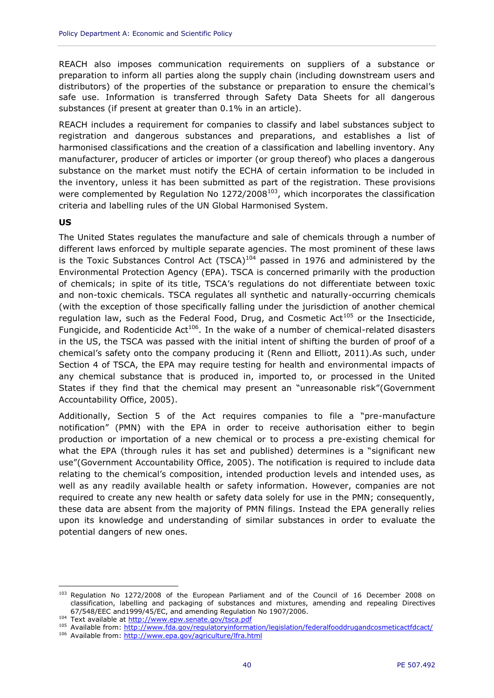REACH also imposes communication requirements on suppliers of a substance or preparation to inform all parties along the supply chain (including downstream users and distributors) of the properties of the substance or preparation to ensure the chemical's safe use. Information is transferred through Safety Data Sheets for all dangerous substances (if present at greater than 0.1% in an article).

REACH includes a requirement for companies to classify and label substances subject to registration and dangerous substances and preparations, and establishes a list of harmonised classifications and the creation of a classification and labelling inventory. Any manufacturer, producer of articles or importer (or group thereof) who places a dangerous substance on the market must notify the ECHA of certain information to be included in the inventory, unless it has been submitted as part of the registration. These provisions were complemented by Regulation No  $1272/2008^{103}$ , which incorporates the classification criteria and labelling rules of the UN Global Harmonised System.

#### **US**

 $\overline{a}$ 

The United States regulates the manufacture and sale of chemicals through a number of different laws enforced by multiple separate agencies. The most prominent of these laws is the Toxic Substances Control Act  $(TSCA)^{104}$  passed in 1976 and administered by the Environmental Protection Agency (EPA). TSCA is concerned primarily with the production of chemicals; in spite of its title, TSCA's regulations do not differentiate between toxic and non-toxic chemicals. TSCA regulates all synthetic and naturally-occurring chemicals (with the exception of those specifically falling under the jurisdiction of another chemical regulation law, such as the Federal Food, Drug, and Cosmetic Act<sup>105</sup> or the Insecticide, Fungicide, and Rodenticide Act<sup>106</sup>. In the wake of a number of chemical-related disasters in the US, the TSCA was passed with the initial intent of shifting the burden of proof of a chemical's safety onto the company producing it (Renn and Elliott, 2011).As such, under Section 4 of TSCA, the EPA may require testing for health and environmental impacts of any chemical substance that is produced in, imported to, or processed in the United States if they find that the chemical may present an "unreasonable risk"(Government Accountability Office, 2005).

Additionally, Section 5 of the Act requires companies to file a "pre-manufacture notification" (PMN) with the EPA in order to receive authorisation either to begin production or importation of a new chemical or to process a pre-existing chemical for what the EPA (through rules it has set and published) determines is a "significant new use"(Government Accountability Office, 2005). The notification is required to include data relating to the chemical's composition, intended production levels and intended uses, as well as any readily available health or safety information. However, companies are not required to create any new health or safety data solely for use in the PMN; consequently, these data are absent from the majority of PMN filings. Instead the EPA generally relies upon its knowledge and understanding of similar substances in order to evaluate the potential dangers of new ones.

<sup>&</sup>lt;sup>103</sup> Regulation No 1272/2008 of the European Parliament and of the Council of 16 December 2008 on classification, labelling and packaging of substances and mixtures, amending and repealing Directives 67/548/EEC and1999/45/EC, and amending Regulation No 1907/2006.

<sup>104</sup> Text available at<http://www.epw.senate.gov/tsca.pdf>

<sup>105</sup> Available from:<http://www.fda.gov/regulatoryinformation/legislation/federalfooddrugandcosmeticactfdcact/>

<sup>106</sup> Available from:<http://www.epa.gov/agriculture/lfra.html>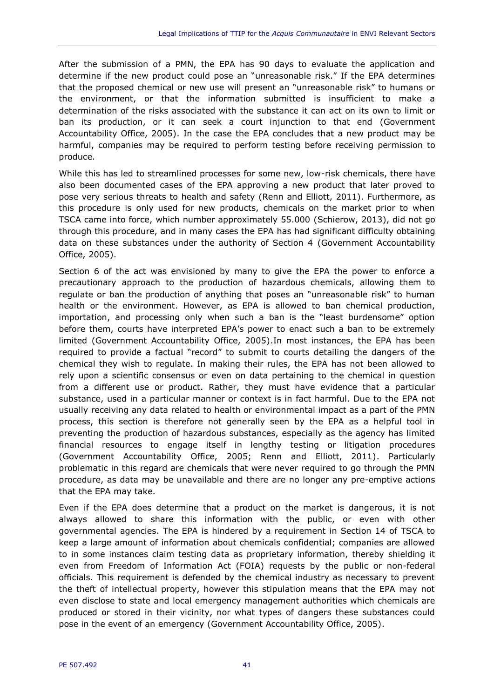After the submission of a PMN, the EPA has 90 days to evaluate the application and determine if the new product could pose an "unreasonable risk." If the EPA determines that the proposed chemical or new use will present an "unreasonable risk" to humans or the environment, or that the information submitted is insufficient to make a determination of the risks associated with the substance it can act on its own to limit or ban its production, or it can seek a court injunction to that end (Government Accountability Office, 2005). In the case the EPA concludes that a new product may be harmful, companies may be required to perform testing before receiving permission to produce.

While this has led to streamlined processes for some new, low-risk chemicals, there have also been documented cases of the EPA approving a new product that later proved to pose very serious threats to health and safety (Renn and Elliott, 2011). Furthermore, as this procedure is only used for new products, chemicals on the market prior to when TSCA came into force, which number approximately 55.000 (Schierow, 2013), did not go through this procedure, and in many cases the EPA has had significant difficulty obtaining data on these substances under the authority of Section 4 (Government Accountability Office, 2005).

Section 6 of the act was envisioned by many to give the EPA the power to enforce a precautionary approach to the production of hazardous chemicals, allowing them to regulate or ban the production of anything that poses an "unreasonable risk" to human health or the environment. However, as EPA is allowed to ban chemical production, importation, and processing only when such a ban is the "least burdensome" option before them, courts have interpreted EPA's power to enact such a ban to be extremely limited (Government Accountability Office, 2005).In most instances, the EPA has been required to provide a factual "record" to submit to courts detailing the dangers of the chemical they wish to regulate. In making their rules, the EPA has not been allowed to rely upon a scientific consensus or even on data pertaining to the chemical in question from a different use or product. Rather, they must have evidence that a particular substance, used in a particular manner or context is in fact harmful. Due to the EPA not usually receiving any data related to health or environmental impact as a part of the PMN process, this section is therefore not generally seen by the EPA as a helpful tool in preventing the production of hazardous substances, especially as the agency has limited financial resources to engage itself in lengthy testing or litigation procedures (Government Accountability Office, 2005; Renn and Elliott, 2011). Particularly problematic in this regard are chemicals that were never required to go through the PMN procedure, as data may be unavailable and there are no longer any pre-emptive actions that the EPA may take.

Even if the EPA does determine that a product on the market is dangerous, it is not always allowed to share this information with the public, or even with other governmental agencies. The EPA is hindered by a requirement in Section 14 of TSCA to keep a large amount of information about chemicals confidential; companies are allowed to in some instances claim testing data as proprietary information, thereby shielding it even from Freedom of Information Act (FOIA) requests by the public or non-federal officials. This requirement is defended by the chemical industry as necessary to prevent the theft of intellectual property, however this stipulation means that the EPA may not even disclose to state and local emergency management authorities which chemicals are produced or stored in their vicinity, nor what types of dangers these substances could pose in the event of an emergency (Government Accountability Office, 2005).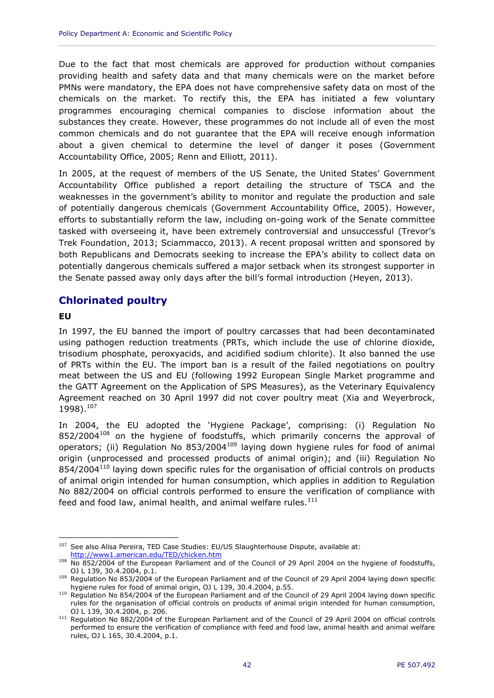Due to the fact that most chemicals are approved for production without companies providing health and safety data and that many chemicals were on the market before PMNs were mandatory, the EPA does not have comprehensive safety data on most of the chemicals on the market. To rectify this, the EPA has initiated a few voluntary programmes encouraging chemical companies to disclose information about the substances they create. However, these programmes do not include all of even the most common chemicals and do not guarantee that the EPA will receive enough information about a given chemical to determine the level of danger it poses (Government Accountability Office, 2005; Renn and Elliott, 2011).

In 2005, at the request of members of the US Senate, the United States' Government Accountability Office published a report detailing the structure of TSCA and the weaknesses in the government's ability to monitor and regulate the production and sale of potentially dangerous chemicals (Government Accountability Office, 2005). However, efforts to substantially reform the law, including on-going work of the Senate committee tasked with overseeing it, have been extremely controversial and unsuccessful (Trevor's Trek Foundation, 2013; Sciammacco, 2013). A recent proposal written and sponsored by both Republicans and Democrats seeking to increase the EPA's ability to collect data on potentially dangerous chemicals suffered a major setback when its strongest supporter in the Senate passed away only days after the bill's formal introduction (Heyen, 2013).

## **Chlorinated poultry**

#### **EU**

 $\overline{a}$ 

In 1997, the EU banned the import of poultry carcasses that had been decontaminated using pathogen reduction treatments (PRTs, which include the use of chlorine dioxide, trisodium phosphate, peroxyacids, and acidified sodium chlorite). It also banned the use of PRTs within the EU. The import ban is a result of the failed negotiations on poultry meat between the US and EU (following 1992 European Single Market programme and the GATT Agreement on the Application of SPS Measures), as the Veterinary Equivalency Agreement reached on 30 April 1997 did not cover poultry meat (Xia and Weyerbrock, 1998). 107

In 2004, the EU adopted the 'Hygiene Package', comprising: (i) Regulation No 852/2004<sup>108</sup> on the hygiene of foodstuffs, which primarily concerns the approval of operators; (ii) Regulation No 853/2004<sup>109</sup> laying down hygiene rules for food of animal origin (unprocessed and processed products of animal origin); and (iii) Regulation No 854/2004<sup>110</sup> laying down specific rules for the organisation of official controls on products of animal origin intended for human consumption, which applies in addition to Regulation No 882/2004 on official controls performed to ensure the verification of compliance with feed and food law, animal health, and animal welfare rules. $111$ 

<sup>&</sup>lt;sup>107</sup> See also Alisa Pereira, TED Case Studies: EU/US Slaughterhouse Dispute, available at: <http://www1.american.edu/TED/chicken.htm>

<sup>108</sup> No 852/2004 of the European Parliament and of the Council of 29 April 2004 on the hygiene of foodstuffs, OJ L 139, 30.4.2004, p.1.

<sup>109</sup> Regulation No 853/2004 of the European Parliament and of the Council of 29 April 2004 laying down specific hygiene rules for food of animal origin, OJ L 139, 30.4.2004, p.55.

<sup>110</sup> Regulation No 854/2004 of the European Parliament and of the Council of 29 April 2004 laying down specific rules for the organisation of official controls on products of animal origin intended for human consumption, OJ L 139, 30.4.2004, p. 206.

<sup>&</sup>lt;sup>111</sup> Regulation No 882/2004 of the European Parliament and of the Council of 29 April 2004 on official controls performed to ensure the verification of compliance with feed and food law, animal health and animal welfare rules, OJ L 165, 30.4.2004, p.1.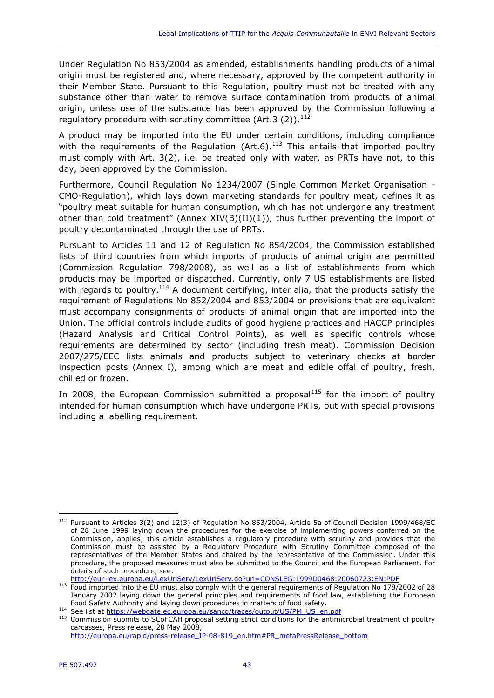Under Regulation No 853/2004 as amended, establishments handling products of animal origin must be registered and, where necessary, approved by the competent authority in their Member State. Pursuant to this Regulation, poultry must not be treated with any substance other than water to remove surface contamination from products of animal origin, unless use of the substance has been approved by the Commission following a regulatory procedure with scrutiny committee (Art.3 (2)).<sup>112</sup>

A product may be imported into the EU under certain conditions, including compliance with the requirements of the Regulation (Art.6).<sup>113</sup> This entails that imported poultry must comply with Art. 3(2), i.e. be treated only with water, as PRTs have not, to this day, been approved by the Commission.

Furthermore, Council Regulation No 1234/2007 (Single Common Market Organisation - CMO-Regulation), which lays down marketing standards for poultry meat, defines it as "poultry meat suitable for human consumption, which has not undergone any treatment other than cold treatment" (Annex  $XIV(B)(II)(1)$ ), thus further preventing the import of poultry decontaminated through the use of PRTs.

Pursuant to Articles 11 and 12 of Regulation No 854/2004, the Commission established lists of third countries from which imports of products of animal origin are permitted (Commission Regulation 798/2008), as well as a list of establishments from which products may be imported or dispatched. Currently, only 7 US establishments are listed with regards to poultry.<sup>114</sup> A document certifying, inter alia, that the products satisfy the requirement of Regulations No 852/2004 and 853/2004 or provisions that are equivalent must accompany consignments of products of animal origin that are imported into the Union. The official controls include audits of good hygiene practices and HACCP principles (Hazard Analysis and Critical Control Points), as well as specific controls whose requirements are determined by sector (including fresh meat). Commission Decision 2007/275/EEC lists animals and products subject to veterinary checks at border inspection posts (Annex I), among which are meat and edible offal of poultry, fresh, chilled or frozen.

In 2008, the European Commission submitted a proposal $115$  for the import of poultry intended for human consumption which have undergone PRTs, but with special provisions including a labelling requirement.

 $\overline{a}$ <sup>112</sup> Pursuant to Articles 3(2) and 12(3) of Regulation No 853/2004, Article 5a of Council Decision 1999/468/EC of 28 June 1999 laying down the procedures for the exercise of implementing powers conferred on the Commission, applies; this article establishes a regulatory procedure with scrutiny and provides that the Commission must be assisted by a Regulatory Procedure with Scrutiny Committee composed of the representatives of the Member States and chaired by the representative of the Commission. Under this procedure, the proposed measures must also be submitted to the Council and the European Parliament. For details of such procedure, see:

<http://eur-lex.europa.eu/LexUriServ/LexUriServ.do?uri=CONSLEG:1999D0468:20060723:EN:PDF>

<sup>113</sup> Food imported into the EU must also comply with the general requirements of Regulation No 178/2002 of 28 January 2002 laying down the general principles and requirements of food law, establishing the European Food Safety Authority and laying down procedures in matters of food safety.

<sup>114</sup> See list at [https://webgate.ec.europa.eu/sanco/traces/output/US/PM\\_US\\_en.pdf](https://webgate.ec.europa.eu/sanco/traces/output/US/PM_US_en.pdf)

<sup>115</sup> Commission submits to SCoFCAH proposal setting strict conditions for the antimicrobial treatment of poultry carcasses, Press release, 28 May 2008,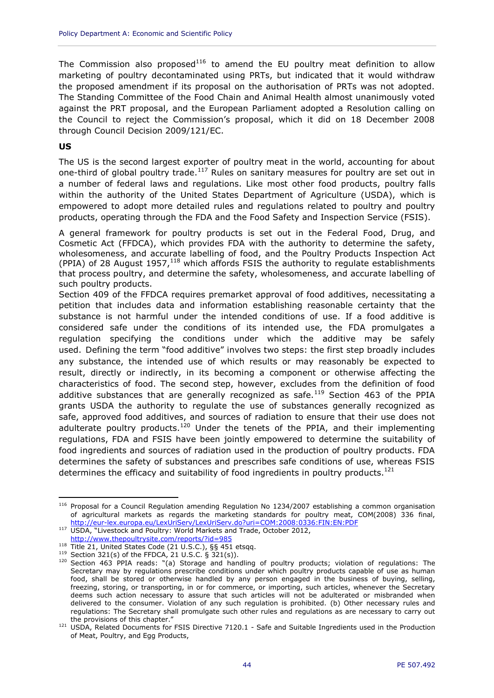The Commission also proposed<sup>116</sup> to amend the EU poultry meat definition to allow marketing of poultry decontaminated using PRTs, but indicated that it would withdraw the proposed amendment if its proposal on the authorisation of PRTs was not adopted. The Standing Committee of the Food Chain and Animal Health almost unanimously voted against the PRT proposal, and the European Parliament adopted a Resolution calling on the Council to reject the Commission's proposal, which it did on 18 December 2008 through Council Decision 2009/121/EC.

#### **US**

The US is the second largest exporter of poultry meat in the world, accounting for about one-third of global poultry trade. $117$  Rules on sanitary measures for poultry are set out in a number of federal laws and regulations. Like most other food products, poultry falls within the authority of the United States Department of Agriculture (USDA), which is empowered to adopt more detailed rules and regulations related to poultry and poultry products, operating through the FDA and the Food Safety and Inspection Service (FSIS).

A general framework for poultry products is set out in the Federal Food, Drug, and Cosmetic Act (FFDCA), which provides FDA with the authority to determine the safety, wholesomeness, and accurate labelling of food, and the Poultry Products Inspection Act (PPIA) of 28 August  $1957<sub>118</sub>$  which affords FSIS the authority to regulate establishments that process poultry, and determine the safety, wholesomeness, and accurate labelling of such poultry products.

Section 409 of the FFDCA requires premarket approval of food additives, necessitating a petition that includes data and information establishing reasonable certainty that the substance is not harmful under the intended conditions of use. If a food additive is considered safe under the conditions of its intended use, the FDA promulgates a regulation specifying the conditions under which the additive may be safely used. Defining the term "food additive" involves two steps: the first step broadly includes any substance, the intended use of which results or may reasonably be expected to result, directly or indirectly, in its becoming a component or otherwise affecting the characteristics of food. The second step, however, excludes from the definition of food additive substances that are generally recognized as safe.<sup>119</sup> Section 463 of the PPIA grants USDA the authority to regulate the use of substances generally recognized as safe, approved food additives, and sources of radiation to ensure that their use does not adulterate poultry products.<sup>120</sup> Under the tenets of the PPIA, and their implementing regulations, FDA and FSIS have been jointly empowered to determine the suitability of food ingredients and sources of radiation used in the production of poultry products. FDA determines the safety of substances and prescribes safe conditions of use, whereas FSIS determines the efficacy and suitability of food ingredients in poultry products.<sup>121</sup>

 $\overline{a}$ <sup>116</sup> Proposal for a Council Regulation amending Regulation No 1234/2007 establishing a common organisation of agricultural markets as regards the marketing standards for poultry meat, COM(2008) 336 final, <http://eur-lex.europa.eu/LexUriServ/LexUriServ.do?uri=COM:2008:0336:FIN:EN:PDF>

<sup>117</sup> USDA, "Livestock and Poultry: World Markets and Trade, October 2012,

<http://www.thepoultrysite.com/reports/?id=985>

<sup>118</sup> Title 21, United States Code (21 U.S.C.), §§ 451 etsqq.

 $119$  Section 321(s) of the FFDCA, 21 U.S.C. § 321(s)).

<sup>120</sup> Section 463 PPIA reads: "(a) Storage and handling of poultry products; violation of regulations: The Secretary may by regulations prescribe conditions under which poultry products capable of use as human food, shall be stored or otherwise handled by any person engaged in the business of buying, selling, freezing, storing, or transporting, in or for commerce, or importing, such articles, whenever the Secretary deems such action necessary to assure that such articles will not be adulterated or misbranded when delivered to the consumer. Violation of any such regulation is prohibited. (b) Other necessary rules and regulations: The Secretary shall promulgate such other rules and regulations as are necessary to carry out the provisions of this chapter."

<sup>121</sup> USDA, Related Documents for FSIS Directive 7120.1 - Safe and Suitable Ingredients used in the Production of Meat, Poultry, and Egg Products,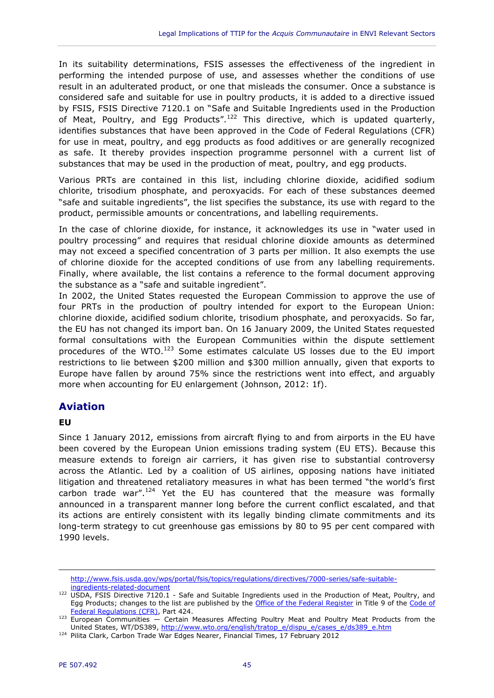In its suitability determinations, FSIS assesses the effectiveness of the ingredient in performing the intended purpose of use, and assesses whether the conditions of use result in an adulterated product, or one that misleads the consumer. Once a substance is considered safe and suitable for use in poultry products, it is added to a directive issued by FSIS, FSIS Directive 7120.1 on "Safe and Suitable Ingredients used in the Production of Meat, Poultry, and Egg Products".<sup>122</sup> This directive, which is updated quarterly, identifies substances that have been approved in the Code of Federal Regulations (CFR) for use in meat, poultry, and egg products as food additives or are generally recognized as safe. It thereby provides inspection programme personnel with a current list of substances that may be used in the production of meat, poultry, and egg products.

Various PRTs are contained in this list, including chlorine dioxide, acidified sodium chlorite, trisodium phosphate, and peroxyacids. For each of these substances deemed "safe and suitable ingredients", the list specifies the substance, its use with regard to the product, permissible amounts or concentrations, and labelling requirements.

In the case of chlorine dioxide, for instance, it acknowledges its use in "water used in poultry processing" and requires that residual chlorine dioxide amounts as determined may not exceed a specified concentration of 3 parts per million. It also exempts the use of chlorine dioxide for the accepted conditions of use from any labelling requirements. Finally, where available, the list contains a reference to the formal document approving the substance as a "safe and suitable ingredient".

In 2002, the United States requested the European Commission to approve the use of four PRTs in the production of poultry intended for export to the European Union: chlorine dioxide, acidified sodium chlorite, trisodium phosphate, and peroxyacids. So far, the EU has not changed its import ban. On 16 January 2009, the United States requested formal consultations with the European Communities within the dispute settlement procedures of the WTO.<sup>123</sup> Some estimates calculate US losses due to the EU import restrictions to lie between \$200 million and \$300 million annually, given that exports to Europe have fallen by around 75% since the restrictions went into effect, and arguably more when accounting for EU enlargement (Johnson, 2012: 1f).

## **Aviation**

#### **EU**

 $\overline{a}$ 

Since 1 January 2012, emissions from aircraft flying to and from airports in the EU have been covered by the European Union emissions trading system (EU ETS). Because this measure extends to foreign air carriers, it has given rise to substantial controversy across the Atlantic. Led by a coalition of US airlines, opposing nations have initiated litigation and threatened retaliatory measures in what has been termed "the world's first carbon trade war".<sup>124</sup> Yet the EU has countered that the measure was formally announced in a transparent manner long before the current conflict escalated, and that its actions are entirely consistent with its legally binding climate commitments and its long-term strategy to cut greenhouse gas emissions by 80 to 95 per cent compared with 1990 levels.

[http://www.fsis.usda.gov/wps/portal/fsis/topics/regulations/directives/7000-series/safe-suitable](http://www.fsis.usda.gov/wps/portal/fsis/topics/regulations/directives/7000-series/safe-suitable-ingredients-related-document)[ingredients-related-document](http://www.fsis.usda.gov/wps/portal/fsis/topics/regulations/directives/7000-series/safe-suitable-ingredients-related-document)

<sup>122</sup> USDA, FSIS Directive 7120.1 - Safe and Suitable Ingredients used in the Production of Meat, Poultry, and Egg Products; changes to the list are published by the [Office of the Federal Register](http://en.wikipedia.org/wiki/Office_of_the_Federal_Register) in Title 9 of the Code of [Federal Regulations \(CFR\),](http://www.gpo.gov/fdsys/browse/collectionCfr.action?collectionCode=CFR) Part 424.

 $123$  European Communities  $-$  Certain Measures Affecting Poultry Meat and Poultry Meat Products from the United States, WT/DS389, [http://www.wto.org/english/tratop\\_e/dispu\\_e/cases\\_e/ds389\\_e.htm](http://www.wto.org/english/tratop_e/dispu_e/cases_e/ds389_e.htm)

<sup>124</sup> Pilita Clark, Carbon Trade War Edges Nearer, Financial Times, 17 February 2012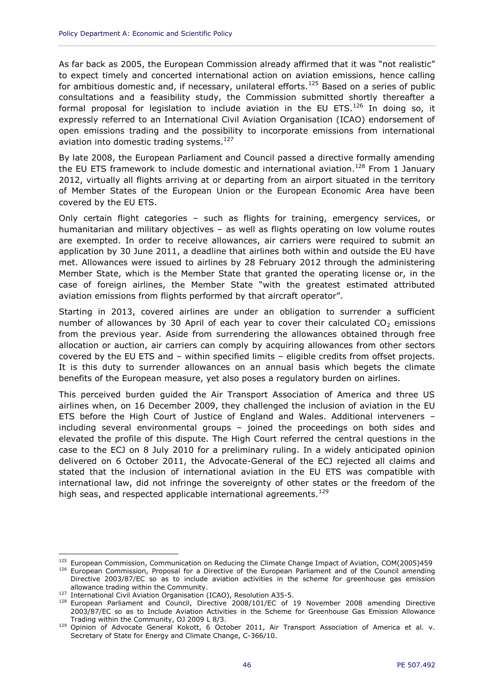As far back as 2005, the European Commission already affirmed that it was "not realistic" to expect timely and concerted international action on aviation emissions, hence calling for ambitious domestic and, if necessary, unilateral efforts.<sup>125</sup> Based on a series of public consultations and a feasibility study, the Commission submitted shortly thereafter a formal proposal for legislation to include aviation in the EU ETS. $126$  In doing so, it expressly referred to an International Civil Aviation Organisation (ICAO) endorsement of open emissions trading and the possibility to incorporate emissions from international aviation into domestic trading systems.<sup>127</sup>

By late 2008, the European Parliament and Council passed a directive formally amending the EU ETS framework to include domestic and international aviation.<sup>128</sup> From 1 January 2012, virtually all flights arriving at or departing from an airport situated in the territory of Member States of the European Union or the European Economic Area have been covered by the EU ETS.

Only certain flight categories – such as flights for training, emergency services, or humanitarian and military objectives – as well as flights operating on low volume routes are exempted. In order to receive allowances, air carriers were required to submit an application by 30 June 2011, a deadline that airlines both within and outside the EU have met. Allowances were issued to airlines by 28 February 2012 through the administering Member State, which is the Member State that granted the operating license or, in the case of foreign airlines, the Member State "with the greatest estimated attributed aviation emissions from flights performed by that aircraft operator".

Starting in 2013, covered airlines are under an obligation to surrender a sufficient number of allowances by 30 April of each year to cover their calculated  $CO<sub>2</sub>$  emissions from the previous year. Aside from surrendering the allowances obtained through free allocation or auction, air carriers can comply by acquiring allowances from other sectors covered by the EU ETS and – within specified limits – eligible credits from offset projects. It is this duty to surrender allowances on an annual basis which begets the climate benefits of the European measure, yet also poses a regulatory burden on airlines.

This perceived burden guided the Air Transport Association of America and three US airlines when, on 16 December 2009, they challenged the inclusion of aviation in the EU ETS before the High Court of Justice of England and Wales. Additional interveners – including several environmental groups – joined the proceedings on both sides and elevated the profile of this dispute. The High Court referred the central questions in the case to the ECJ on 8 July 2010 for a preliminary ruling. In a widely anticipated opinion delivered on 6 October 2011, the Advocate-General of the ECJ rejected all claims and stated that the inclusion of international aviation in the EU ETS was compatible with international law, did not infringe the sovereignty of other states or the freedom of the high seas, and respected applicable international agreements.<sup>129</sup>

<sup>&</sup>lt;sup>125</sup> European Commission, Communication on Reducing the Climate Change Impact of Aviation, COM(2005)459 <sup>126</sup> European Commission, Proposal for a Directive of the European Parliament and of the Council amending Directive 2003/87/EC so as to include aviation activities in the scheme for greenhouse gas emission allowance trading within the Community.

<sup>127</sup> International Civil Aviation Organisation (ICAO), Resolution A35-5.

<sup>&</sup>lt;sup>128</sup> European Parliament and Council, Directive 2008/101/EC of 19 November 2008 amending Directive 2003/87/EC so as to Include Aviation Activities in the Scheme for Greenhouse Gas Emission Allowance Trading within the Community, OJ 2009 L 8/3.

<sup>129</sup> Opinion of Advocate General Kokott, 6 October 2011, Air Transport Association of America et al. v. Secretary of State for Energy and Climate Change, C-366/10.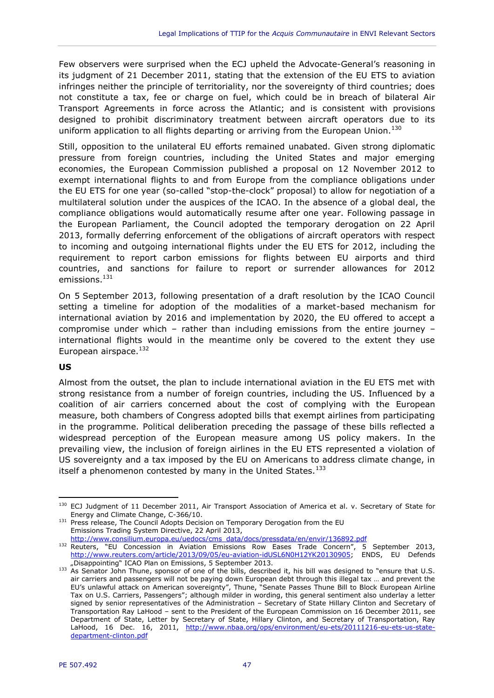Few observers were surprised when the ECJ upheld the Advocate-General's reasoning in its judgment of 21 December 2011, stating that the extension of the EU ETS to aviation infringes neither the principle of territoriality, nor the sovereignty of third countries; does not constitute a tax, fee or charge on fuel, which could be in breach of bilateral Air Transport Agreements in force across the Atlantic; and is consistent with provisions designed to prohibit discriminatory treatment between aircraft operators due to its uniform application to all flights departing or arriving from the European Union.<sup>130</sup>

Still, opposition to the unilateral EU efforts remained unabated. Given strong diplomatic pressure from foreign countries, including the United States and major emerging economies, the European Commission published a proposal on 12 November 2012 to exempt international flights to and from Europe from the compliance obligations under the EU ETS for one year (so-called "stop-the-clock" proposal) to allow for negotiation of a multilateral solution under the auspices of the ICAO. In the absence of a global deal, the compliance obligations would automatically resume after one year. Following passage in the European Parliament, the Council adopted the temporary derogation on 22 April 2013, formally deferring enforcement of the obligations of aircraft operators with respect to incoming and outgoing international flights under the EU ETS for 2012, including the requirement to report carbon emissions for flights between EU airports and third countries, and sanctions for failure to report or surrender allowances for 2012 emissions. $131$ 

On 5 September 2013, following presentation of a draft resolution by the ICAO Council setting a timeline for adoption of the modalities of a market-based mechanism for international aviation by 2016 and implementation by 2020, the EU offered to accept a compromise under which – rather than including emissions from the entire journey – international flights would in the meantime only be covered to the extent they use European airspace.<sup>132</sup>

#### **US**

Almost from the outset, the plan to include international aviation in the EU ETS met with strong resistance from a number of foreign countries, including the US. Influenced by a coalition of air carriers concerned about the cost of complying with the European measure, both chambers of Congress adopted bills that exempt airlines from participating in the programme. Political deliberation preceding the passage of these bills reflected a widespread perception of the European measure among US policy makers. In the prevailing view, the inclusion of foreign airlines in the EU ETS represented a violation of US sovereignty and a tax imposed by the EU on Americans to address climate change, in itself a phenomenon contested by many in the United States.<sup>133</sup>

 $\overline{a}$ <sup>130</sup> ECJ Judgment of 11 December 2011, Air Transport Association of America et al. v. Secretary of State for Energy and Climate Change, C-366/10.

<sup>131</sup> Press release, The Council Adopts Decision on Temporary Derogation from the EU Emissions Trading System Directive, 22 April 2013, [http://www.consilium.europa.eu/uedocs/cms\\_data/docs/pressdata/en/envir/136892.pdf](http://www.consilium.europa.eu/uedocs/cms_data/docs/pressdata/en/envir/136892.pdf)

<sup>132</sup> Reuters, "EU Concession in Aviation Emissions Row Eases Trade Concern", 5 September 2013, [http://www.reuters.com/article/2013/09/05/eu-aviation-idUSL6N0H12YK20130905;](http://www.reuters.com/article/2013/09/05/eu-aviation-idUSL6N0H12YK20130905) ENDS, EU Defends "Disappointing" ICAO Plan on Emissions, 5 September 2013.

<sup>&</sup>lt;sup>133</sup> As Senator John Thune, sponsor of one of the bills, described it, his bill was designed to "ensure that U.S. air carriers and passengers will not be paying down European debt through this illegal tax … and prevent the EU's unlawful attack on American sovereignty", Thune, "Senate Passes Thune Bill to Block European Airline Tax on U.S. Carriers, Passengers"; although milder in wording, this general sentiment also underlay a letter signed by senior representatives of the Administration – Secretary of State Hillary Clinton and Secretary of Transportation Ray LaHood – sent to the President of the European Commission on 16 December 2011, see Department of State, Letter by Secretary of State, Hillary Clinton, and Secretary of Transportation, Ray LaHood, 16 Dec. 16, 2011, [http://www.nbaa.org/ops/environment/eu-ets/20111216-eu-ets-us-state](http://www.nbaa.org/ops/environment/eu-ets/20111216-eu-ets-us-state-department-clinton.pdf)[department-clinton.pdf](http://www.nbaa.org/ops/environment/eu-ets/20111216-eu-ets-us-state-department-clinton.pdf)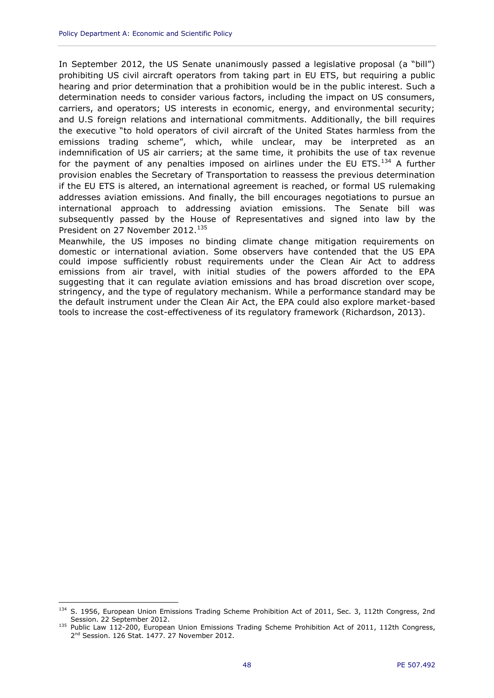In September 2012, the US Senate unanimously passed a legislative proposal (a "bill") prohibiting US civil aircraft operators from taking part in EU ETS, but requiring a public hearing and prior determination that a prohibition would be in the public interest. Such a determination needs to consider various factors, including the impact on US consumers, carriers, and operators; US interests in economic, energy, and environmental security; and U.S foreign relations and international commitments. Additionally, the bill requires the executive "to hold operators of civil aircraft of the United States harmless from the emissions trading scheme", which, while unclear, may be interpreted as an indemnification of US air carriers; at the same time, it prohibits the use of tax revenue for the payment of any penalties imposed on airlines under the EU ETS. $^{134}$  A further provision enables the Secretary of Transportation to reassess the previous determination if the EU ETS is altered, an international agreement is reached, or formal US rulemaking addresses aviation emissions. And finally, the bill encourages negotiations to pursue an international approach to addressing aviation emissions. The Senate bill was subsequently passed by the House of Representatives and signed into law by the President on 27 November 2012.<sup>135</sup>

Meanwhile, the US imposes no binding climate change mitigation requirements on domestic or international aviation. Some observers have contended that the US EPA could impose sufficiently robust requirements under the Clean Air Act to address emissions from air travel, with initial studies of the powers afforded to the EPA suggesting that it can regulate aviation emissions and has broad discretion over scope, stringency, and the type of regulatory mechanism. While a performance standard may be the default instrument under the Clean Air Act, the EPA could also explore market-based tools to increase the cost-effectiveness of its regulatory framework (Richardson, 2013).

<sup>134</sup> S. 1956, European Union Emissions Trading Scheme Prohibition Act of 2011, Sec. 3, 112th Congress, 2nd Session. 22 September 2012.

<sup>&</sup>lt;sup>135</sup> Public Law 112-200, European Union Emissions Trading Scheme Prohibition Act of 2011, 112th Congress, 2<sup>nd</sup> Session. 126 Stat. 1477. 27 November 2012.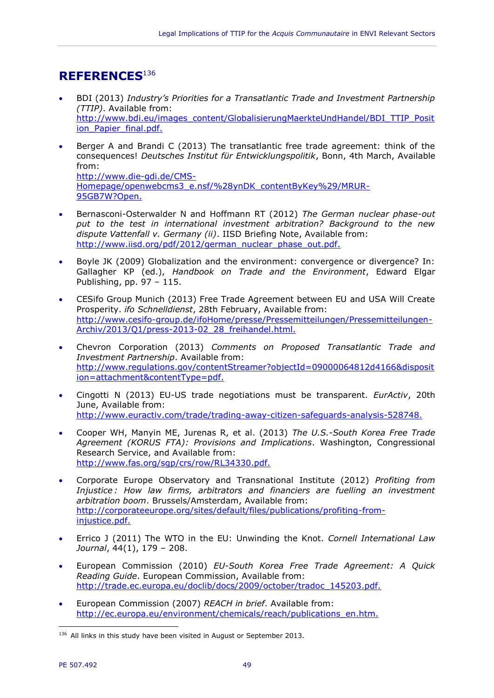## <span id="page-50-0"></span>**REFERENCES**<sup>136</sup>

- BDI (2013) *Industry's Priorities for a Transatlantic Trade and Investment Partnership (TTIP)*. Available from: [http://www.bdi.eu/images\\_content/GlobalisierungMaerkteUndHandel/BDI\\_TTIP\\_Posit](http://www.bdi.eu/images_content/GlobalisierungMaerkteUndHandel/BDI_TTIP_Position_Papier_final.pdf.) ion Papier final.pdf.
- Berger A and Brandi C (2013) The transatlantic free trade agreement: think of the consequences! *Deutsches Institut für Entwicklungspolitik*, Bonn, 4th March, Available from: http://www.die-gdi.de/CMS-Homepage/openwebcms3\_e.nsf/%28ynDK\_contentByKey%29/MRUR-95GB7W?Open.
- Bernasconi-Osterwalder N and Hoffmann RT (2012) *The German nuclear phase-out put to the test in international investment arbitration? Background to the new dispute Vattenfall v. Germany (ii)*. IISD Briefing Note, Available from: http://www.jisd.org/pdf/2012/german\_nuclear\_phase\_out.pdf.
- Boyle JK (2009) Globalization and the environment: convergence or divergence? In: Gallagher KP (ed.), *Handbook on Trade and the Environment*, Edward Elgar Publishing, pp. 97 – 115.
- CESifo Group Munich (2013) Free Trade Agreement between EU and USA Will Create Prosperity. *ifo Schnelldienst*, 28th February, Available from: [http://www.cesifo-group.de/ifoHome/presse/Pressemitteilungen/Pressemitteilungen-](http://www.cesifo-group.de/ifoHome/presse/Pressemitteilungen/Pressemitteilungen-Archiv/2013/Q1/press-2013-02_28_freihandel.html.)[Archiv/2013/Q1/press-2013-02\\_28\\_freihandel.html.](http://www.cesifo-group.de/ifoHome/presse/Pressemitteilungen/Pressemitteilungen-Archiv/2013/Q1/press-2013-02_28_freihandel.html.)
- Chevron Corporation (2013) *Comments on Proposed Transatlantic Trade and Investment Partnership*. Available from: [http://www.regulations.gov/contentStreamer?objectId=09000064812d4166&disposit](http://www.regulations.gov/contentStreamer?objectId=09000064812d4166&disposition=attachment&contentType=pdf.) [ion=attachment&contentType=pdf.](http://www.regulations.gov/contentStreamer?objectId=09000064812d4166&disposition=attachment&contentType=pdf.)
- Cingotti N (2013) EU-US trade negotiations must be transparent. *EurActiv*, 20th June, Available from: <http://www.euractiv.com/trade/trading-away-citizen-safeguards-analysis-528748.>
- Cooper WH, Manyin ME, Jurenas R, et al. (2013) *The U.S.-South Korea Free Trade Agreement (KORUS FTA): Provisions and Implications*. Washington, Congressional Research Service, and Available from: <http://www.fas.org/sgp/crs/row/RL34330.pdf.>
- Corporate Europe Observatory and Transnational Institute (2012) *Profiting from Injustice : How law firms, arbitrators and financiers are fuelling an investment arbitration boom*. Brussels/Amsterdam, Available from: [http://corporateeurope.org/sites/default/files/publications/profiting-from](http://corporateeurope.org/sites/default/files/publications/profiting-from-injustice.pdf.)[injustice.pdf.](http://corporateeurope.org/sites/default/files/publications/profiting-from-injustice.pdf.)
- Errico J (2011) The WTO in the EU: Unwinding the Knot. *Cornell International Law Journal*, 44(1), 179 – 208.
- European Commission (2010) *EU-South Korea Free Trade Agreement: A Quick Reading Guide*. European Commission, Available from: [http://trade.ec.europa.eu/doclib/docs/2009/october/tradoc\\_145203.pdf.](http://trade.ec.europa.eu/doclib/docs/2009/october/tradoc_145203.pdf.)
- European Commission (2007) *REACH in brief*. Available from: [http://ec.europa.eu/environment/chemicals/reach/publications\\_en.htm.](http://ec.europa.eu/environment/chemicals/reach/publications_en.htm.)

 $\overline{a}$ <sup>136</sup> All links in this study have been visited in August or September 2013.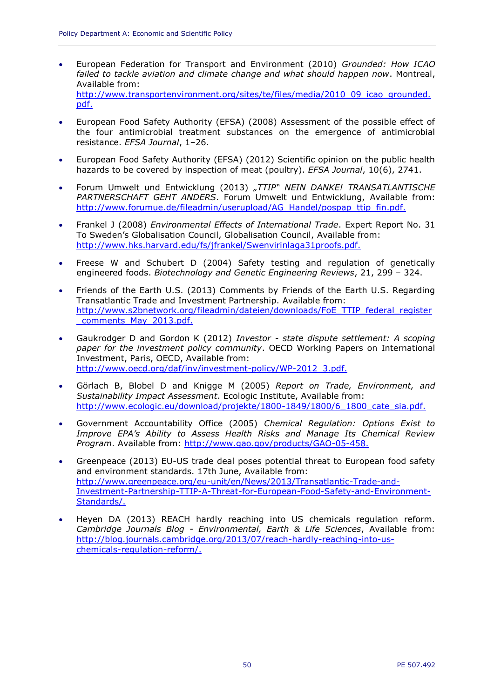- European Federation for Transport and Environment (2010) *Grounded: How ICAO failed to tackle aviation and climate change and what should happen now*. Montreal, Available from: [http://www.transportenvironment.org/sites/te/files/media/2010\\_09\\_icao\\_grounded.](http://www.transportenvironment.org/sites/te/files/media/2010_09_icao_grounded.pdf.) [pdf.](http://www.transportenvironment.org/sites/te/files/media/2010_09_icao_grounded.pdf.)
- European Food Safety Authority (EFSA) (2008) Assessment of the possible effect of the four antimicrobial treatment substances on the emergence of antimicrobial resistance. *EFSA Journal*, 1–26.
- European Food Safety Authority (EFSA) (2012) Scientific opinion on the public health hazards to be covered by inspection of meat (poultry). *EFSA Journal*, 10(6), 2741.
- Forum Umwelt und Entwicklung (2013) *"TTIP" NEIN DANKE! TRANSATLANTISCHE PARTNERSCHAFT GEHT ANDERS*. Forum Umwelt und Entwicklung, Available from: [http://www.forumue.de/fileadmin/userupload/AG\\_Handel/pospap\\_ttip\\_fin.pdf.](http://www.forumue.de/fileadmin/userupload/AG_Handel/pospap_ttip_fin.pdf.)
- Frankel J (2008) *Environmental Effects of International Trade*. Expert Report No. 31 To Sweden's Globalisation Council, Globalisation Council, Available from: <http://www.hks.harvard.edu/fs/jfrankel/Swenvirinlaga31proofs.pdf.>
- Freese W and Schubert D (2004) Safety testing and regulation of genetically engineered foods. *Biotechnology and Genetic Engineering Reviews*, 21, 299 – 324.
- Friends of the Earth U.S. (2013) Comments by Friends of the Earth U.S. Regarding Transatlantic Trade and Investment Partnership. Available from: [http://www.s2bnetwork.org/fileadmin/dateien/downloads/FoE\\_TTIP\\_federal\\_register](http://www.s2bnetwork.org/fileadmin/dateien/downloads/FoE_TTIP_federal_register_comments_May_2013.pdf.) comments May 2013.pdf.
- Gaukrodger D and Gordon K (2012) *Investor - state dispute settlement: A scoping paper for the investment policy community*. OECD Working Papers on International Investment, Paris, OECD, Available from: [http://www.oecd.org/daf/inv/investment-policy/WP-2012\\_3.pdf.](http://www.oecd.org/daf/inv/investment-policy/WP-2012_3.pdf.)
- Görlach B, Blobel D and Knigge M (2005) *Report on Trade, Environment, and Sustainability Impact Assessment*. Ecologic Institute, Available from: [http://www.ecologic.eu/download/projekte/1800-1849/1800/6\\_1800\\_cate\\_sia.pdf.](http://www.ecologic.eu/download/projekte/1800-1849/1800/6_1800_cate_sia.pdf.)
- Government Accountability Office (2005) *Chemical Regulation: Options Exist to Improve EPA's Ability to Assess Health Risks and Manage Its Chemical Review Program*. Available from:<http://www.gao.gov/products/GAO-05-458.>
- Greenpeace (2013) EU-US trade deal poses potential threat to European food safety and environment standards. 17th June, Available from: [http://www.greenpeace.org/eu-unit/en/News/2013/Transatlantic-Trade-and-](http://www.greenpeace.org/eu-unit/en/News/2013/Transatlantic-Trade-and-Investment-Partnership-TTIP-A-Threat-for-European-Food-Safety-and-Environment-Standards/)[Investment-Partnership-TTIP-A-Threat-for-European-Food-Safety-and-Environment-](http://www.greenpeace.org/eu-unit/en/News/2013/Transatlantic-Trade-and-Investment-Partnership-TTIP-A-Threat-for-European-Food-Safety-and-Environment-Standards/)[Standards/.](http://www.greenpeace.org/eu-unit/en/News/2013/Transatlantic-Trade-and-Investment-Partnership-TTIP-A-Threat-for-European-Food-Safety-and-Environment-Standards/)
- Heyen DA (2013) REACH hardly reaching into US chemicals regulation reform. *Cambridge Journals Blog - Environmental, Earth & Life Sciences*, Available from: [http://blog.journals.cambridge.org/2013/07/reach-hardly-reaching-into-us](http://blog.journals.cambridge.org/2013/07/reach-hardly-reaching-into-us-chemicals-regulation-reform/)[chemicals-regulation-reform/.](http://blog.journals.cambridge.org/2013/07/reach-hardly-reaching-into-us-chemicals-regulation-reform/)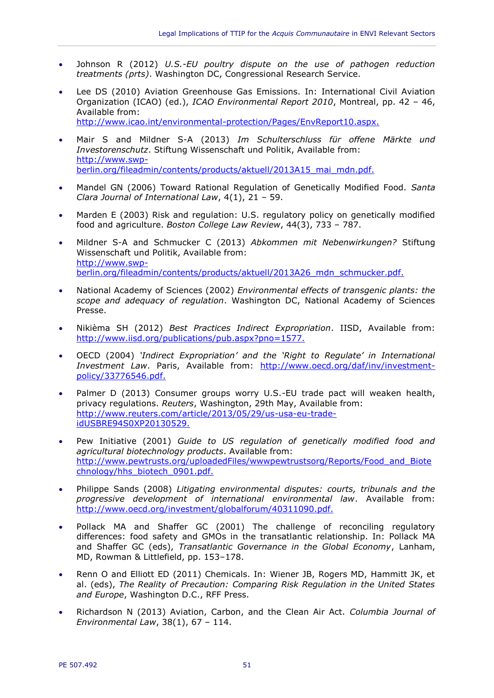- Johnson R (2012) *U.S.-EU poultry dispute on the use of pathogen reduction treatments (prts)*. Washington DC, Congressional Research Service.
- Lee DS (2010) Aviation Greenhouse Gas Emissions. In: International Civil Aviation Organization (ICAO) (ed.), *ICAO Environmental Report 2010*, Montreal, pp. 42 – 46, Available from: <http://www.icao.int/environmental-protection/Pages/EnvReport10.aspx.>
- Mair S and Mildner S-A (2013) *Im Schulterschluss für offene Märkte und Investorenschutz*. Stiftung Wissenschaft und Politik, Available from: [http://www.swp](http://www.swp-berlin.org/fileadmin/contents/products/aktuell/2013A15_mai_mdn.pdf.)[berlin.org/fileadmin/contents/products/aktuell/2013A15\\_mai\\_mdn.pdf.](http://www.swp-berlin.org/fileadmin/contents/products/aktuell/2013A15_mai_mdn.pdf.)
- Mandel GN (2006) Toward Rational Regulation of Genetically Modified Food. *Santa Clara Journal of International Law*, 4(1), 21 – 59.
- Marden E (2003) Risk and regulation: U.S. regulatory policy on genetically modified food and agriculture. *Boston College Law Review*, 44(3), 733 – 787.
- Mildner S-A and Schmucker C (2013) *Abkommen mit Nebenwirkungen?* Stiftung Wissenschaft und Politik, Available from: [http://www.swp](http://www.swp-berlin.org/fileadmin/contents/products/aktuell/2013A26_mdn_schmucker.pdf.)[berlin.org/fileadmin/contents/products/aktuell/2013A26\\_mdn\\_schmucker.pdf.](http://www.swp-berlin.org/fileadmin/contents/products/aktuell/2013A26_mdn_schmucker.pdf.)
- National Academy of Sciences (2002) *Environmental effects of transgenic plants: the scope and adequacy of regulation*. Washington DC, National Academy of Sciences Presse.
- Nikièma SH (2012) *Best Practices Indirect Expropriation*. IISD, Available from: <http://www.iisd.org/publications/pub.aspx?pno=1577.>
- OECD (2004) *'Indirect Expropriation' and the 'Right to Regulate' in International Investment Law*. Paris, Available from: [http://www.oecd.org/daf/inv/investment](http://www.oecd.org/daf/inv/investment-policy/33776546.pdf.)[policy/33776546.pdf.](http://www.oecd.org/daf/inv/investment-policy/33776546.pdf.)
- Palmer D (2013) Consumer groups worry U.S.-EU trade pact will weaken health, privacy regulations. *Reuters*, Washington, 29th May, Available from: [http://www.reuters.com/article/2013/05/29/us-usa-eu-trade](http://www.reuters.com/article/2013/05/29/us-usa-eu-trade-idUSBRE94S0XP20130529.)[idUSBRE94S0XP20130529.](http://www.reuters.com/article/2013/05/29/us-usa-eu-trade-idUSBRE94S0XP20130529.)
- Pew Initiative (2001) *Guide to US regulation of genetically modified food and agricultural biotechnology products*. Available from: http://www.pewtrusts.org/uploadedFiles/wwwpewtrustsorg/Reports/Food and Biote [chnology/hhs\\_biotech\\_0901.pdf.](http://www.pewtrusts.org/uploadedFiles/wwwpewtrustsorg/Reports/Food_and_Biotechnology/hhs_biotech_0901.pdf.)
- Philippe Sands (2008) *Litigating environmental disputes: courts, tribunals and the progressive development of international environmental law*. Available from: <http://www.oecd.org/investment/globalforum/40311090.pdf.>
- Pollack MA and Shaffer GC (2001) The challenge of reconciling regulatory differences: food safety and GMOs in the transatlantic relationship. In: Pollack MA and Shaffer GC (eds), *Transatlantic Governance in the Global Economy*, Lanham, MD, Rowman & Littlefield, pp. 153–178.
- Renn O and Elliott ED (2011) Chemicals. In: Wiener JB, Rogers MD, Hammitt JK, et al. (eds), *The Reality of Precaution: Comparing Risk Regulation in the United States and Europe*, Washington D.C., RFF Press.
- Richardson N (2013) Aviation, Carbon, and the Clean Air Act. *Columbia Journal of Environmental Law*, 38(1), 67 – 114.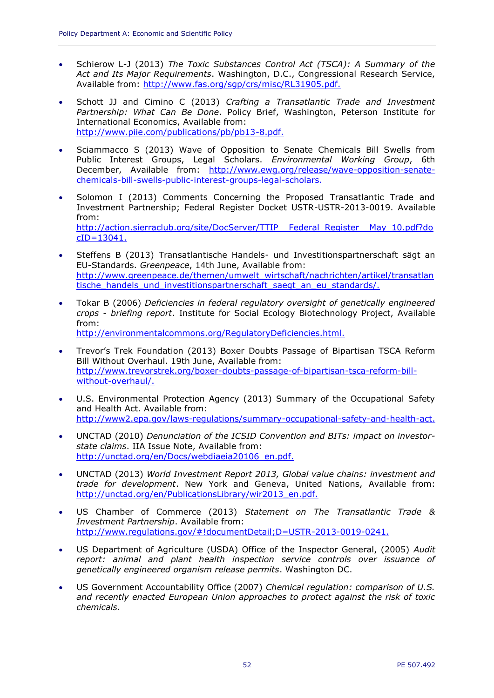- Schierow L-J (2013) *The Toxic Substances Control Act (TSCA): A Summary of the Act and Its Major Requirements*. Washington, D.C., Congressional Research Service, Available from:<http://www.fas.org/sgp/crs/misc/RL31905.pdf.>
- Schott JJ and Cimino C (2013) *Crafting a Transatlantic Trade and Investment Partnership: What Can Be Done*. Policy Brief, Washington, Peterson Institute for International Economics, Available from: <http://www.piie.com/publications/pb/pb13-8.pdf.>
- Sciammacco S (2013) Wave of Opposition to Senate Chemicals Bill Swells from Public Interest Groups, Legal Scholars. *Environmental Working Group*, 6th December, Available from: [http://www.ewg.org/release/wave-opposition-senate](http://www.ewg.org/release/wave-opposition-senate-chemicals-bill-swells-public-interest-groups-legal-scholars.)[chemicals-bill-swells-public-interest-groups-legal-scholars.](http://www.ewg.org/release/wave-opposition-senate-chemicals-bill-swells-public-interest-groups-legal-scholars.)
- Solomon I (2013) Comments Concerning the Proposed Transatlantic Trade and Investment Partnership; Federal Register Docket USTR-USTR-2013-0019. Available from: [http://action.sierraclub.org/site/DocServer/TTIP\\_\\_Federal\\_Register\\_\\_May\\_10.pdf?do](http://action.sierraclub.org/site/DocServer/TTIP__Federal_Register__May_10.pdf?docID=13041.)  $cID = 13041.$
- Steffens B (2013) Transatlantische Handels- und Investitionspartnerschaft sägt an EU-Standards. *Greenpeace*, 14th June, Available from: [http://www.greenpeace.de/themen/umwelt\\_wirtschaft/nachrichten/artikel/transatlan](http://www.greenpeace.de/themen/umwelt_wirtschaft/nachrichten/artikel/transatlantische_handels_und_investitionspartnerschaft_saegt_an_eu_standards/) tische handels und investitionspartnerschaft saegt an eu standards/.
- Tokar B (2006) *Deficiencies in federal regulatory oversight of genetically engineered crops - briefing report*. Institute for Social Ecology Biotechnology Project, Available from: <http://environmentalcommons.org/RegulatoryDeficiencies.html.>
- Trevor's Trek Foundation (2013) Boxer Doubts Passage of Bipartisan TSCA Reform Bill Without Overhaul. 19th June, Available from: [http://www.trevorstrek.org/boxer-doubts-passage-of-bipartisan-tsca-reform-bill](http://www.trevorstrek.org/boxer-doubts-passage-of-bipartisan-tsca-reform-bill-without-overhaul/)[without-overhaul/.](http://www.trevorstrek.org/boxer-doubts-passage-of-bipartisan-tsca-reform-bill-without-overhaul/)
- U.S. Environmental Protection Agency (2013) Summary of the Occupational Safety and Health Act. Available from: <http://www2.epa.gov/laws-regulations/summary-occupational-safety-and-health-act.>
- UNCTAD (2010) *Denunciation of the ICSID Convention and BITs: impact on investorstate claims*. IIA Issue Note, Available from: [http://unctad.org/en/Docs/webdiaeia20106\\_en.pdf.](http://unctad.org/en/Docs/webdiaeia20106_en.pdf.)
- UNCTAD (2013) *World Investment Report 2013, Global value chains: investment and trade for development*. New York and Geneva, United Nations, Available from: [http://unctad.org/en/PublicationsLibrary/wir2013\\_en.pdf.](http://unctad.org/en/PublicationsLibrary/wir2013_en.pdf.)
- US Chamber of Commerce (2013) *Statement on The Transatlantic Trade & Investment Partnership*. Available from: [http://www.regulations.gov/#!documentDetail;D=USTR-2013-0019-0241.](http://www.regulations.gov/%23!documentDetail;D=USTR-2013-0019-0241.)
- US Department of Agriculture (USDA) Office of the Inspector General, (2005) *Audit report: animal and plant health inspection service controls over issuance of genetically engineered organism release permits*. Washington DC.
- US Government Accountability Office (2007) *Chemical regulation: comparison of U.S. and recently enacted European Union approaches to protect against the risk of toxic chemicals*.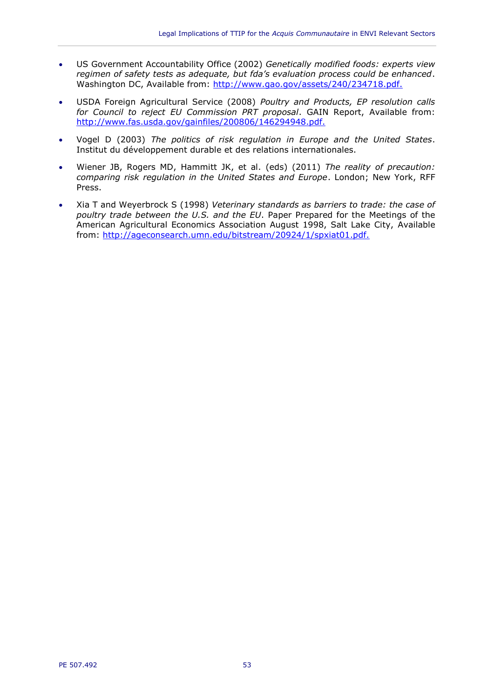- US Government Accountability Office (2002) *Genetically modified foods: experts view regimen of safety tests as adequate, but fda's evaluation process could be enhanced*. Washington DC, Available from: <http://www.gao.gov/assets/240/234718.pdf.>
- USDA Foreign Agricultural Service (2008) *Poultry and Products, EP resolution calls for Council to reject EU Commission PRT proposal*. GAIN Report, Available from: <http://www.fas.usda.gov/gainfiles/200806/146294948.pdf.>
- Vogel D (2003) *The politics of risk regulation in Europe and the United States*. Institut du développement durable et des relations internationales.
- Wiener JB, Rogers MD, Hammitt JK, et al. (eds) (2011) *The reality of precaution: comparing risk regulation in the United States and Europe*. London; New York, RFF Press.
- Xia T and Weyerbrock S (1998) *Veterinary standards as barriers to trade: the case of poultry trade between the U.S. and the EU*. Paper Prepared for the Meetings of the American Agricultural Economics Association August 1998, Salt Lake City, Available from: <http://ageconsearch.umn.edu/bitstream/20924/1/spxiat01.pdf.>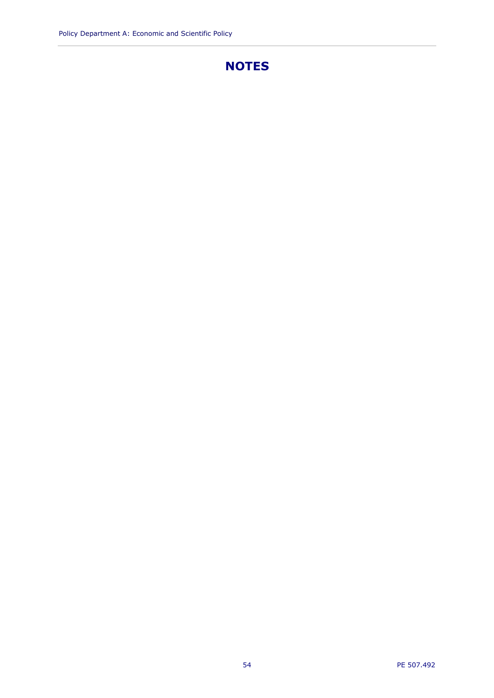## **NOTES**